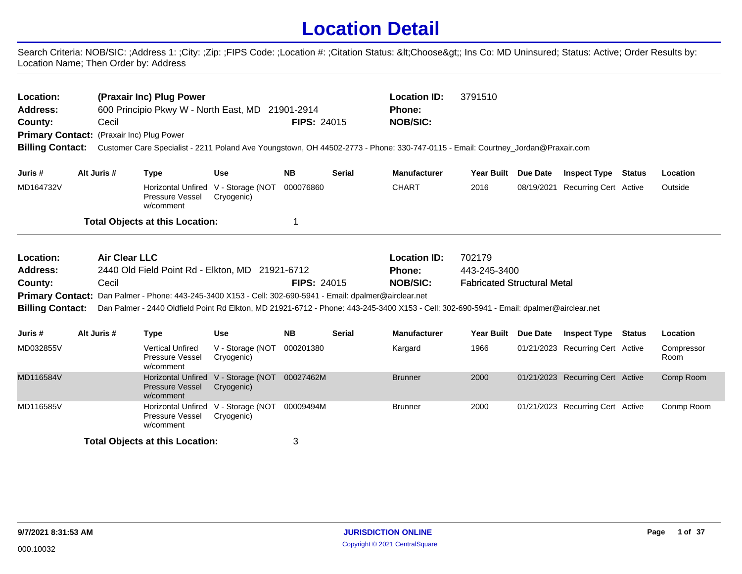## **Location Detail**

Search Criteria: NOB/SIC: ;Address 1: ;City: ;Zip: ;FIPS Code: ;Location #: ;Citation Status: <Choose&gt;; Ins Co: MD Uninsured; Status: Active; Order Results by: Location Name; Then Order by: Address

| Location:<br><b>Address:</b><br>County: | Cecil                | (Praxair Inc) Plug Power<br>3791510<br><b>Location ID:</b><br>600 Principio Pkwy W - North East, MD 21901-2914<br><b>Phone:</b><br><b>FIPS: 24015</b><br><b>NOB/SIC:</b><br>Primary Contact: (Praxair Inc) Plug Power |                                                   |                    |               |                                                                                                                                         |                                    |                                  |  |                    |
|-----------------------------------------|----------------------|-----------------------------------------------------------------------------------------------------------------------------------------------------------------------------------------------------------------------|---------------------------------------------------|--------------------|---------------|-----------------------------------------------------------------------------------------------------------------------------------------|------------------------------------|----------------------------------|--|--------------------|
| <b>Billing Contact:</b>                 |                      |                                                                                                                                                                                                                       |                                                   |                    |               | Customer Care Specialist - 2211 Poland Ave Youngstown, OH 44502-2773 - Phone: 330-747-0115 - Email: Courtney_Jordan@Praxair.com         |                                    |                                  |  |                    |
| Juris #                                 | Alt Juris #          | <b>Type</b>                                                                                                                                                                                                           | <b>Use</b>                                        | <b>NB</b>          | <b>Serial</b> | <b>Manufacturer</b>                                                                                                                     | Year Built Due Date                | <b>Inspect Type Status</b>       |  | Location           |
| MD164732V                               |                      | Pressure Vessel<br>w/comment                                                                                                                                                                                          | Horizontal Unfired V - Storage (NOT<br>Cryogenic) | 000076860          |               | <b>CHART</b>                                                                                                                            | 2016                               | 08/19/2021 Recurring Cert Active |  | Outside            |
|                                         |                      | <b>Total Objects at this Location:</b>                                                                                                                                                                                |                                                   | 1                  |               |                                                                                                                                         |                                    |                                  |  |                    |
| Location:                               | <b>Air Clear LLC</b> |                                                                                                                                                                                                                       |                                                   |                    |               | <b>Location ID:</b>                                                                                                                     | 702179                             |                                  |  |                    |
| <b>Address:</b>                         |                      | 2440 Old Field Point Rd - Elkton, MD 21921-6712                                                                                                                                                                       |                                                   |                    |               | Phone:                                                                                                                                  | 443-245-3400                       |                                  |  |                    |
| County:                                 | Cecil                |                                                                                                                                                                                                                       |                                                   | <b>FIPS: 24015</b> |               | <b>NOB/SIC:</b>                                                                                                                         | <b>Fabricated Structural Metal</b> |                                  |  |                    |
|                                         |                      | Primary Contact: Dan Palmer - Phone: 443-245-3400 X153 - Cell: 302-690-5941 - Email: dpalmer@airclear.net                                                                                                             |                                                   |                    |               |                                                                                                                                         |                                    |                                  |  |                    |
| <b>Billing Contact:</b>                 |                      |                                                                                                                                                                                                                       |                                                   |                    |               | Dan Palmer - 2440 Oldfield Point Rd Elkton, MD 21921-6712 - Phone: 443-245-3400 X153 - Cell: 302-690-5941 - Email: dpalmer@airclear.net |                                    |                                  |  |                    |
| Juris #                                 | Alt Juris #          | <b>Type</b>                                                                                                                                                                                                           | <b>Use</b>                                        | <b>NB</b>          | <b>Serial</b> | <b>Manufacturer</b>                                                                                                                     | Year Built Due Date                | <b>Inspect Type Status</b>       |  | Location           |
| MD032855V                               |                      | <b>Vertical Unfired</b><br>Pressure Vessel<br>w/comment                                                                                                                                                               | V - Storage (NOT<br>Cryogenic)                    | 000201380          |               | Kargard                                                                                                                                 | 1966                               | 01/21/2023 Recurring Cert Active |  | Compressor<br>Room |
| MD116584V                               |                      | <b>Horizontal Unfired</b><br><b>Pressure Vessel</b><br>w/comment                                                                                                                                                      | V - Storage (NOT<br>Cryogenic)                    | 00027462M          |               | <b>Brunner</b>                                                                                                                          | 2000                               | 01/21/2023 Recurring Cert Active |  | Comp Room          |
| MD116585V                               |                      | Pressure Vessel<br>w/comment                                                                                                                                                                                          | Horizontal Unfired V - Storage (NOT<br>Cryogenic) | 00009494M          |               | <b>Brunner</b>                                                                                                                          | 2000                               | 01/21/2023 Recurring Cert Active |  | Conmp Room         |
|                                         |                      | <b>Total Objects at this Location:</b>                                                                                                                                                                                |                                                   | 3                  |               |                                                                                                                                         |                                    |                                  |  |                    |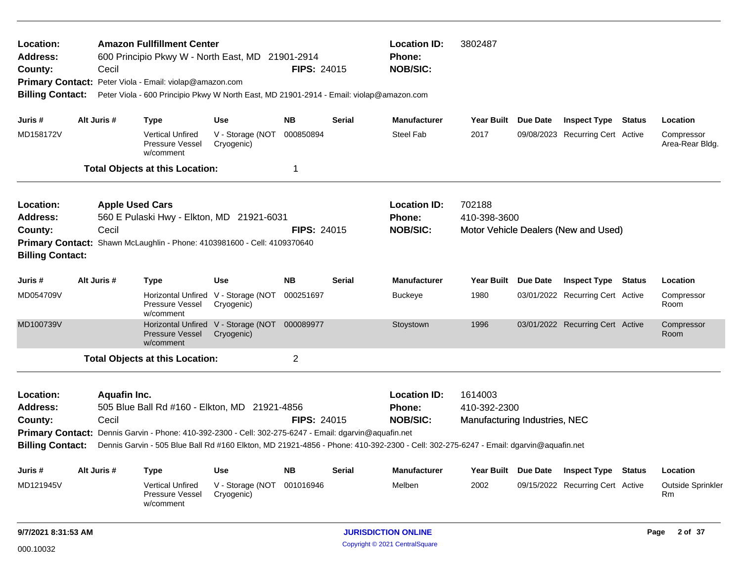| Location:<br><b>Address:</b><br>County: |                                                         | Cecil                  | <b>Amazon Fullfillment Center</b><br>600 Principio Pkwy W - North East, MD 21901-2914                                                              |                                                   | <b>FIPS: 24015</b> |               | <b>Location ID:</b><br>Phone:<br><b>NOB/SIC:</b>                                                                                    | 3802487                       |                 |                                      |                               |
|-----------------------------------------|---------------------------------------------------------|------------------------|----------------------------------------------------------------------------------------------------------------------------------------------------|---------------------------------------------------|--------------------|---------------|-------------------------------------------------------------------------------------------------------------------------------------|-------------------------------|-----------------|--------------------------------------|-------------------------------|
| <b>Billing Contact:</b>                 |                                                         |                        | Primary Contact: Peter Viola - Email: violap@amazon.com<br>Peter Viola - 600 Principio Pkwy W North East, MD 21901-2914 - Email: violap@amazon.com |                                                   |                    |               |                                                                                                                                     |                               |                 |                                      |                               |
| Juris #                                 |                                                         | Alt Juris #            | <b>Type</b>                                                                                                                                        | Use                                               | NB.                | Serial        | <b>Manufacturer</b>                                                                                                                 | Year Built Due Date           |                 | <b>Inspect Type Status</b>           | Location                      |
| MD158172V                               |                                                         |                        | Vertical Unfired<br>Pressure Vessel<br>w/comment                                                                                                   | V - Storage (NOT<br>Cryogenic)                    | 000850894          |               | Steel Fab                                                                                                                           | 2017                          |                 | 09/08/2023 Recurring Cert Active     | Compressor<br>Area-Rear Bldg. |
|                                         |                                                         |                        | <b>Total Objects at this Location:</b>                                                                                                             |                                                   | 1                  |               |                                                                                                                                     |                               |                 |                                      |                               |
| Location:                               |                                                         | <b>Apple Used Cars</b> |                                                                                                                                                    |                                                   |                    |               | <b>Location ID:</b>                                                                                                                 | 702188                        |                 |                                      |                               |
| <b>Address:</b>                         |                                                         |                        | 560 E Pulaski Hwy - Elkton, MD 21921-6031                                                                                                          |                                                   |                    |               | <b>Phone:</b>                                                                                                                       | 410-398-3600                  |                 |                                      |                               |
| County:                                 |                                                         | Cecil                  |                                                                                                                                                    |                                                   | <b>FIPS: 24015</b> |               | <b>NOB/SIC:</b>                                                                                                                     |                               |                 | Motor Vehicle Dealers (New and Used) |                               |
| <b>Primary Contact:</b>                 | Shawn McLaughlin - Phone: 4103981600 - Cell: 4109370640 |                        |                                                                                                                                                    |                                                   |                    |               |                                                                                                                                     |                               |                 |                                      |                               |
| <b>Billing Contact:</b>                 |                                                         |                        |                                                                                                                                                    |                                                   |                    |               |                                                                                                                                     |                               |                 |                                      |                               |
| Juris #                                 |                                                         | Alt Juris #            | <b>Type</b>                                                                                                                                        | Use                                               | <b>NB</b>          | <b>Serial</b> | <b>Manufacturer</b>                                                                                                                 | <b>Year Built</b>             | Due Date        | <b>Inspect Type Status</b>           | Location                      |
| MD054709V                               |                                                         |                        | Pressure Vessel<br>w/comment                                                                                                                       | Horizontal Unfired V - Storage (NOT<br>Cryogenic) | 000251697          |               | <b>Buckeye</b>                                                                                                                      | 1980                          |                 | 03/01/2022 Recurring Cert Active     | Compressor<br>Room            |
| MD100739V                               |                                                         |                        | Pressure Vessel<br>w/comment                                                                                                                       | Horizontal Unfired V - Storage (NOT<br>Cryogenic) | 000089977          |               | Stoystown                                                                                                                           | 1996                          |                 | 03/01/2022 Recurring Cert Active     | Compressor<br>Room            |
|                                         |                                                         |                        | <b>Total Objects at this Location:</b>                                                                                                             |                                                   | $\overline{c}$     |               |                                                                                                                                     |                               |                 |                                      |                               |
| Location:                               |                                                         | <b>Aquafin Inc.</b>    |                                                                                                                                                    |                                                   |                    |               | <b>Location ID:</b>                                                                                                                 | 1614003                       |                 |                                      |                               |
| <b>Address:</b>                         |                                                         |                        | 505 Blue Ball Rd #160 - Elkton, MD 21921-4856                                                                                                      |                                                   |                    |               | <b>Phone:</b>                                                                                                                       | 410-392-2300                  |                 |                                      |                               |
| County:                                 |                                                         | Cecil                  |                                                                                                                                                    |                                                   | <b>FIPS: 24015</b> |               | <b>NOB/SIC:</b>                                                                                                                     | Manufacturing Industries, NEC |                 |                                      |                               |
|                                         |                                                         |                        | Primary Contact: Dennis Garvin - Phone: 410-392-2300 - Cell: 302-275-6247 - Email: dgarvin@aquafin.net                                             |                                                   |                    |               |                                                                                                                                     |                               |                 |                                      |                               |
| <b>Billing Contact:</b>                 |                                                         |                        |                                                                                                                                                    |                                                   |                    |               | Dennis Garvin - 505 Blue Ball Rd #160 Elkton, MD 21921-4856 - Phone: 410-392-2300 - Cell: 302-275-6247 - Email: dgarvin@aquafin.net |                               |                 |                                      |                               |
| Juris #                                 |                                                         | Alt Juris #            | <b>Type</b>                                                                                                                                        | Use                                               | <b>NB</b>          | Serial        | <b>Manufacturer</b>                                                                                                                 | <b>Year Built</b>             | <b>Due Date</b> | <b>Inspect Type Status</b>           | Location                      |
| MD121945V                               |                                                         |                        | <b>Vertical Unfired</b><br><b>Pressure Vessel</b><br>w/comment                                                                                     | V - Storage (NOT<br>Cryogenic)                    | 001016946          |               | Melben                                                                                                                              | 2002                          |                 | 09/15/2022 Recurring Cert Active     | Outside Sprinkler<br>Rm       |
| 9/7/2021 8:31:53 AM                     |                                                         |                        |                                                                                                                                                    |                                                   |                    |               | <b>JURISDICTION ONLINE</b>                                                                                                          |                               |                 |                                      | 2 of 37<br>Page               |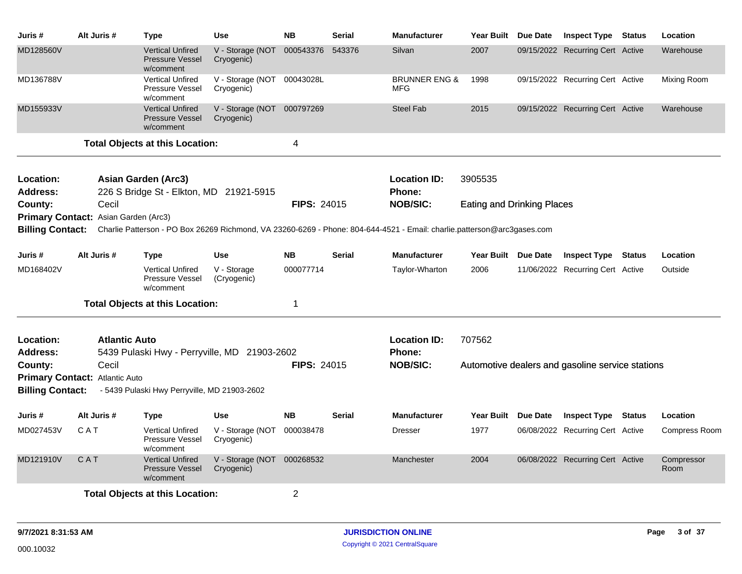| Juris #                 | Alt Juris #                          | Type                                                           | <b>Use</b>                               | <b>NB</b>          | <b>Serial</b> | <b>Manufacturer</b>                                                                                                     | <b>Year Built</b>                 | Due Date        | <b>Inspect Type</b>                              | <b>Status</b> | Location             |
|-------------------------|--------------------------------------|----------------------------------------------------------------|------------------------------------------|--------------------|---------------|-------------------------------------------------------------------------------------------------------------------------|-----------------------------------|-----------------|--------------------------------------------------|---------------|----------------------|
| MD128560V               |                                      | <b>Vertical Unfired</b><br><b>Pressure Vessel</b><br>w/comment | V - Storage (NOT<br>Cryogenic)           | 000543376          | 543376        | Silvan                                                                                                                  | 2007                              |                 | 09/15/2022 Recurring Cert Active                 |               | Warehouse            |
| MD136788V               |                                      | <b>Vertical Unfired</b><br><b>Pressure Vessel</b><br>w/comment | V - Storage (NOT 00043028L<br>Cryogenic) |                    |               | <b>BRUNNER ENG &amp;</b><br>MFG                                                                                         | 1998                              |                 | 09/15/2022 Recurring Cert Active                 |               | Mixing Room          |
| MD155933V               |                                      | <b>Vertical Unfired</b><br><b>Pressure Vessel</b><br>w/comment | V - Storage (NOT 000797269<br>Cryogenic) |                    |               | <b>Steel Fab</b>                                                                                                        | 2015                              |                 | 09/15/2022 Recurring Cert Active                 |               | Warehouse            |
|                         |                                      | <b>Total Objects at this Location:</b>                         |                                          | 4                  |               |                                                                                                                         |                                   |                 |                                                  |               |                      |
| Location:               |                                      | <b>Asian Garden (Arc3)</b>                                     |                                          |                    |               | <b>Location ID:</b>                                                                                                     | 3905535                           |                 |                                                  |               |                      |
| <b>Address:</b>         |                                      | 226 S Bridge St - Elkton, MD 21921-5915                        |                                          |                    |               | <b>Phone:</b>                                                                                                           |                                   |                 |                                                  |               |                      |
| County:                 | Cecil                                |                                                                |                                          | FIPS: 24015        |               | <b>NOB/SIC:</b>                                                                                                         | <b>Eating and Drinking Places</b> |                 |                                                  |               |                      |
|                         | Primary Contact: Asian Garden (Arc3) |                                                                |                                          |                    |               |                                                                                                                         |                                   |                 |                                                  |               |                      |
| <b>Billing Contact:</b> |                                      |                                                                |                                          |                    |               | Charlie Patterson - PO Box 26269 Richmond, VA 23260-6269 - Phone: 804-644-4521 - Email: charlie.patterson@arc3gases.com |                                   |                 |                                                  |               |                      |
| Juris #                 | Alt Juris #                          | Type                                                           | <b>Use</b>                               | <b>NB</b>          | <b>Serial</b> | <b>Manufacturer</b>                                                                                                     | <b>Year Built</b>                 | <b>Due Date</b> | <b>Inspect Type Status</b>                       |               | Location             |
| MD168402V               |                                      | <b>Vertical Unfired</b><br><b>Pressure Vessel</b><br>w/comment | V - Storage<br>(Cryogenic)               | 000077714          |               | Taylor-Wharton                                                                                                          | 2006                              |                 | 11/06/2022 Recurring Cert Active                 |               | Outside              |
|                         |                                      | <b>Total Objects at this Location:</b>                         |                                          | 1                  |               |                                                                                                                         |                                   |                 |                                                  |               |                      |
| <b>Location:</b>        |                                      | <b>Atlantic Auto</b>                                           |                                          |                    |               | <b>Location ID:</b>                                                                                                     | 707562                            |                 |                                                  |               |                      |
| <b>Address:</b>         |                                      | 5439 Pulaski Hwy - Perryville, MD 21903-2602                   |                                          |                    |               | Phone:                                                                                                                  |                                   |                 |                                                  |               |                      |
| County:                 | Cecil                                |                                                                |                                          | <b>FIPS: 24015</b> |               | <b>NOB/SIC:</b>                                                                                                         |                                   |                 | Automotive dealers and gasoline service stations |               |                      |
| <b>Billing Contact:</b> | Primary Contact: Atlantic Auto       | - 5439 Pulaski Hwy Perryville, MD 21903-2602                   |                                          |                    |               |                                                                                                                         |                                   |                 |                                                  |               |                      |
|                         |                                      |                                                                |                                          |                    |               |                                                                                                                         |                                   |                 |                                                  |               |                      |
| Juris #                 | Alt Juris #                          | <b>Type</b>                                                    | <b>Use</b>                               | <b>NB</b>          | <b>Serial</b> | <b>Manufacturer</b>                                                                                                     | <b>Year Built</b>                 | Due Date        | <b>Inspect Type Status</b>                       |               | Location             |
| MD027453V               | CAT                                  | <b>Vertical Unfired</b><br>Pressure Vessel<br>w/comment        | V - Storage (NOT<br>Cryogenic)           | 000038478          |               | <b>Dresser</b>                                                                                                          | 1977                              |                 | 06/08/2022 Recurring Cert Active                 |               | <b>Compress Room</b> |
| MD121910V               | CAT                                  | <b>Vertical Unfired</b><br><b>Pressure Vessel</b><br>w/comment | V - Storage (NOT 000268532<br>Cryogenic) |                    |               | Manchester                                                                                                              | 2004                              |                 | 06/08/2022 Recurring Cert Active                 |               | Compressor<br>Room   |
|                         |                                      | <b>Total Objects at this Location:</b>                         |                                          | $\overline{2}$     |               |                                                                                                                         |                                   |                 |                                                  |               |                      |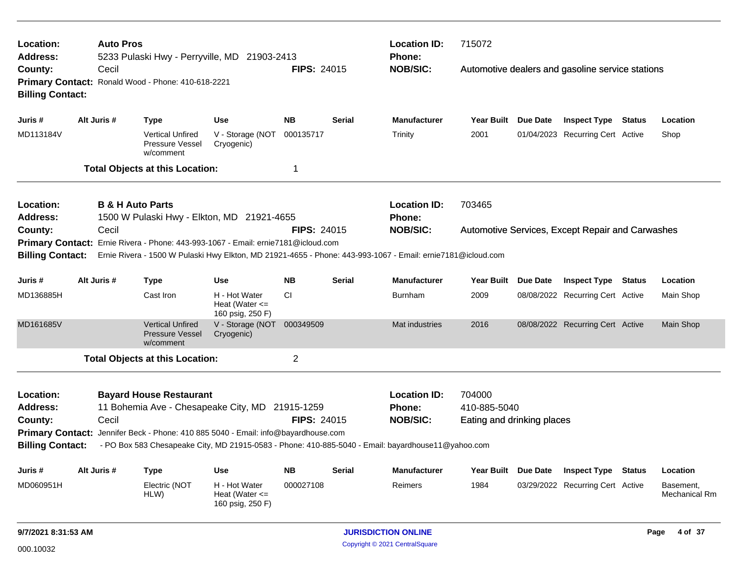| Location:<br>Address:        | <b>Auto Pros</b>                                                                                                              | 5233 Pulaski Hwy - Perryville, MD 21903-2413                                                                |                                                         |                    |               | <b>Location ID:</b><br>Phone:                    | 715072                                     |                                                                                                                                                    |                                  |        |                            |
|------------------------------|-------------------------------------------------------------------------------------------------------------------------------|-------------------------------------------------------------------------------------------------------------|---------------------------------------------------------|--------------------|---------------|--------------------------------------------------|--------------------------------------------|----------------------------------------------------------------------------------------------------------------------------------------------------|----------------------------------|--------|----------------------------|
| County:                      | Cecil                                                                                                                         |                                                                                                             |                                                         | <b>FIPS: 24015</b> |               | <b>NOB/SIC:</b>                                  |                                            |                                                                                                                                                    |                                  |        |                            |
| <b>Billing Contact:</b>      |                                                                                                                               | Primary Contact: Ronald Wood - Phone: 410-618-2221                                                          |                                                         |                    |               |                                                  |                                            | Automotive dealers and gasoline service stations<br>Due Date<br><b>Inspect Type Status</b><br>Location<br>01/04/2023 Recurring Cert Active<br>Shop |                                  |        |                            |
| Juris #                      | Alt Juris #                                                                                                                   | <b>Type</b>                                                                                                 | <b>Use</b>                                              | <b>NB</b>          | <b>Serial</b> | <b>Manufacturer</b>                              | <b>Year Built</b>                          |                                                                                                                                                    |                                  |        |                            |
| MD113184V                    |                                                                                                                               | <b>Vertical Unfired</b><br>Pressure Vessel<br>w/comment                                                     | V - Storage (NOT<br>Cryogenic)                          | 000135717          |               | Trinity                                          | 2001                                       |                                                                                                                                                    |                                  |        |                            |
|                              |                                                                                                                               | <b>Total Objects at this Location:</b>                                                                      |                                                         | $\overline{1}$     |               |                                                  |                                            |                                                                                                                                                    |                                  |        |                            |
| Location:<br><b>Address:</b> |                                                                                                                               | <b>B &amp; H Auto Parts</b><br>1500 W Pulaski Hwy - Elkton, MD 21921-4655                                   |                                                         |                    |               | <b>Location ID:</b><br><b>Phone:</b>             | 703465                                     |                                                                                                                                                    |                                  |        |                            |
| County:                      | <b>NOB/SIC:</b><br><b>FIPS: 24015</b><br>Cecil                                                                                |                                                                                                             |                                                         |                    |               | Automotive Services, Except Repair and Carwashes |                                            |                                                                                                                                                    |                                  |        |                            |
|                              | Ernie Rivera - Phone: 443-993-1067 - Email: ernie7181@icloud.com<br><b>Primary Contact:</b>                                   |                                                                                                             |                                                         |                    |               |                                                  |                                            |                                                                                                                                                    |                                  |        |                            |
| <b>Billing Contact:</b>      |                                                                                                                               | Ernie Rivera - 1500 W Pulaski Hwy Elkton, MD 21921-4655 - Phone: 443-993-1067 - Email: ernie7181@icloud.com |                                                         |                    |               |                                                  |                                            |                                                                                                                                                    |                                  |        |                            |
| Juris #                      | Alt Juris #                                                                                                                   | Type                                                                                                        | Use                                                     | <b>NB</b>          | <b>Serial</b> | <b>Manufacturer</b>                              | <b>Year Built</b>                          | Due Date                                                                                                                                           | <b>Inspect Type Status</b>       |        | Location                   |
| MD136885H                    |                                                                                                                               | Cast Iron                                                                                                   | H - Hot Water<br>Heat (Water $\leq$<br>160 psig, 250 F) | <b>CI</b>          |               | <b>Burnham</b>                                   | 2009                                       |                                                                                                                                                    | 08/08/2022 Recurring Cert Active |        | Main Shop                  |
| MD161685V                    |                                                                                                                               | <b>Vertical Unfired</b><br><b>Pressure Vessel</b><br>w/comment                                              | V - Storage (NOT 000349509<br>Cryogenic)                |                    |               | Mat industries                                   | 2016                                       |                                                                                                                                                    | 08/08/2022 Recurring Cert Active |        | Main Shop                  |
|                              |                                                                                                                               | <b>Total Objects at this Location:</b>                                                                      |                                                         | $\overline{2}$     |               |                                                  |                                            |                                                                                                                                                    |                                  |        |                            |
| Location:                    |                                                                                                                               | <b>Bayard House Restaurant</b>                                                                              |                                                         |                    |               | <b>Location ID:</b>                              | 704000                                     |                                                                                                                                                    |                                  |        |                            |
| <b>Address:</b><br>County:   |                                                                                                                               | 11 Bohemia Ave - Chesapeake City, MD 21915-1259                                                             |                                                         |                    |               | <b>Phone:</b><br><b>NOB/SIC:</b>                 | 410-885-5040<br>Eating and drinking places |                                                                                                                                                    |                                  |        |                            |
| <b>Primary Contact:</b>      | Cecil<br><b>FIPS: 24015</b><br>Jennifer Beck - Phone: 410 885 5040 - Email: info@bayardhouse.com                              |                                                                                                             |                                                         |                    |               |                                                  |                                            |                                                                                                                                                    |                                  |        |                            |
|                              | <b>Billing Contact:</b><br>- PO Box 583 Chesapeake City, MD 21915-0583 - Phone: 410-885-5040 - Email: bayardhouse11@yahoo.com |                                                                                                             |                                                         |                    |               |                                                  |                                            |                                                                                                                                                    |                                  |        |                            |
| Juris #                      | Alt Juris #                                                                                                                   | <b>Type</b>                                                                                                 | <b>Use</b>                                              | <b>NB</b>          | Serial        | <b>Manufacturer</b>                              | <b>Year Built</b>                          | Due Date                                                                                                                                           | <b>Inspect Type</b>              | Status | Location                   |
| MD060951H                    |                                                                                                                               | Electric (NOT<br>HLW)                                                                                       | H - Hot Water<br>Heat (Water $\leq$                     | 000027108          |               | Reimers                                          | 1984                                       |                                                                                                                                                    | 03/29/2022 Recurring Cert Active |        | Basement,<br>Mechanical Rm |

160 psig, 250 F)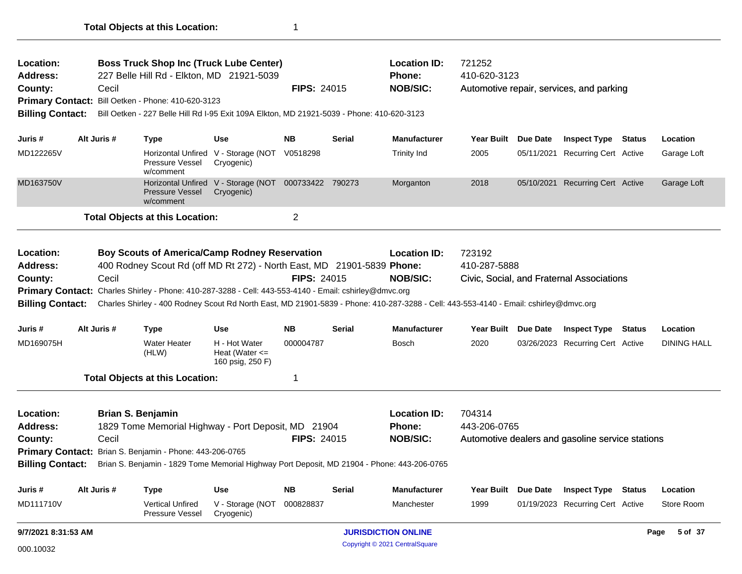| Location:<br><b>Address:</b><br>County:<br><b>Primary Contact:</b><br><b>Billing Contact:</b> | <b>Boss Truck Shop Inc (Truck Lube Center)</b><br>227 Belle Hill Rd - Elkton, MD 21921-5039<br>Cecil<br><b>FIPS: 24015</b><br>Bill Oetken - Phone: 410-620-3123<br>Bill Oetken - 227 Belle Hill Rd I-95 Exit 109A Elkton, MD 21921-5039 - Phone: 410-620-3123                                                                                                                                                    |                                   |                                                                                                                                                                                               |                                                                          |                    |               | <b>Location ID:</b><br>721252<br>410-620-3123<br><b>Phone:</b><br><b>NOB/SIC:</b><br>Automotive repair, services, and parking |                        |                        |                                                            |        |                         |
|-----------------------------------------------------------------------------------------------|------------------------------------------------------------------------------------------------------------------------------------------------------------------------------------------------------------------------------------------------------------------------------------------------------------------------------------------------------------------------------------------------------------------|-----------------------------------|-----------------------------------------------------------------------------------------------------------------------------------------------------------------------------------------------|--------------------------------------------------------------------------|--------------------|---------------|-------------------------------------------------------------------------------------------------------------------------------|------------------------|------------------------|------------------------------------------------------------|--------|-------------------------|
|                                                                                               |                                                                                                                                                                                                                                                                                                                                                                                                                  |                                   |                                                                                                                                                                                               |                                                                          |                    |               |                                                                                                                               |                        |                        |                                                            |        |                         |
| Juris #<br>MD122265V                                                                          |                                                                                                                                                                                                                                                                                                                                                                                                                  | Alt Juris #                       | <b>Type</b><br><b>Pressure Vessel</b><br>w/comment                                                                                                                                            | <b>Use</b><br>Horizontal Unfired V - Storage (NOT V0518298<br>Cryogenic) | <b>NB</b>          | <b>Serial</b> | <b>Manufacturer</b><br><b>Trinity Ind</b>                                                                                     | Year Built<br>2005     | Due Date<br>05/11/2021 | <b>Inspect Type Status</b><br><b>Recurring Cert Active</b> |        | Location<br>Garage Loft |
| MD163750V                                                                                     |                                                                                                                                                                                                                                                                                                                                                                                                                  |                                   | <b>Pressure Vessel</b><br>w/comment                                                                                                                                                           | Horizontal Unfired V - Storage (NOT 000733422 790273<br>Cryogenic)       |                    |               | Morganton                                                                                                                     | 2018                   | 05/10/2021             | <b>Recurring Cert Active</b>                               |        | Garage Loft             |
|                                                                                               |                                                                                                                                                                                                                                                                                                                                                                                                                  |                                   | <b>Total Objects at this Location:</b>                                                                                                                                                        |                                                                          | $\overline{2}$     |               |                                                                                                                               |                        |                        |                                                            |        |                         |
| Location:<br><b>Address:</b><br>County:<br><b>Billing Contact:</b>                            | <b>Boy Scouts of America/Camp Rodney Reservation</b><br>400 Rodney Scout Rd (off MD Rt 272) - North East, MD 21901-5839 Phone:<br>Cecil<br><b>FIPS: 24015</b><br>Primary Contact: Charles Shirley - Phone: 410-287-3288 - Cell: 443-553-4140 - Email: cshirley@dmvc.org<br>Charles Shirley - 400 Rodney Scout Rd North East, MD 21901-5839 - Phone: 410-287-3288 - Cell: 443-553-4140 - Email: cshirley@dmvc.org |                                   |                                                                                                                                                                                               |                                                                          |                    |               | <b>Location ID:</b><br><b>NOB/SIC:</b>                                                                                        | 723192<br>410-287-5888 |                        | Civic, Social, and Fraternal Associations                  |        |                         |
| Juris #                                                                                       |                                                                                                                                                                                                                                                                                                                                                                                                                  | Alt Juris #                       | Type                                                                                                                                                                                          | <b>Use</b>                                                               | <b>NB</b>          | <b>Serial</b> | <b>Manufacturer</b>                                                                                                           | Year Built             | <b>Due Date</b>        | <b>Inspect Type</b>                                        | Status | Location                |
| MD169075H                                                                                     |                                                                                                                                                                                                                                                                                                                                                                                                                  |                                   | <b>Water Heater</b><br>(HLW)                                                                                                                                                                  | H - Hot Water<br>Heat (Water $\leq$<br>160 psig, 250 F)                  | 000004787          |               | Bosch                                                                                                                         | 2020                   |                        | 03/26/2023 Recurring Cert Active                           |        | <b>DINING HALL</b>      |
|                                                                                               |                                                                                                                                                                                                                                                                                                                                                                                                                  |                                   | <b>Total Objects at this Location:</b>                                                                                                                                                        |                                                                          | 1                  |               |                                                                                                                               |                        |                        |                                                            |        |                         |
| Location:<br><b>Address:</b><br>County:<br><b>Primary Contact:</b><br><b>Billing Contact:</b> |                                                                                                                                                                                                                                                                                                                                                                                                                  | <b>Brian S. Benjamin</b><br>Cecil | 1829 Tome Memorial Highway - Port Deposit, MD 21904<br>Brian S. Benjamin - Phone: 443-206-0765<br>Brian S. Benjamin - 1829 Tome Memorial Highway Port Deposit, MD 21904 - Phone: 443-206-0765 |                                                                          | <b>FIPS: 24015</b> |               | <b>Location ID:</b><br><b>Phone:</b><br><b>NOB/SIC:</b>                                                                       | 704314<br>443-206-0765 |                        | Automotive dealers and gasoline service stations           |        |                         |
| Juris #                                                                                       |                                                                                                                                                                                                                                                                                                                                                                                                                  | Alt Juris #                       | <b>Type</b>                                                                                                                                                                                   | <b>Use</b>                                                               | <b>NB</b>          | <b>Serial</b> | <b>Manufacturer</b>                                                                                                           | <b>Year Built</b>      | Due Date               | <b>Inspect Type</b>                                        | Status | Location                |
| MD111710V                                                                                     |                                                                                                                                                                                                                                                                                                                                                                                                                  |                                   | <b>Vertical Unfired</b><br>Pressure Vessel                                                                                                                                                    | V - Storage (NOT 000828837<br>Cryogenic)                                 |                    |               | Manchester                                                                                                                    | 1999                   |                        | 01/19/2023 Recurring Cert Active                           |        | Store Room              |
| 9/7/2021 8:31:53 AM                                                                           |                                                                                                                                                                                                                                                                                                                                                                                                                  |                                   |                                                                                                                                                                                               |                                                                          |                    |               | <b>JURISDICTION ONLINE</b>                                                                                                    |                        |                        |                                                            |        | 5 of 37<br>Page         |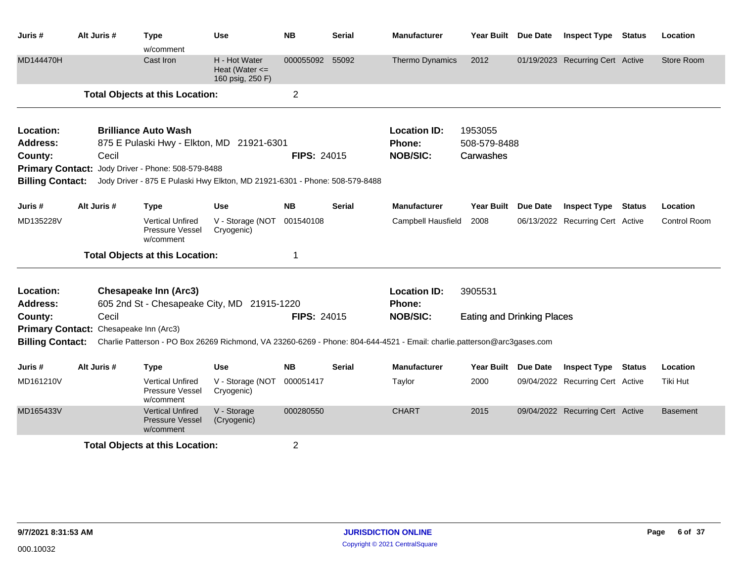| Juris #                 | Alt Juris #                            | Type<br>w/comment                                              | <b>Use</b>                                                                  | <b>NB</b>          | Serial        | <b>Manufacturer</b>                                                                                                     | Year Built Due Date               | <b>Inspect Type Status</b>       | Location            |
|-------------------------|----------------------------------------|----------------------------------------------------------------|-----------------------------------------------------------------------------|--------------------|---------------|-------------------------------------------------------------------------------------------------------------------------|-----------------------------------|----------------------------------|---------------------|
| MD144470H               |                                        | Cast Iron                                                      | H - Hot Water<br>Heat (Water $\leq$<br>160 psig, 250 F)                     | 000055092          | 55092         | Thermo Dynamics                                                                                                         | 2012                              | 01/19/2023 Recurring Cert Active | Store Room          |
|                         |                                        | <b>Total Objects at this Location:</b>                         |                                                                             | $\overline{2}$     |               |                                                                                                                         |                                   |                                  |                     |
| Location:               |                                        | <b>Brilliance Auto Wash</b>                                    |                                                                             |                    |               | <b>Location ID:</b>                                                                                                     | 1953055                           |                                  |                     |
| <b>Address:</b>         |                                        |                                                                | 875 E Pulaski Hwy - Elkton, MD 21921-6301                                   |                    |               | Phone:                                                                                                                  | 508-579-8488                      |                                  |                     |
| County:                 | Cecil                                  |                                                                |                                                                             | <b>FIPS: 24015</b> |               | <b>NOB/SIC:</b>                                                                                                         | Carwashes                         |                                  |                     |
|                         |                                        | Primary Contact: Jody Driver - Phone: 508-579-8488             |                                                                             |                    |               |                                                                                                                         |                                   |                                  |                     |
| <b>Billing Contact:</b> |                                        |                                                                | Jody Driver - 875 E Pulaski Hwy Elkton, MD 21921-6301 - Phone: 508-579-8488 |                    |               |                                                                                                                         |                                   |                                  |                     |
| Juris #                 | Alt Juris #                            | <b>Type</b>                                                    | Use                                                                         | <b>NB</b>          | <b>Serial</b> | <b>Manufacturer</b>                                                                                                     | Year Built Due Date               | <b>Inspect Type Status</b>       | Location            |
| MD135228V               |                                        | <b>Vertical Unfired</b><br>Pressure Vessel<br>w/comment        | V - Storage (NOT<br>Cryogenic)                                              | 001540108          |               | Campbell Hausfield                                                                                                      | 2008                              | 06/13/2022 Recurring Cert Active | <b>Control Room</b> |
|                         |                                        | <b>Total Objects at this Location:</b>                         |                                                                             | 1                  |               |                                                                                                                         |                                   |                                  |                     |
| Location:               |                                        | <b>Chesapeake Inn (Arc3)</b>                                   |                                                                             |                    |               | <b>Location ID:</b>                                                                                                     | 3905531                           |                                  |                     |
| <b>Address:</b>         |                                        |                                                                | 605 2nd St - Chesapeake City, MD 21915-1220                                 |                    |               | <b>Phone:</b>                                                                                                           |                                   |                                  |                     |
| County:                 | Cecil                                  |                                                                |                                                                             | <b>FIPS: 24015</b> |               | <b>NOB/SIC:</b>                                                                                                         | <b>Eating and Drinking Places</b> |                                  |                     |
|                         | Primary Contact: Chesapeake Inn (Arc3) |                                                                |                                                                             |                    |               |                                                                                                                         |                                   |                                  |                     |
| <b>Billing Contact:</b> |                                        |                                                                |                                                                             |                    |               | Charlie Patterson - PO Box 26269 Richmond, VA 23260-6269 - Phone: 804-644-4521 - Email: charlie.patterson@arc3gases.com |                                   |                                  |                     |
| Juris #                 | Alt Juris #                            | <b>Type</b>                                                    | Use                                                                         | <b>NB</b>          | <b>Serial</b> | <b>Manufacturer</b>                                                                                                     | Year Built Due Date               | <b>Inspect Type Status</b>       | Location            |
| MD161210V               |                                        | <b>Vertical Unfired</b><br>Pressure Vessel<br>w/comment        | V - Storage (NOT<br>Cryogenic)                                              | 000051417          |               | Taylor                                                                                                                  | 2000                              | 09/04/2022 Recurring Cert Active | Tiki Hut            |
| MD165433V               |                                        | <b>Vertical Unfired</b><br><b>Pressure Vessel</b><br>w/comment | V - Storage<br>(Cryogenic)                                                  | 000280550          |               | <b>CHART</b>                                                                                                            | 2015                              | 09/04/2022 Recurring Cert Active | <b>Basement</b>     |
|                         |                                        | <b>Total Objects at this Location:</b>                         |                                                                             | $\overline{2}$     |               |                                                                                                                         |                                   |                                  |                     |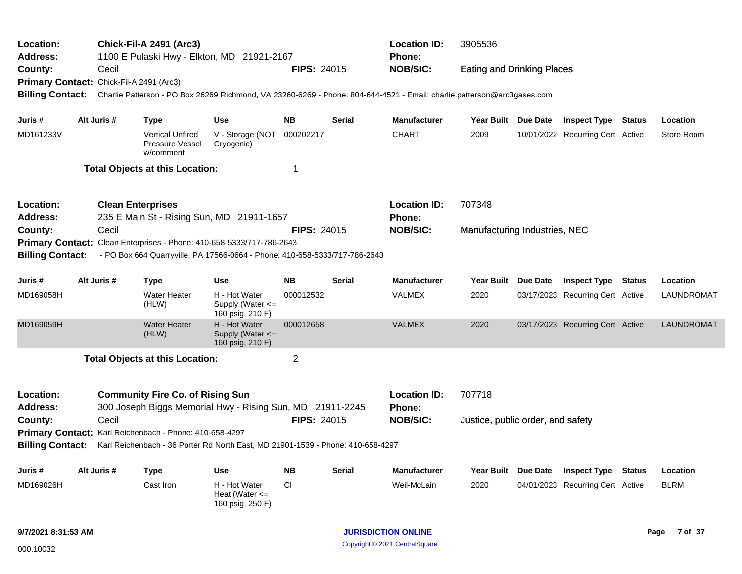| Location:<br><b>Chick-Fil-A 2491 (Arc3)</b><br>1100 E Pulaski Hwy - Elkton, MD 21921-2167<br>Address:<br>County:<br>Cecil |                                                                                                                                                                                                                                                                                                                                                                                                                                                                                                                                                                                                                                                                                                        |             |                                                         |                                                                                 |                    |               | <b>Location ID:</b><br>Phone:        | 3905536                           |                 |                                  |        |             |
|---------------------------------------------------------------------------------------------------------------------------|--------------------------------------------------------------------------------------------------------------------------------------------------------------------------------------------------------------------------------------------------------------------------------------------------------------------------------------------------------------------------------------------------------------------------------------------------------------------------------------------------------------------------------------------------------------------------------------------------------------------------------------------------------------------------------------------------------|-------------|---------------------------------------------------------|---------------------------------------------------------------------------------|--------------------|---------------|--------------------------------------|-----------------------------------|-----------------|----------------------------------|--------|-------------|
|                                                                                                                           |                                                                                                                                                                                                                                                                                                                                                                                                                                                                                                                                                                                                                                                                                                        |             |                                                         |                                                                                 |                    |               | <b>NOB/SIC:</b>                      |                                   |                 |                                  |        |             |
|                                                                                                                           |                                                                                                                                                                                                                                                                                                                                                                                                                                                                                                                                                                                                                                                                                                        |             |                                                         |                                                                                 |                    |               |                                      |                                   |                 |                                  |        |             |
| <b>Billing Contact:</b>                                                                                                   | <b>FIPS: 24015</b><br><b>Eating and Drinking Places</b><br>Primary Contact: Chick-Fil-A 2491 (Arc3)<br>Charlie Patterson - PO Box 26269 Richmond, VA 23260-6269 - Phone: 804-644-4521 - Email: charlie.patterson@arc3gases.com<br>Alt Juris #<br><b>NB</b><br><b>Serial</b><br><b>Manufacturer</b><br>Year Built Due Date<br><b>Type</b><br><b>Use</b><br><b>CHART</b><br>V - Storage (NOT<br>000202217<br>2009<br><b>Vertical Unfired</b><br>10/01/2022 Recurring Cert Active<br>Pressure Vessel<br>Cryogenic)<br>w/comment<br>1<br><b>Total Objects at this Location:</b><br><b>Location ID:</b><br>707348<br><b>Clean Enterprises</b><br>235 E Main St - Rising Sun, MD 21911-1657<br><b>Phone:</b> |             |                                                         |                                                                                 |                    |               |                                      |                                   |                 |                                  |        |             |
| Juris #                                                                                                                   |                                                                                                                                                                                                                                                                                                                                                                                                                                                                                                                                                                                                                                                                                                        |             |                                                         |                                                                                 |                    |               |                                      |                                   |                 | <b>Inspect Type Status</b>       |        | Location    |
| MD161233V                                                                                                                 |                                                                                                                                                                                                                                                                                                                                                                                                                                                                                                                                                                                                                                                                                                        |             |                                                         |                                                                                 |                    |               |                                      |                                   |                 |                                  |        | Store Room  |
|                                                                                                                           |                                                                                                                                                                                                                                                                                                                                                                                                                                                                                                                                                                                                                                                                                                        |             |                                                         |                                                                                 |                    |               |                                      |                                   |                 |                                  |        |             |
| Location:                                                                                                                 |                                                                                                                                                                                                                                                                                                                                                                                                                                                                                                                                                                                                                                                                                                        |             |                                                         |                                                                                 |                    |               |                                      |                                   |                 |                                  |        |             |
| <b>Address:</b>                                                                                                           |                                                                                                                                                                                                                                                                                                                                                                                                                                                                                                                                                                                                                                                                                                        |             |                                                         |                                                                                 |                    |               |                                      |                                   |                 |                                  |        |             |
| County:                                                                                                                   |                                                                                                                                                                                                                                                                                                                                                                                                                                                                                                                                                                                                                                                                                                        | Cecil       |                                                         |                                                                                 | <b>FIPS: 24015</b> |               | <b>NOB/SIC:</b>                      | Manufacturing Industries, NEC     |                 |                                  |        |             |
|                                                                                                                           | Primary Contact: Clean Enterprises - Phone: 410-658-5333/717-786-2643                                                                                                                                                                                                                                                                                                                                                                                                                                                                                                                                                                                                                                  |             |                                                         |                                                                                 |                    |               |                                      |                                   |                 |                                  |        |             |
| <b>Billing Contact:</b>                                                                                                   | - PO Box 664 Quarryville, PA 17566-0664 - Phone: 410-658-5333/717-786-2643                                                                                                                                                                                                                                                                                                                                                                                                                                                                                                                                                                                                                             |             |                                                         |                                                                                 |                    |               |                                      |                                   |                 |                                  |        |             |
| Juris #                                                                                                                   |                                                                                                                                                                                                                                                                                                                                                                                                                                                                                                                                                                                                                                                                                                        | Alt Juris # | <b>Type</b>                                             | <b>Use</b>                                                                      | <b>NB</b>          | <b>Serial</b> | <b>Manufacturer</b>                  | <b>Year Built</b>                 | <b>Due Date</b> | <b>Inspect Type Status</b>       |        | Location    |
| MD169058H                                                                                                                 |                                                                                                                                                                                                                                                                                                                                                                                                                                                                                                                                                                                                                                                                                                        |             | <b>Water Heater</b><br>(HLW)                            | H - Hot Water<br>Supply (Water <=<br>160 psig, 210 F)                           | 000012532          |               | <b>VALMEX</b>                        | 2020                              |                 | 03/17/2023 Recurring Cert Active |        | LAUNDROMAT  |
| MD169059H                                                                                                                 |                                                                                                                                                                                                                                                                                                                                                                                                                                                                                                                                                                                                                                                                                                        |             | <b>Water Heater</b><br>(HLW)                            | H - Hot Water<br>Supply (Water <=<br>160 psig, 210 F)                           | 000012658          |               | <b>VALMEX</b>                        | 2020                              |                 | 03/17/2023 Recurring Cert Active |        | LAUNDROMAT  |
|                                                                                                                           |                                                                                                                                                                                                                                                                                                                                                                                                                                                                                                                                                                                                                                                                                                        |             | <b>Total Objects at this Location:</b>                  |                                                                                 | $\overline{c}$     |               |                                      |                                   |                 |                                  |        |             |
| Location:<br>Address:                                                                                                     |                                                                                                                                                                                                                                                                                                                                                                                                                                                                                                                                                                                                                                                                                                        |             | <b>Community Fire Co. of Rising Sun</b>                 | 300 Joseph Biggs Memorial Hwy - Rising Sun, MD 21911-2245                       |                    |               | <b>Location ID:</b><br><b>Phone:</b> | 707718                            |                 |                                  |        |             |
| County:                                                                                                                   |                                                                                                                                                                                                                                                                                                                                                                                                                                                                                                                                                                                                                                                                                                        | Cecil       |                                                         |                                                                                 | FIPS: 24015        |               | <b>NOB/SIC:</b>                      | Justice, public order, and safety |                 |                                  |        |             |
|                                                                                                                           |                                                                                                                                                                                                                                                                                                                                                                                                                                                                                                                                                                                                                                                                                                        |             | Primary Contact: Karl Reichenbach - Phone: 410-658-4297 |                                                                                 |                    |               |                                      |                                   |                 |                                  |        |             |
| <b>Billing Contact:</b>                                                                                                   |                                                                                                                                                                                                                                                                                                                                                                                                                                                                                                                                                                                                                                                                                                        |             |                                                         | Karl Reichenbach - 36 Porter Rd North East, MD 21901-1539 - Phone: 410-658-4297 |                    |               |                                      |                                   |                 |                                  |        |             |
| Juris #                                                                                                                   |                                                                                                                                                                                                                                                                                                                                                                                                                                                                                                                                                                                                                                                                                                        | Alt Juris # | <b>Type</b>                                             | <b>Use</b>                                                                      | <b>NB</b>          | <b>Serial</b> | <b>Manufacturer</b>                  | Year Built Due Date               |                 | <b>Inspect Type</b>              | Status | Location    |
| MD169026H                                                                                                                 |                                                                                                                                                                                                                                                                                                                                                                                                                                                                                                                                                                                                                                                                                                        |             | Cast Iron                                               | H - Hot Water<br>Heat (Water $\leq$<br>160 psig, 250 F)                         | <b>CI</b>          |               | Weil-McLain                          | 2020                              |                 | 04/01/2023 Recurring Cert Active |        | <b>BLRM</b> |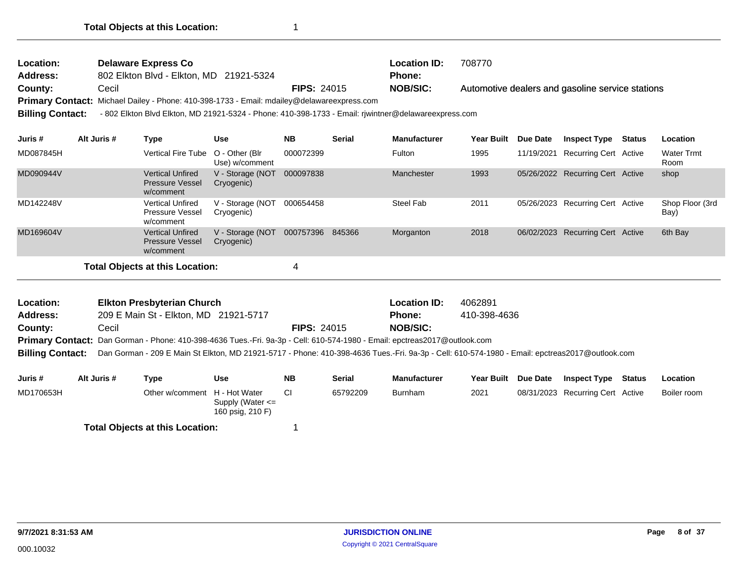| Location:       | <b>Delaware Express Co</b>                                                                 |                    | <b>Location ID:</b> | 708770                                           |
|-----------------|--------------------------------------------------------------------------------------------|--------------------|---------------------|--------------------------------------------------|
| <b>Address:</b> | 802 Elkton Blvd - Elkton, MD 21921-5324                                                    |                    | <b>Phone:</b>       |                                                  |
| County:         | Cecil                                                                                      | <b>FIPS: 24015</b> | NOB/SIC:            | Automotive dealers and gasoline service stations |
|                 | Primary Contact: Michael Dailey - Phone: 410-398-1733 - Email: mdailey@delawareexpress.com |                    |                     |                                                  |
| $\mathbf{r}$    | $\overline{a}$                                                                             |                    |                     |                                                  |

**Billing Contact:** - 802 Elkton Blvd Elkton, MD 21921-5324 - Phone: 410-398-1733 - Email: rjwintner@delawareexpress.com

| Juris #   | Alt Juris # | Type                                                           | Use                              | <b>NB</b> | <b>Serial</b> | <b>Manufacturer</b> | <b>Year Built</b> | <b>Due Date</b> | <b>Inspect Type</b>              | Status | Location                  |
|-----------|-------------|----------------------------------------------------------------|----------------------------------|-----------|---------------|---------------------|-------------------|-----------------|----------------------------------|--------|---------------------------|
| MD087845H |             | <b>Vertical Fire Tube</b>                                      | O - Other (Blr<br>Use) w/comment | 000072399 |               | Fulton              | 1995              | 11/19/2021      | Recurring Cert Active            |        | <b>Water Trmt</b><br>Room |
| MD090944V |             | <b>Vertical Unfired</b><br><b>Pressure Vessel</b><br>w/comment | V - Storage (NOT<br>Cryogenic)   | 000097838 |               | Manchester          | 1993              |                 | 05/26/2022 Recurring Cert Active |        | shop                      |
| MD142248V |             | <b>Vertical Unfired</b><br><b>Pressure Vessel</b><br>w/comment | V - Storage (NOT<br>Cryogenic)   | 000654458 |               | Steel Fab           | 2011              |                 | 05/26/2023 Recurring Cert Active |        | Shop Floor (3rd<br>Bay)   |
| MD169604V |             | <b>Vertical Unfired</b><br><b>Pressure Vessel</b><br>w/comment | V - Storage (NOT<br>Cryogenic)   | 000757396 | 845366        | Morganton           | 2018              |                 | 06/02/2023 Recurring Cert Active |        | 6th Bay                   |
|           |             | <b>Total Objects at this Location:</b>                         |                                  |           |               |                     |                   |                 |                                  |        |                           |

| <b>Location:</b>        | <b>Elkton Presbyterian Church</b>                                                                                                              |                    | <b>Location ID:</b> | 4062891      |
|-------------------------|------------------------------------------------------------------------------------------------------------------------------------------------|--------------------|---------------------|--------------|
| <b>Address:</b>         | 209 E Main St - Elkton, MD 21921-5717                                                                                                          |                    | <b>Phone:</b>       | 410-398-4636 |
| County:                 | Cecil                                                                                                                                          | <b>FIPS: 24015</b> | <b>NOB/SIC:</b>     |              |
|                         | Primary Contact: Dan Gorman - Phone: 410-398-4636 Tues.-Fri. 9a-3p - Cell: 610-574-1980 - Email: epctreas2017@outlook.com                      |                    |                     |              |
| <b>Billing Contact:</b> | Dan Gorman - 209 E Main St Elkton, MD 21921-5717 - Phone: 410-398-4636 Tues.-Fri. 9a-3p - Cell: 610-574-1980 - Email: epctreas2017@outlook.com |                    |                     |              |

| Juris #   | Alt Juris # | Type                                   | Use                                      | <b>NB</b> | <b>Serial</b> | <b>Manufacturer</b> | Year Built | <b>Due Date</b> | <b>Inspect Type Status</b>       | Location    |
|-----------|-------------|----------------------------------------|------------------------------------------|-----------|---------------|---------------------|------------|-----------------|----------------------------------|-------------|
| MD170653H |             | Other w/comment H - Hot Water          | Supply (Water $\leq$<br>160 psig, 210 F) |           | 65792209      | <b>Burnham</b>      | 2021       |                 | 08/31/2023 Recurring Cert Active | Boiler room |
|           |             | <b>Total Objects at this Location:</b> |                                          |           |               |                     |            |                 |                                  |             |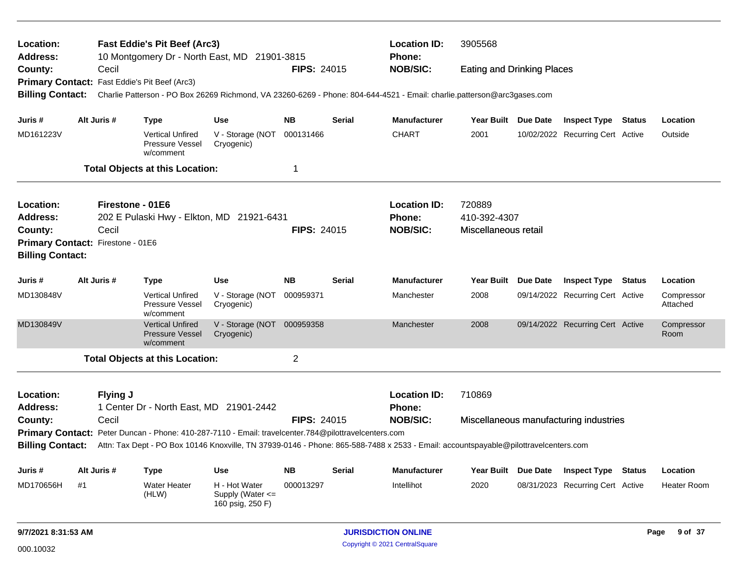| Location:<br><b>Address:</b> |                                                                                                                                                                                                                                             |                  | <b>Fast Eddie's Pit Beef (Arc3)</b>                            | 10 Montgomery Dr - North East, MD 21901-3815              |                    |               | <b>Location ID:</b><br>Phone: | 3905568<br><b>Eating and Drinking Places</b><br>Charlie Patterson - PO Box 26269 Richmond, VA 23260-6269 - Phone: 804-644-4521 - Email: charlie.patterson@arc3gases.com<br>Year Built Due Date<br><b>Inspect Type Status</b><br>2001<br>10/02/2022 Recurring Cert Active<br>720889<br>410-392-4307<br>Miscellaneous retail<br>Year Built Due Date<br><b>Inspect Type Status</b><br>2008<br>09/14/2022 Recurring Cert Active<br>2008<br>09/14/2022 Recurring Cert Active<br>Room<br>710869 |  |                                        |        |                        |
|------------------------------|---------------------------------------------------------------------------------------------------------------------------------------------------------------------------------------------------------------------------------------------|------------------|----------------------------------------------------------------|-----------------------------------------------------------|--------------------|---------------|-------------------------------|-------------------------------------------------------------------------------------------------------------------------------------------------------------------------------------------------------------------------------------------------------------------------------------------------------------------------------------------------------------------------------------------------------------------------------------------------------------------------------------------|--|----------------------------------------|--------|------------------------|
| County:                      |                                                                                                                                                                                                                                             | Cecil            |                                                                |                                                           | <b>FIPS: 24015</b> |               | <b>NOB/SIC:</b>               |                                                                                                                                                                                                                                                                                                                                                                                                                                                                                           |  |                                        |        |                        |
|                              |                                                                                                                                                                                                                                             |                  | Primary Contact: Fast Eddie's Pit Beef (Arc3)                  |                                                           |                    |               |                               |                                                                                                                                                                                                                                                                                                                                                                                                                                                                                           |  |                                        |        |                        |
| <b>Billing Contact:</b>      |                                                                                                                                                                                                                                             |                  |                                                                |                                                           |                    |               |                               |                                                                                                                                                                                                                                                                                                                                                                                                                                                                                           |  |                                        |        |                        |
| Juris #                      |                                                                                                                                                                                                                                             | Alt Juris #      | <b>Type</b>                                                    | <b>Use</b>                                                | <b>NB</b>          | <b>Serial</b> | <b>Manufacturer</b>           |                                                                                                                                                                                                                                                                                                                                                                                                                                                                                           |  |                                        |        | Location               |
| MD161223V                    |                                                                                                                                                                                                                                             |                  | <b>Vertical Unfired</b><br>Pressure Vessel<br>w/comment        | V - Storage (NOT 000131466<br>Cryogenic)                  |                    |               | <b>CHART</b>                  |                                                                                                                                                                                                                                                                                                                                                                                                                                                                                           |  |                                        |        | Outside                |
|                              |                                                                                                                                                                                                                                             |                  | <b>Total Objects at this Location:</b>                         |                                                           | 1                  |               |                               |                                                                                                                                                                                                                                                                                                                                                                                                                                                                                           |  |                                        |        |                        |
| <b>Location:</b>             |                                                                                                                                                                                                                                             | Firestone - 01E6 |                                                                |                                                           |                    |               | <b>Location ID:</b>           |                                                                                                                                                                                                                                                                                                                                                                                                                                                                                           |  |                                        |        |                        |
| <b>Address:</b>              |                                                                                                                                                                                                                                             |                  |                                                                | 202 E Pulaski Hwy - Elkton, MD 21921-6431                 |                    |               | <b>Phone:</b>                 |                                                                                                                                                                                                                                                                                                                                                                                                                                                                                           |  |                                        |        |                        |
| County:                      |                                                                                                                                                                                                                                             | Cecil            |                                                                |                                                           | <b>FIPS: 24015</b> |               | <b>NOB/SIC:</b>               |                                                                                                                                                                                                                                                                                                                                                                                                                                                                                           |  |                                        |        |                        |
| <b>Billing Contact:</b>      | Primary Contact: Firestone - 01E6                                                                                                                                                                                                           |                  |                                                                |                                                           |                    |               |                               |                                                                                                                                                                                                                                                                                                                                                                                                                                                                                           |  |                                        |        |                        |
| Juris #                      |                                                                                                                                                                                                                                             | Alt Juris #      | Type                                                           | <b>Use</b>                                                | <b>NB</b>          | <b>Serial</b> | <b>Manufacturer</b>           |                                                                                                                                                                                                                                                                                                                                                                                                                                                                                           |  |                                        |        | Location               |
| MD130848V                    |                                                                                                                                                                                                                                             |                  | <b>Vertical Unfired</b><br><b>Pressure Vessel</b><br>w/comment | V - Storage (NOT 000959371<br>Cryogenic)                  |                    |               | Manchester                    |                                                                                                                                                                                                                                                                                                                                                                                                                                                                                           |  |                                        |        | Compressor<br>Attached |
| MD130849V                    |                                                                                                                                                                                                                                             |                  | <b>Vertical Unfired</b><br><b>Pressure Vessel</b><br>w/comment | V - Storage (NOT 000959358<br>Cryogenic)                  |                    |               | Manchester                    |                                                                                                                                                                                                                                                                                                                                                                                                                                                                                           |  |                                        |        | Compressor             |
|                              |                                                                                                                                                                                                                                             |                  | <b>Total Objects at this Location:</b>                         |                                                           | 2                  |               |                               |                                                                                                                                                                                                                                                                                                                                                                                                                                                                                           |  |                                        |        |                        |
| Location:                    |                                                                                                                                                                                                                                             | Flying J         |                                                                |                                                           |                    |               | <b>Location ID:</b>           |                                                                                                                                                                                                                                                                                                                                                                                                                                                                                           |  |                                        |        |                        |
| <b>Address:</b>              |                                                                                                                                                                                                                                             |                  | 1 Center Dr - North East, MD 21901-2442                        |                                                           |                    |               | <b>Phone:</b>                 |                                                                                                                                                                                                                                                                                                                                                                                                                                                                                           |  |                                        |        |                        |
| County:                      |                                                                                                                                                                                                                                             | Cecil            |                                                                |                                                           | <b>FIPS: 24015</b> |               | <b>NOB/SIC:</b>               |                                                                                                                                                                                                                                                                                                                                                                                                                                                                                           |  | Miscellaneous manufacturing industries |        |                        |
| <b>Billing Contact:</b>      | Primary Contact: Peter Duncan - Phone: 410-287-7110 - Email: travelcenter.784@pilottravelcenters.com<br>Attn: Tax Dept - PO Box 10146 Knoxville, TN 37939-0146 - Phone: 865-588-7488 x 2533 - Email: accountspayable@pilottravelcenters.com |                  |                                                                |                                                           |                    |               |                               |                                                                                                                                                                                                                                                                                                                                                                                                                                                                                           |  |                                        |        |                        |
| Juris #                      |                                                                                                                                                                                                                                             | Alt Juris #      | <b>Type</b>                                                    | <b>Use</b>                                                | <b>NB</b>          | <b>Serial</b> | <b>Manufacturer</b>           | Year Built Due Date                                                                                                                                                                                                                                                                                                                                                                                                                                                                       |  | <b>Inspect Type</b>                    | Status | Location               |
| MD170656H                    | #1                                                                                                                                                                                                                                          |                  | <b>Water Heater</b><br>(HLW)                                   | H - Hot Water<br>Supply (Water $\leq$<br>160 psig, 250 F) | 000013297          |               | Intellihot                    | 2020                                                                                                                                                                                                                                                                                                                                                                                                                                                                                      |  | 08/31/2023 Recurring Cert Active       |        | <b>Heater Room</b>     |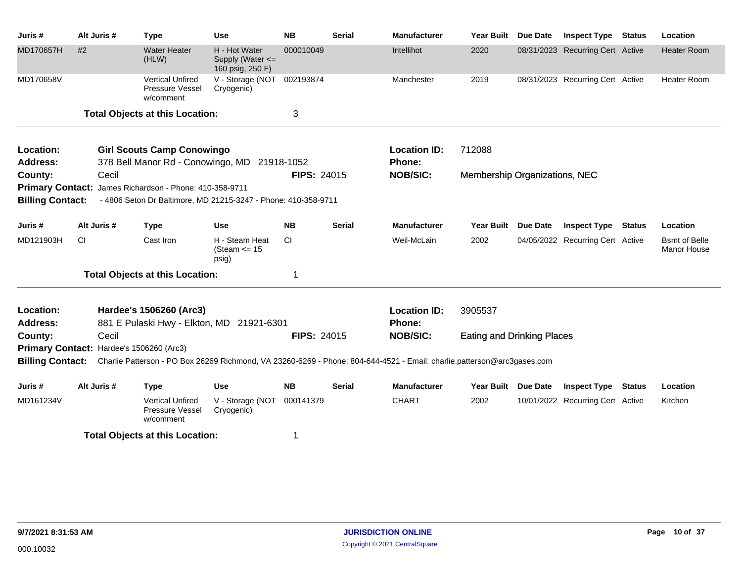| Juris #                                            | Alt Juris #                              | <b>Type</b>                                                                                              | <b>Use</b>                                                | <b>NB</b>          | <b>Serial</b> | <b>Manufacturer</b>                                                                                                     | Year Built                        | <b>Due Date</b> | <b>Inspect Type Status</b>       | Location                                    |
|----------------------------------------------------|------------------------------------------|----------------------------------------------------------------------------------------------------------|-----------------------------------------------------------|--------------------|---------------|-------------------------------------------------------------------------------------------------------------------------|-----------------------------------|-----------------|----------------------------------|---------------------------------------------|
| MD170657H                                          | #2                                       | <b>Water Heater</b><br>(HLW)                                                                             | H - Hot Water<br>Supply (Water $\leq$<br>160 psig, 250 F) | 000010049          |               | Intellihot                                                                                                              | 2020                              |                 | 08/31/2023 Recurring Cert Active | <b>Heater Room</b>                          |
| MD170658V                                          |                                          | <b>Vertical Unfired</b><br>Pressure Vessel<br>w/comment                                                  | V - Storage (NOT 002193874<br>Cryogenic)                  |                    |               | Manchester                                                                                                              | 2019                              |                 | 08/31/2023 Recurring Cert Active | <b>Heater Room</b>                          |
|                                                    |                                          | <b>Total Objects at this Location:</b>                                                                   |                                                           | 3                  |               |                                                                                                                         |                                   |                 |                                  |                                             |
| Location:<br><b>Address:</b>                       |                                          | <b>Girl Scouts Camp Conowingo</b><br>378 Bell Manor Rd - Conowingo, MD                                   |                                                           | 21918-1052         |               | <b>Location ID:</b><br>Phone:                                                                                           | 712088                            |                 |                                  |                                             |
| County:                                            | Cecil                                    |                                                                                                          |                                                           | <b>FIPS: 24015</b> |               | <b>NOB/SIC:</b>                                                                                                         | Membership Organizations, NEC     |                 |                                  |                                             |
| <b>Primary Contact:</b><br><b>Billing Contact:</b> |                                          | James Richardson - Phone: 410-358-9711<br>- 4806 Seton Dr Baltimore, MD 21215-3247 - Phone: 410-358-9711 |                                                           |                    |               |                                                                                                                         |                                   |                 |                                  |                                             |
| Juris #                                            | Alt Juris #                              | <b>Type</b>                                                                                              | Use                                                       | <b>NB</b>          | Serial        | <b>Manufacturer</b>                                                                                                     | Year Built Due Date               |                 | <b>Inspect Type Status</b>       | Location                                    |
| MD121903H                                          | CI                                       | Cast Iron                                                                                                | H - Steam Heat<br>(Steam $\le$ 15<br>psig)                | CI                 |               | Weil-McLain                                                                                                             | 2002                              |                 | 04/05/2022 Recurring Cert Active | <b>B</b> smt of Belle<br><b>Manor House</b> |
|                                                    |                                          | <b>Total Objects at this Location:</b>                                                                   |                                                           | 1                  |               |                                                                                                                         |                                   |                 |                                  |                                             |
| Location:                                          |                                          | Hardee's 1506260 (Arc3)                                                                                  |                                                           |                    |               | <b>Location ID:</b>                                                                                                     | 3905537                           |                 |                                  |                                             |
| <b>Address:</b>                                    |                                          | 881 E Pulaski Hwy - Elkton, MD 21921-6301                                                                |                                                           |                    |               | Phone:                                                                                                                  |                                   |                 |                                  |                                             |
| County:                                            | Cecil                                    |                                                                                                          |                                                           | <b>FIPS: 24015</b> |               | <b>NOB/SIC:</b>                                                                                                         | <b>Eating and Drinking Places</b> |                 |                                  |                                             |
| <b>Billing Contact:</b>                            | Primary Contact: Hardee's 1506260 (Arc3) |                                                                                                          |                                                           |                    |               | Charlie Patterson - PO Box 26269 Richmond, VA 23260-6269 - Phone: 804-644-4521 - Email: charlie.patterson@arc3gases.com |                                   |                 |                                  |                                             |
| Juris #                                            | Alt Juris #                              | <b>Type</b>                                                                                              | Use                                                       | <b>NB</b>          | Serial        | <b>Manufacturer</b>                                                                                                     | Year Built Due Date               |                 | <b>Inspect Type Status</b>       | Location                                    |
| MD161234V                                          |                                          | <b>Vertical Unfired</b><br>Pressure Vessel<br>w/comment                                                  | V - Storage (NOT<br>Cryogenic)                            | 000141379          |               | <b>CHART</b>                                                                                                            | 2002                              |                 | 10/01/2022 Recurring Cert Active | Kitchen                                     |
|                                                    |                                          | <b>Total Objects at this Location:</b>                                                                   |                                                           |                    |               |                                                                                                                         |                                   |                 |                                  |                                             |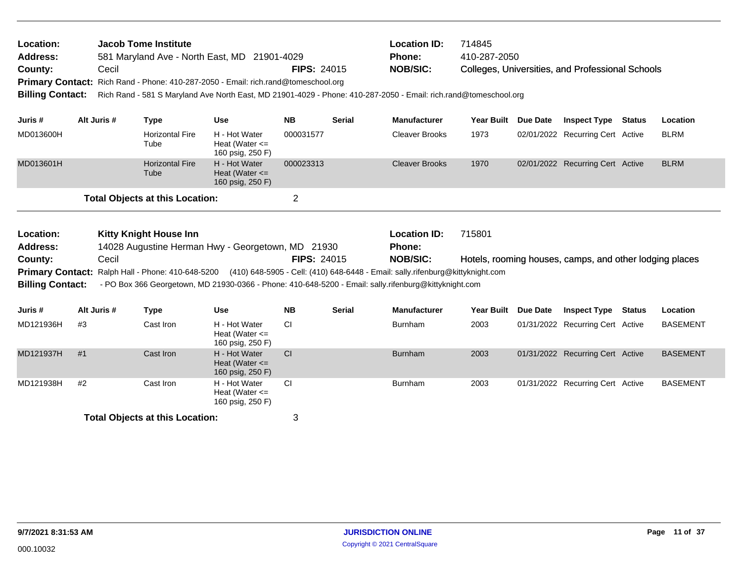| Location:<br><b>Address:</b><br>County:<br><b>Billing Contact:</b> | Cecil | Jacob Tome Institute | 581 Maryland Ave - North East, MD 21901-4029<br>Primary Contact: Rich Rand - Phone: 410-287-2050 - Email: rich.rand@tomeschool.org | <b>FIPS: 24015</b>                                      |                    | <b>Location ID:</b><br><b>Phone:</b><br><b>NOB/SIC:</b><br>Rich Rand - 581 S Maryland Ave North East, MD 21901-4029 - Phone: 410-287-2050 - Email: rich.rand@tomeschool.org | 714845<br>410-287-2050                                                                                                                                                                                                   |                   | Colleges, Universities, and Professional Schools |                                                         |               |                 |
|--------------------------------------------------------------------|-------|----------------------|------------------------------------------------------------------------------------------------------------------------------------|---------------------------------------------------------|--------------------|-----------------------------------------------------------------------------------------------------------------------------------------------------------------------------|--------------------------------------------------------------------------------------------------------------------------------------------------------------------------------------------------------------------------|-------------------|--------------------------------------------------|---------------------------------------------------------|---------------|-----------------|
| Juris #                                                            |       | Alt Juris #          | <b>Type</b>                                                                                                                        | <b>Use</b>                                              | <b>NB</b>          | <b>Serial</b>                                                                                                                                                               | <b>Manufacturer</b>                                                                                                                                                                                                      | <b>Year Built</b> | Due Date                                         | <b>Inspect Type</b>                                     | <b>Status</b> | Location        |
| MD013600H                                                          |       |                      | <b>Horizontal Fire</b><br>Tube                                                                                                     | H - Hot Water<br>Heat (Water $\leq$<br>160 psig, 250 F) | 000031577          |                                                                                                                                                                             | <b>Cleaver Brooks</b>                                                                                                                                                                                                    | 1973              |                                                  | 02/01/2022 Recurring Cert Active                        |               | <b>BLRM</b>     |
| MD013601H                                                          |       |                      | <b>Horizontal Fire</b><br>Tube                                                                                                     | H - Hot Water<br>Heat (Water $\leq$<br>160 psig, 250 F) | 000023313          |                                                                                                                                                                             | <b>Cleaver Brooks</b>                                                                                                                                                                                                    | 1970              |                                                  | 02/01/2022 Recurring Cert Active                        |               | <b>BLRM</b>     |
|                                                                    |       |                      | <b>Total Objects at this Location:</b>                                                                                             |                                                         | $\overline{2}$     |                                                                                                                                                                             |                                                                                                                                                                                                                          |                   |                                                  |                                                         |               |                 |
| Location:                                                          |       |                      | <b>Kitty Knight House Inn</b>                                                                                                      |                                                         |                    |                                                                                                                                                                             | <b>Location ID:</b>                                                                                                                                                                                                      | 715801            |                                                  |                                                         |               |                 |
| <b>Address:</b><br>County:                                         |       | Cecil                |                                                                                                                                    | 14028 Augustine Herman Hwy - Georgetown, MD 21930       | <b>FIPS: 24015</b> |                                                                                                                                                                             | <b>Phone:</b><br><b>NOB/SIC:</b>                                                                                                                                                                                         |                   |                                                  | Hotels, rooming houses, camps, and other lodging places |               |                 |
| <b>Primary Contact:</b><br><b>Billing Contact:</b>                 |       |                      |                                                                                                                                    |                                                         |                    |                                                                                                                                                                             | Ralph Hall - Phone: 410-648-5200 (410) 648-5905 - Cell: (410) 648-6448 - Email: sally.rifenburg@kittyknight.com<br>- PO Box 366 Georgetown, MD 21930-0366 - Phone: 410-648-5200 - Email: sally.rifenburg@kittyknight.com |                   |                                                  |                                                         |               |                 |
| Juris #                                                            |       | Alt Juris #          | <b>Type</b>                                                                                                                        | <b>Use</b>                                              | <b>NB</b>          | <b>Serial</b>                                                                                                                                                               | <b>Manufacturer</b>                                                                                                                                                                                                      | <b>Year Built</b> | Due Date                                         | <b>Inspect Type</b>                                     | <b>Status</b> | Location        |
| MD121936H                                                          | #3    |                      | Cast Iron                                                                                                                          | H - Hot Water<br>Heat (Water $\leq$<br>160 psig, 250 F) | СI                 |                                                                                                                                                                             | <b>Burnham</b>                                                                                                                                                                                                           | 2003              |                                                  | 01/31/2022 Recurring Cert Active                        |               | <b>BASEMENT</b> |
| MD121937H                                                          | #1    |                      | Cast Iron                                                                                                                          | H - Hot Water<br>Heat (Water $\leq$<br>160 psig, 250 F) | <b>CI</b>          |                                                                                                                                                                             | <b>Burnham</b>                                                                                                                                                                                                           | 2003              |                                                  | 01/31/2022 Recurring Cert Active                        |               | <b>BASEMENT</b> |
| MD121938H                                                          | #2    |                      | Cast Iron                                                                                                                          | H - Hot Water                                           | СI                 |                                                                                                                                                                             | <b>Burnham</b>                                                                                                                                                                                                           | 2003              |                                                  | 01/31/2022 Recurring Cert Active                        |               | <b>BASEMENT</b> |

Heat (Water <= 160 psig, 250 F)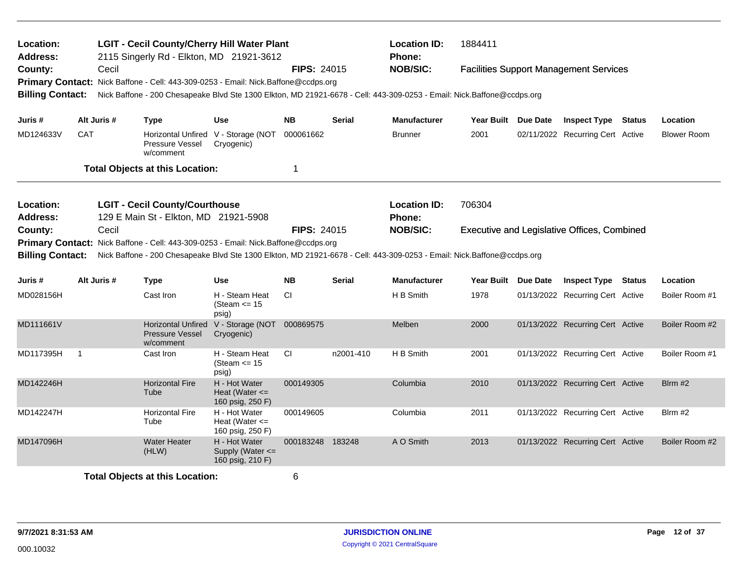| Location:<br><b>Address:</b> |                                                                                                               |             | <b>LGIT - Cecil County/Cherry Hill Water Plant</b><br>2115 Singerly Rd - Elkton, MD 21921-3612                         |                                                           |                    |                                                                                                                                                                                                                       | <b>Location ID:</b><br><b>Phone:</b> | 1884411             |  |                                               |  |                    |
|------------------------------|---------------------------------------------------------------------------------------------------------------|-------------|------------------------------------------------------------------------------------------------------------------------|-----------------------------------------------------------|--------------------|-----------------------------------------------------------------------------------------------------------------------------------------------------------------------------------------------------------------------|--------------------------------------|---------------------|--|-----------------------------------------------|--|--------------------|
| County:                      |                                                                                                               | Cecil       | Primary Contact: Nick Baffone - Cell: 443-309-0253 - Email: Nick.Baffone@ccdps.org                                     |                                                           | <b>FIPS: 24015</b> |                                                                                                                                                                                                                       | <b>NOB/SIC:</b>                      |                     |  | <b>Facilities Support Management Services</b> |  |                    |
| <b>Billing Contact:</b>      |                                                                                                               |             | Nick Baffone - 200 Chesapeake Blvd Ste 1300 Elkton, MD 21921-6678 - Cell: 443-309-0253 - Email: Nick Baffone@ccdps.org |                                                           |                    |                                                                                                                                                                                                                       |                                      |                     |  |                                               |  |                    |
| Juris #                      |                                                                                                               | Alt Juris # | <b>Type</b>                                                                                                            | <b>Use</b>                                                | NΒ                 | Serial                                                                                                                                                                                                                | <b>Manufacturer</b>                  | Year Built Due Date |  | <b>Inspect Type Status</b>                    |  | Location           |
| MD124633V                    | <b>CAT</b>                                                                                                    |             | Pressure Vessel<br>w/comment                                                                                           | Horizontal Unfired V - Storage (NOT<br>Cryogenic)         | 000061662          |                                                                                                                                                                                                                       | <b>Brunner</b>                       | 2001                |  | 02/11/2022 Recurring Cert Active              |  | <b>Blower Room</b> |
|                              |                                                                                                               |             | <b>Total Objects at this Location:</b>                                                                                 |                                                           | 1                  |                                                                                                                                                                                                                       |                                      |                     |  |                                               |  |                    |
| Location:<br><b>Address:</b> | <b>LGIT - Cecil County/Courthouse</b><br>129 E Main St - Elkton, MD 21921-5908<br>Cecil                       |             |                                                                                                                        |                                                           |                    |                                                                                                                                                                                                                       | <b>Location ID:</b><br><b>Phone:</b> | 706304              |  |                                               |  |                    |
| County:                      | Primary Contact: Nick Baffone - Cell: 443-309-0253 - Email: Nick.Baffone@ccdps.org<br><b>Billing Contact:</b> |             |                                                                                                                        |                                                           |                    | <b>NOB/SIC:</b><br><b>FIPS: 24015</b><br><b>Executive and Legislative Offices, Combined</b><br>Nick Baffone - 200 Chesapeake Blvd Ste 1300 Elkton, MD 21921-6678 - Cell: 443-309-0253 - Email: Nick.Baffone@ccdps.org |                                      |                     |  |                                               |  |                    |
| Juris #                      |                                                                                                               | Alt Juris # | <b>Type</b>                                                                                                            | Use                                                       | <b>NB</b>          | <b>Serial</b>                                                                                                                                                                                                         | <b>Manufacturer</b>                  | Year Built Due Date |  | <b>Inspect Type Status</b>                    |  | Location           |
| MD028156H                    |                                                                                                               |             | Cast Iron                                                                                                              | H - Steam Heat<br>(Steam $\le$ 15<br>psig)                | CI.                |                                                                                                                                                                                                                       | H B Smith                            | 1978                |  | 01/13/2022 Recurring Cert Active              |  | Boiler Room #1     |
| MD111661V                    |                                                                                                               |             | <b>Pressure Vessel</b><br>w/comment                                                                                    | Horizontal Unfired V - Storage (NOT<br>Cryogenic)         | 000869575          |                                                                                                                                                                                                                       | Melben                               | 2000                |  | 01/13/2022 Recurring Cert Active              |  | Boiler Room #2     |
| MD117395H                    | $\overline{1}$                                                                                                |             | Cast Iron                                                                                                              | H - Steam Heat<br>(Steam $\le$ 15<br>psig)                | CI.                | n2001-410                                                                                                                                                                                                             | H B Smith                            | 2001                |  | 01/13/2022 Recurring Cert Active              |  | Boiler Room #1     |
| MD142246H                    |                                                                                                               |             | <b>Horizontal Fire</b><br>Tube                                                                                         | H - Hot Water<br>Heat (Water $\leq$<br>160 psig, 250 F)   | 000149305          |                                                                                                                                                                                                                       | Columbia                             | 2010                |  | 01/13/2022 Recurring Cert Active              |  | $B$ Irm #2         |
| MD142247H                    |                                                                                                               |             | <b>Horizontal Fire</b><br>Tube                                                                                         | H - Hot Water<br>Heat (Water $\leq$<br>160 psig, 250 F)   | 000149605          |                                                                                                                                                                                                                       | Columbia                             | 2011                |  | 01/13/2022 Recurring Cert Active              |  | Blrm #2            |
| MD147096H                    |                                                                                                               |             | <b>Water Heater</b><br>(HLW)                                                                                           | H - Hot Water<br>Supply (Water $\leq$<br>160 psig, 210 F) | 000183248 183248   |                                                                                                                                                                                                                       | A O Smith                            | 2013                |  | 01/13/2022 Recurring Cert Active              |  | Boiler Room #2     |
|                              | <b>Total Objects at this Location:</b>                                                                        |             |                                                                                                                        |                                                           | 6                  |                                                                                                                                                                                                                       |                                      |                     |  |                                               |  |                    |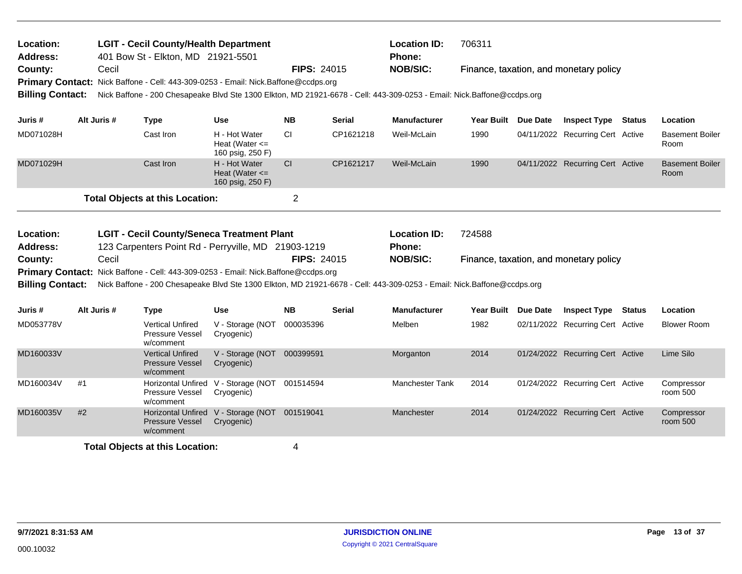| Location:<br>Address:   |    |             | <b>LGIT - Cecil County/Health Department</b><br>401 Bow St - Elkton, MD 21921-5501                                     |                                                         |                |               | <b>Location ID:</b><br>Phone: | 706311            |                 |                                        |                                |
|-------------------------|----|-------------|------------------------------------------------------------------------------------------------------------------------|---------------------------------------------------------|----------------|---------------|-------------------------------|-------------------|-----------------|----------------------------------------|--------------------------------|
| County:                 |    | Cecil       |                                                                                                                        |                                                         | FIPS: 24015    |               | <b>NOB/SIC:</b>               |                   |                 | Finance, taxation, and monetary policy |                                |
|                         |    |             | Primary Contact: Nick Baffone - Cell: 443-309-0253 - Email: Nick.Baffone@ccdps.org                                     |                                                         |                |               |                               |                   |                 |                                        |                                |
| <b>Billing Contact:</b> |    |             | Nick Baffone - 200 Chesapeake Blvd Ste 1300 Elkton, MD 21921-6678 - Cell: 443-309-0253 - Email: Nick.Baffone@ccdps.org |                                                         |                |               |                               |                   |                 |                                        |                                |
| Juris #                 |    | Alt Juris # | <b>Type</b>                                                                                                            | Use                                                     | <b>NB</b>      | Serial        | <b>Manufacturer</b>           | Year Built        | <b>Due Date</b> | <b>Inspect Type Status</b>             | Location                       |
| MD071028H               |    |             | Cast Iron                                                                                                              | H - Hot Water<br>Heat (Water $\leq$<br>160 psig, 250 F) | <b>CI</b>      | CP1621218     | Weil-McLain                   | 1990              |                 | 04/11/2022 Recurring Cert Active       | <b>Basement Boiler</b><br>Room |
| MD071029H               |    |             | Cast Iron                                                                                                              | H - Hot Water<br>Heat (Water $\leq$<br>160 psig, 250 F) | CI             | CP1621217     | Weil-McLain                   | 1990              |                 | 04/11/2022 Recurring Cert Active       | <b>Basement Boiler</b><br>Room |
|                         |    |             | <b>Total Objects at this Location:</b>                                                                                 |                                                         | $\overline{2}$ |               |                               |                   |                 |                                        |                                |
|                         |    |             |                                                                                                                        |                                                         |                |               |                               |                   |                 |                                        |                                |
| Location:               |    |             | <b>LGIT - Cecil County/Seneca Treatment Plant</b>                                                                      |                                                         |                |               | <b>Location ID:</b>           | 724588            |                 |                                        |                                |
| <b>Address:</b>         |    |             | 123 Carpenters Point Rd - Perryville, MD 21903-1219                                                                    |                                                         |                |               | Phone:                        |                   |                 |                                        |                                |
| County:                 |    | Cecil       |                                                                                                                        |                                                         | FIPS: 24015    |               | <b>NOB/SIC:</b>               |                   |                 | Finance, taxation, and monetary policy |                                |
|                         |    |             | Primary Contact: Nick Baffone - Cell: 443-309-0253 - Email: Nick.Baffone@ccdps.org                                     |                                                         |                |               |                               |                   |                 |                                        |                                |
| <b>Billing Contact:</b> |    |             | Nick Baffone - 200 Chesapeake Blvd Ste 1300 Elkton, MD 21921-6678 - Cell: 443-309-0253 - Email: Nick.Baffone@ccdps.org |                                                         |                |               |                               |                   |                 |                                        |                                |
| Juris #                 |    | Alt Juris # | <b>Type</b>                                                                                                            | <b>Use</b>                                              | <b>NB</b>      | <b>Serial</b> | <b>Manufacturer</b>           | <b>Year Built</b> | <b>Due Date</b> | <b>Inspect Type Status</b>             | Location                       |
| MD053778V               |    |             | <b>Vertical Unfired</b><br>Pressure Vessel<br>w/comment                                                                | V - Storage (NOT<br>Cryogenic)                          | 000035396      |               | Melben                        | 1982              |                 | 02/11/2022 Recurring Cert Active       | <b>Blower Room</b>             |
| MD160033V               |    |             | <b>Vertical Unfired</b><br>Pressure Vessel<br>w/comment                                                                | V - Storage (NOT 000399591<br>Cryogenic)                |                |               | Morganton                     | 2014              |                 | 01/24/2022 Recurring Cert Active       | Lime Silo                      |
| MD160034V               | #1 |             | <b>Horizontal Unfired</b><br>Pressure Vessel<br>w/comment                                                              | V - Storage (NOT 001514594<br>Cryogenic)                |                |               | Manchester Tank               | 2014              |                 | 01/24/2022 Recurring Cert Active       | Compressor<br>room 500         |
| MD160035V               | #2 |             | <b>Horizontal Unfired</b><br><b>Pressure Vessel</b><br>w/comment                                                       | V - Storage (NOT 001519041<br>Cryogenic)                |                |               | Manchester                    | 2014              |                 | 01/24/2022 Recurring Cert Active       | Compressor<br>room 500         |
|                         |    |             |                                                                                                                        |                                                         |                |               |                               |                   |                 |                                        |                                |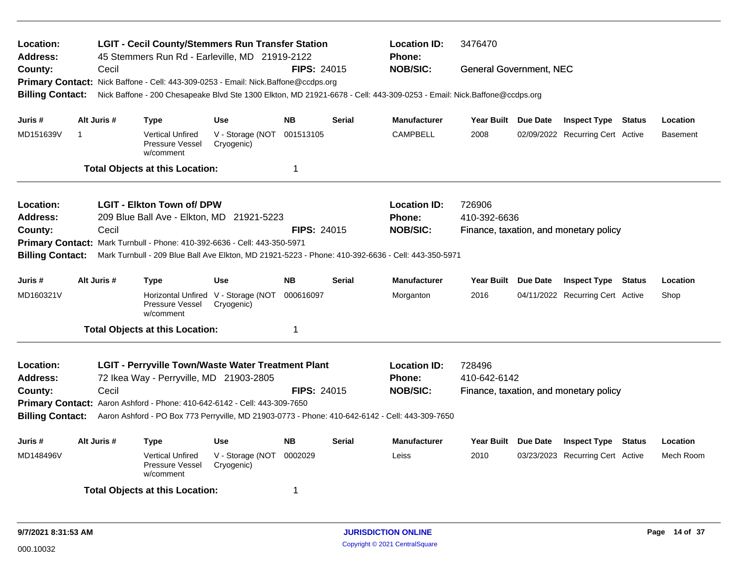| Location:<br><b>Address:</b> | <b>LGIT - Cecil County/Stemmers Run Transfer Station</b><br>45 Stemmers Run Rd - Earleville, MD 21919-2122 |                                                                                                                        |                                                   |                    |               |                     | <b>Location ID:</b><br>3476470         |  |                                        |               |                 |  |
|------------------------------|------------------------------------------------------------------------------------------------------------|------------------------------------------------------------------------------------------------------------------------|---------------------------------------------------|--------------------|---------------|---------------------|----------------------------------------|--|----------------------------------------|---------------|-----------------|--|
| County:                      | Cecil                                                                                                      |                                                                                                                        |                                                   | <b>FIPS: 24015</b> |               | <b>NOB/SIC:</b>     | <b>General Government, NEC</b>         |  |                                        |               |                 |  |
|                              |                                                                                                            | Primary Contact: Nick Baffone - Cell: 443-309-0253 - Email: Nick.Baffone@ccdps.org                                     |                                                   |                    |               |                     |                                        |  |                                        |               |                 |  |
| <b>Billing Contact:</b>      |                                                                                                            | Nick Baffone - 200 Chesapeake Blvd Ste 1300 Elkton, MD 21921-6678 - Cell: 443-309-0253 - Email: Nick.Baffone@ccdps.org |                                                   |                    |               |                     |                                        |  |                                        |               |                 |  |
| Juris #                      | Alt Juris #                                                                                                | <b>Type</b>                                                                                                            | <b>Use</b>                                        | <b>NB</b>          | <b>Serial</b> | <b>Manufacturer</b> | Year Built Due Date                    |  | <b>Inspect Type Status</b>             |               | Location        |  |
| MD151639V                    | $\mathbf{1}$                                                                                               | <b>Vertical Unfired</b><br>Pressure Vessel<br>w/comment                                                                | V - Storage (NOT<br>Cryogenic)                    | 001513105          |               | <b>CAMPBELL</b>     | 2008                                   |  | 02/09/2022 Recurring Cert Active       |               | <b>Basement</b> |  |
|                              |                                                                                                            | <b>Total Objects at this Location:</b>                                                                                 |                                                   | $\mathbf 1$        |               |                     |                                        |  |                                        |               |                 |  |
| Location:                    |                                                                                                            | <b>LGIT - Elkton Town of/ DPW</b>                                                                                      |                                                   |                    |               | <b>Location ID:</b> |                                        |  |                                        |               |                 |  |
| <b>Address:</b>              |                                                                                                            | 209 Blue Ball Ave - Elkton, MD 21921-5223                                                                              |                                                   |                    |               | Phone:              | 726906<br>410-392-6636                 |  |                                        |               |                 |  |
| County:                      | Cecil                                                                                                      |                                                                                                                        |                                                   | <b>FIPS: 24015</b> |               | <b>NOB/SIC:</b>     | Finance, taxation, and monetary policy |  |                                        |               |                 |  |
|                              |                                                                                                            | Primary Contact: Mark Turnbull - Phone: 410-392-6636 - Cell: 443-350-5971                                              |                                                   |                    |               |                     |                                        |  |                                        |               |                 |  |
| <b>Billing Contact:</b>      |                                                                                                            | Mark Turnbull - 209 Blue Ball Ave Elkton, MD 21921-5223 - Phone: 410-392-6636 - Cell: 443-350-5971                     |                                                   |                    |               |                     |                                        |  |                                        |               |                 |  |
|                              |                                                                                                            |                                                                                                                        |                                                   |                    |               |                     |                                        |  |                                        |               |                 |  |
| Juris #                      | Alt Juris #                                                                                                | <b>Type</b>                                                                                                            | <b>Use</b>                                        | <b>NB</b>          | <b>Serial</b> | <b>Manufacturer</b> | Year Built Due Date                    |  | <b>Inspect Type Status</b>             |               | Location        |  |
| MD160321V                    |                                                                                                            | Pressure Vessel<br>w/comment                                                                                           | Horizontal Unfired V - Storage (NOT<br>Cryogenic) | 000616097          |               | Morganton           | 2016                                   |  | 04/11/2022 Recurring Cert Active       |               | Shop            |  |
|                              |                                                                                                            | <b>Total Objects at this Location:</b>                                                                                 |                                                   | $\mathbf 1$        |               |                     |                                        |  |                                        |               |                 |  |
| Location:                    |                                                                                                            | <b>LGIT - Perryville Town/Waste Water Treatment Plant</b>                                                              |                                                   |                    |               | <b>Location ID:</b> | 728496                                 |  |                                        |               |                 |  |
| <b>Address:</b>              |                                                                                                            | 72 Ikea Way - Perryville, MD 21903-2805                                                                                |                                                   |                    |               | <b>Phone:</b>       | 410-642-6142                           |  |                                        |               |                 |  |
| County:                      | Cecil                                                                                                      |                                                                                                                        |                                                   | FIPS: 24015        |               | <b>NOB/SIC:</b>     |                                        |  | Finance, taxation, and monetary policy |               |                 |  |
|                              |                                                                                                            | Primary Contact: Aaron Ashford - Phone: 410-642-6142 - Cell: 443-309-7650                                              |                                                   |                    |               |                     |                                        |  |                                        |               |                 |  |
| <b>Billing Contact:</b>      |                                                                                                            | Aaron Ashford - PO Box 773 Perryville, MD 21903-0773 - Phone: 410-642-6142 - Cell: 443-309-7650                        |                                                   |                    |               |                     |                                        |  |                                        |               |                 |  |
| Juris #                      | Alt Juris #<br><b>NB</b><br><b>Type</b><br>Use<br>Serial                                                   |                                                                                                                        |                                                   |                    |               | <b>Manufacturer</b> | Year Built Due Date                    |  | <b>Inspect Type</b>                    | <b>Status</b> | Location        |  |
| MD148496V                    |                                                                                                            | <b>Vertical Unfired</b><br>Pressure Vessel<br>w/comment                                                                | V - Storage (NOT<br>Cryogenic)                    | 0002029            |               | Leiss               | 2010                                   |  | 03/23/2023 Recurring Cert Active       |               | Mech Room       |  |
|                              |                                                                                                            | <b>Total Objects at this Location:</b>                                                                                 |                                                   | 1                  |               |                     |                                        |  |                                        |               |                 |  |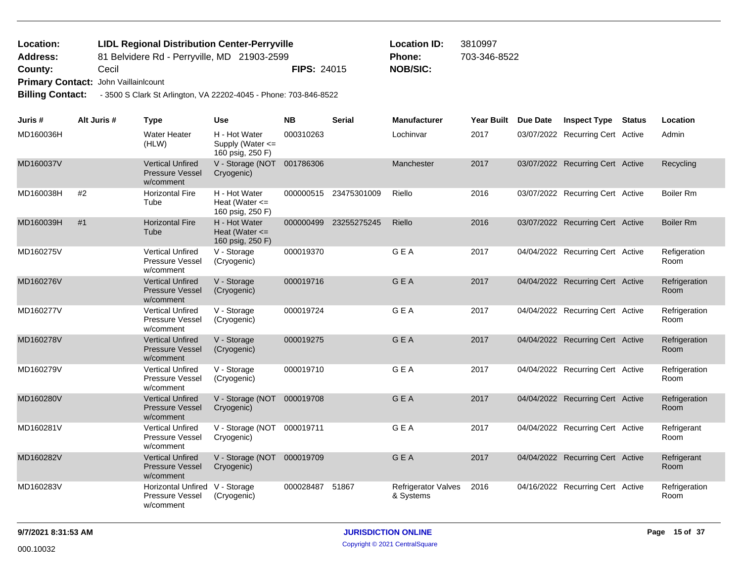## 81 Belvidere Rd - Perryville, MD 21903-2599 **County:** Cecil **Cecil Cecil NOB/SIC: PIPS:** 24015 **NOB/SIC: Primary Contact:** John Vaillainlcount **LIDL Regional Distribution Center-Perryville Location ID:** 3810997 **Address: Location: Phone:** 703-346-8522

**Billing Contact:** - 3500 S Clark St Arlington, VA 22202-4045 - Phone: 703-846-8522

| Juris #   | Alt Juris # | <b>Type</b>                                                    | <b>Use</b>                                              | <b>NB</b> | <b>Serial</b> | <b>Manufacturer</b>                     | <b>Year Built</b> | <b>Due Date</b> | <b>Inspect Type</b>              | <b>Status</b> | Location              |
|-----------|-------------|----------------------------------------------------------------|---------------------------------------------------------|-----------|---------------|-----------------------------------------|-------------------|-----------------|----------------------------------|---------------|-----------------------|
| MD160036H |             | <b>Water Heater</b><br>(HLW)                                   | H - Hot Water<br>Supply (Water <=<br>160 psig, 250 F)   | 000310263 |               | Lochinvar                               | 2017              |                 | 03/07/2022 Recurring Cert Active |               | Admin                 |
| MD160037V |             | <b>Vertical Unfired</b><br><b>Pressure Vessel</b><br>w/comment | V - Storage (NOT 001786306<br>Cryogenic)                |           |               | Manchester                              | 2017              |                 | 03/07/2022 Recurring Cert Active |               | Recycling             |
| MD160038H | #2          | <b>Horizontal Fire</b><br>Tube                                 | H - Hot Water<br>Heat (Water $\leq$<br>160 psig, 250 F) | 000000515 | 23475301009   | Riello                                  | 2016              |                 | 03/07/2022 Recurring Cert Active |               | <b>Boiler Rm</b>      |
| MD160039H | #1          | <b>Horizontal Fire</b><br>Tube                                 | H - Hot Water<br>Heat (Water $\leq$<br>160 psig, 250 F) | 000000499 | 23255275245   | Riello                                  | 2016              |                 | 03/07/2022 Recurring Cert Active |               | <b>Boiler Rm</b>      |
| MD160275V |             | <b>Vertical Unfired</b><br>Pressure Vessel<br>w/comment        | V - Storage<br>(Cryogenic)                              | 000019370 |               | <b>GEA</b>                              | 2017              |                 | 04/04/2022 Recurring Cert Active |               | Refigeration<br>Room  |
| MD160276V |             | <b>Vertical Unfired</b><br><b>Pressure Vessel</b><br>w/comment | V - Storage<br>(Cryogenic)                              | 000019716 |               | <b>GEA</b>                              | 2017              |                 | 04/04/2022 Recurring Cert Active |               | Refrigeration<br>Room |
| MD160277V |             | <b>Vertical Unfired</b><br>Pressure Vessel<br>w/comment        | V - Storage<br>(Cryogenic)                              | 000019724 |               | <b>GEA</b>                              | 2017              |                 | 04/04/2022 Recurring Cert Active |               | Refrigeration<br>Room |
| MD160278V |             | <b>Vertical Unfired</b><br><b>Pressure Vessel</b><br>w/comment | V - Storage<br>(Cryogenic)                              | 000019275 |               | <b>GEA</b>                              | 2017              |                 | 04/04/2022 Recurring Cert Active |               | Refrigeration<br>Room |
| MD160279V |             | <b>Vertical Unfired</b><br>Pressure Vessel<br>w/comment        | V - Storage<br>(Cryogenic)                              | 000019710 |               | <b>GEA</b>                              | 2017              |                 | 04/04/2022 Recurring Cert Active |               | Refrigeration<br>Room |
| MD160280V |             | <b>Vertical Unfired</b><br><b>Pressure Vessel</b><br>w/comment | V - Storage (NOT<br>Cryogenic)                          | 000019708 |               | <b>GEA</b>                              | 2017              |                 | 04/04/2022 Recurring Cert Active |               | Refrigeration<br>Room |
| MD160281V |             | <b>Vertical Unfired</b><br>Pressure Vessel<br>w/comment        | V - Storage (NOT<br>Cryogenic)                          | 000019711 |               | <b>GEA</b>                              | 2017              |                 | 04/04/2022 Recurring Cert Active |               | Refrigerant<br>Room   |
| MD160282V |             | <b>Vertical Unfired</b><br><b>Pressure Vessel</b><br>w/comment | V - Storage (NOT<br>Cryogenic)                          | 000019709 |               | GEA                                     | 2017              |                 | 04/04/2022 Recurring Cert Active |               | Refrigerant<br>Room   |
| MD160283V |             | <b>Horizontal Unfired</b><br>Pressure Vessel<br>w/comment      | V - Storage<br>(Cryogenic)                              | 000028487 | 51867         | <b>Refrigerator Valves</b><br>& Systems | 2016              |                 | 04/16/2022 Recurring Cert Active |               | Refrigeration<br>Room |

**9/7/2021 8:31:53 AM JURISDICTION ONLINE Page 15 of 37**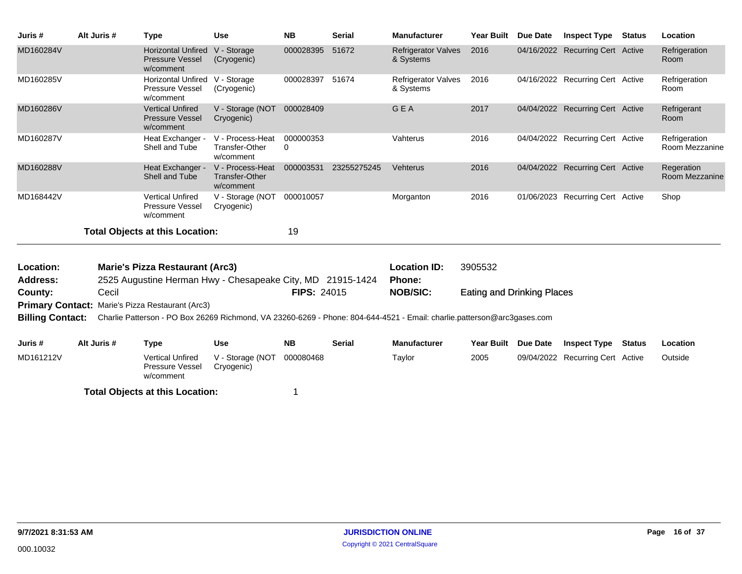| Juris #                 | Alt Juris # | <b>Type</b>                                                    | <b>Use</b>                                             | <b>NB</b>                | <b>Serial</b>         | <b>Manufacturer</b>                                                                                                     | <b>Year Built</b>                 | Due Date        | <b>Inspect Type</b>              | <b>Status</b> | Location                        |
|-------------------------|-------------|----------------------------------------------------------------|--------------------------------------------------------|--------------------------|-----------------------|-------------------------------------------------------------------------------------------------------------------------|-----------------------------------|-----------------|----------------------------------|---------------|---------------------------------|
| MD160284V               |             | <b>Horizontal Unfired</b><br>Pressure Vessel<br>w/comment      | V - Storage<br>(Cryogenic)                             | 000028395                | 51672                 | <b>Refrigerator Valves</b><br>& Systems                                                                                 | 2016                              |                 | 04/16/2022 Recurring Cert Active |               | Refrigeration<br>Room           |
| MD160285V               |             | <b>Horizontal Unfired</b><br>Pressure Vessel<br>w/comment      | V - Storage<br>(Cryogenic)                             | 000028397 51674          |                       | <b>Refrigerator Valves</b><br>& Systems                                                                                 | 2016                              |                 | 04/16/2022 Recurring Cert Active |               | Refrigeration<br>Room           |
| MD160286V               |             | <b>Vertical Unfired</b><br><b>Pressure Vessel</b><br>w/comment | V - Storage (NOT 000028409<br>Cryogenic)               |                          |                       | GEA                                                                                                                     | 2017                              |                 | 04/04/2022 Recurring Cert Active |               | Refrigerant<br>Room             |
| MD160287V               |             | Heat Exchanger -<br>Shell and Tube                             | V - Process-Heat<br>Transfer-Other<br>w/comment        | 000000353<br>$\mathbf 0$ |                       | Vahterus                                                                                                                | 2016                              |                 | 04/04/2022 Recurring Cert Active |               | Refrigeration<br>Room Mezzanine |
| MD160288V               |             | Heat Exchanger -<br>Shell and Tube                             | V - Process-Heat<br><b>Transfer-Other</b><br>w/comment |                          | 000003531 23255275245 | Vehterus                                                                                                                | 2016                              |                 | 04/04/2022 Recurring Cert Active |               | Regeration<br>Room Mezzanine    |
| MD168442V               |             | <b>Vertical Unfired</b><br>Pressure Vessel<br>w/comment        | V - Storage (NOT<br>Cryogenic)                         | 000010057                |                       | Morganton                                                                                                               | 2016                              |                 | 01/06/2023 Recurring Cert Active |               | Shop                            |
|                         |             | <b>Total Objects at this Location:</b>                         |                                                        | 19                       |                       |                                                                                                                         |                                   |                 |                                  |               |                                 |
| Location:               |             | <b>Marie's Pizza Restaurant (Arc3)</b>                         |                                                        |                          |                       | <b>Location ID:</b>                                                                                                     | 3905532                           |                 |                                  |               |                                 |
| <b>Address:</b>         |             | 2525 Augustine Herman Hwy - Chesapeake City, MD 21915-1424     |                                                        |                          |                       | <b>Phone:</b>                                                                                                           |                                   |                 |                                  |               |                                 |
| County:                 | Cecil       |                                                                |                                                        | <b>FIPS: 24015</b>       |                       | <b>NOB/SIC:</b>                                                                                                         | <b>Eating and Drinking Places</b> |                 |                                  |               |                                 |
| <b>Primary Contact:</b> |             | Marie's Pizza Restaurant (Arc3)                                |                                                        |                          |                       |                                                                                                                         |                                   |                 |                                  |               |                                 |
| <b>Billing Contact:</b> |             |                                                                |                                                        |                          |                       | Charlie Patterson - PO Box 26269 Richmond, VA 23260-6269 - Phone: 804-644-4521 - Email: charlie.patterson@arc3gases.com |                                   |                 |                                  |               |                                 |
| Juris #                 | Alt Juris # | <b>Type</b>                                                    | <b>Use</b>                                             | <b>NB</b>                | <b>Serial</b>         | <b>Manufacturer</b>                                                                                                     | <b>Year Built</b>                 | <b>Due Date</b> | <b>Inspect Type</b>              | <b>Status</b> | Location                        |
| MD161212V               |             | <b>Vertical Unfired</b><br>Pressure Vessel<br>w/comment        | V - Storage (NOT<br>Cryogenic)                         | 000080468                |                       | Taylor                                                                                                                  | 2005                              |                 | 09/04/2022 Recurring Cert Active |               | Outside                         |
|                         |             | <b>Total Objects at this Location:</b>                         |                                                        |                          |                       |                                                                                                                         |                                   |                 |                                  |               |                                 |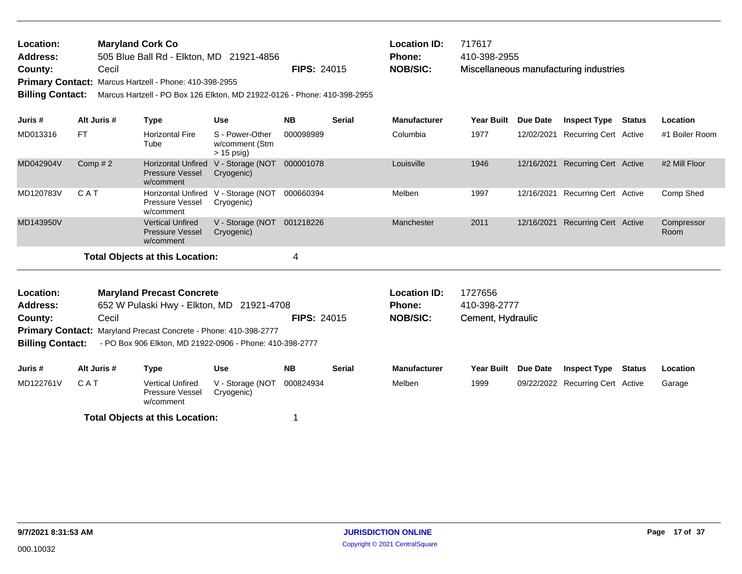| Location: | <b>Maryland Cork Co</b>                                       |                    | <b>Location ID:</b> | 717617                                 |
|-----------|---------------------------------------------------------------|--------------------|---------------------|----------------------------------------|
| Address:  | 505 Blue Ball Rd - Elkton, MD 21921-4856                      |                    | <b>Phone:</b>       | 410-398-2955                           |
| County:   | Cecil                                                         | <b>FIPS: 24015</b> | NOB/SIC:            | Miscellaneous manufacturing industries |
|           | <b>Primary Contact: Marcus Hartzell - Phone: 410-398-2955</b> |                    |                     |                                        |

**Billing Contact:** Marcus Hartzell - PO Box 126 Elkton, MD 21922-0126 - Phone: 410-398-2955

| Juris #   | Alt Juris # | Type                                                             | <b>Use</b>                                        | <b>NB</b> | <b>Serial</b> | <b>Manufacturer</b> | <b>Year Built</b> | Due Date   | <b>Inspect Type</b>          | Status | Location           |
|-----------|-------------|------------------------------------------------------------------|---------------------------------------------------|-----------|---------------|---------------------|-------------------|------------|------------------------------|--------|--------------------|
| MD013316  | <b>FT</b>   | <b>Horizontal Fire</b><br>Tube                                   | S - Power-Other<br>w/comment (Stm<br>$> 15$ psig) | 000098989 |               | Columbia            | 1977              | 12/02/2021 | Recurring Cert Active        |        | #1 Boiler Room     |
| MD042904V | Comp $#2$   | <b>Horizontal Unfired</b><br><b>Pressure Vessel</b><br>w/comment | V - Storage (NOT<br>Cryogenic)                    | 000001078 |               | Louisville          | 1946              | 12/16/2021 | <b>Recurring Cert Active</b> |        | #2 Mill Floor      |
| MD120783V | C A T       | <b>Horizontal Unfired</b><br><b>Pressure Vessel</b><br>w/comment | V - Storage (NOT<br>Cryogenic)                    | 000660394 |               | Melben              | 1997              | 12/16/2021 | Recurring Cert Active        |        | Comp Shed          |
| MD143950V |             | <b>Vertical Unfired</b><br><b>Pressure Vessel</b><br>w/comment   | V - Storage (NOT<br>Cryogenic)                    | 001218226 |               | Manchester          | 2011              | 12/16/2021 | <b>Recurring Cert Active</b> |        | Compressor<br>Room |
|           |             | <b>Total Objects at this Location:</b>                           |                                                   |           |               |                     |                   |            |                              |        |                    |

Cement, Hydraulic 652 W Pulaski Hwy - Elkton, MD 21921-4708 **County:** Cecil **Cecil Cecil NOB/SIC: NOB/SIC:** Primary Contact: Maryland Precast Concrete - Phone: 410-398-2777 **Billing Contact:** - PO Box 906 Elkton, MD 21922-0906 - Phone: 410-398-2777 **Maryland Precast Concrete Location ID:** 1727656 **Address: Location: Phone:** 410-398-2777 **Juris # Alt Juris # Type Use NB Serial Manufacturer Year Built Due Date Inspect Type Status Location** MD122761V C A T Vertical Unfired V - Storage (NOT 000824934 Melben 1999 09/22/2022 Pressure Vessel w/comment Cryogenic) CAT Vertical Unfired V - Storage (NOT 000824934 Melben 1999 09/22/2022 Recurring Cert Active Garage **Total Objects at this Location:** 1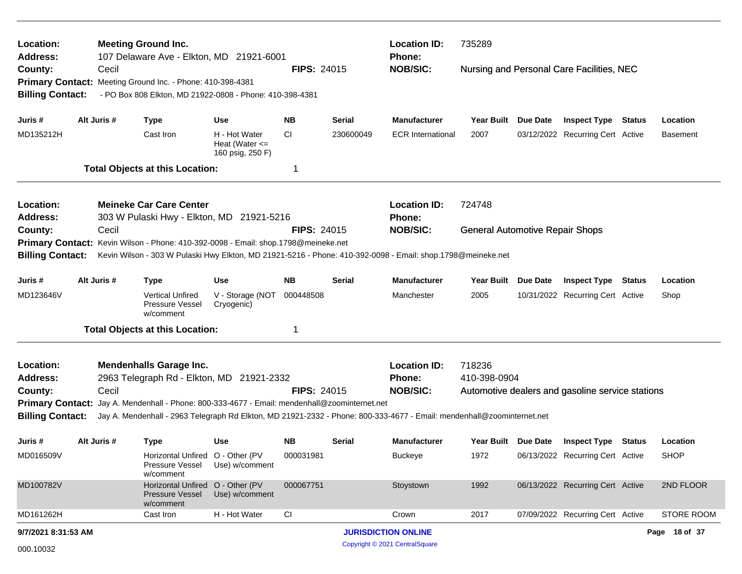| Location:<br><b>Address:</b>                       |             | <b>Meeting Ground Inc.</b><br>107 Delaware Ave - Elkton, MD 21921-6001                                                                                                                                 |                                                         |                    |           | <b>Location ID:</b><br><b>Phone:</b> | 735289                                 |          |                                                  |  |                 |
|----------------------------------------------------|-------------|--------------------------------------------------------------------------------------------------------------------------------------------------------------------------------------------------------|---------------------------------------------------------|--------------------|-----------|--------------------------------------|----------------------------------------|----------|--------------------------------------------------|--|-----------------|
| County:<br><b>Billing Contact:</b>                 | Cecil       | Primary Contact: Meeting Ground Inc. - Phone: 410-398-4381<br>- PO Box 808 Elkton, MD 21922-0808 - Phone: 410-398-4381                                                                                 |                                                         | <b>FIPS: 24015</b> |           | <b>NOB/SIC:</b>                      |                                        |          | Nursing and Personal Care Facilities, NEC        |  |                 |
| Juris #                                            | Alt Juris # | <b>Type</b>                                                                                                                                                                                            | <b>Use</b>                                              | NΒ                 | Serial    | <b>Manufacturer</b>                  | Year Built Due Date                    |          | <b>Inspect Type Status</b>                       |  | Location        |
| MD135212H                                          |             | Cast Iron                                                                                                                                                                                              | H - Hot Water<br>Heat (Water $\leq$<br>160 psig, 250 F) | <b>CI</b>          | 230600049 | <b>ECR</b> International             | 2007                                   |          | 03/12/2022 Recurring Cert Active                 |  | <b>Basement</b> |
|                                                    |             | <b>Total Objects at this Location:</b>                                                                                                                                                                 |                                                         | -1                 |           |                                      |                                        |          |                                                  |  |                 |
| Location:                                          |             | <b>Meineke Car Care Center</b>                                                                                                                                                                         |                                                         |                    |           | <b>Location ID:</b>                  | 724748                                 |          |                                                  |  |                 |
| <b>Address:</b>                                    |             | 303 W Pulaski Hwy - Elkton, MD 21921-5216                                                                                                                                                              |                                                         |                    |           | Phone:                               |                                        |          |                                                  |  |                 |
| County:                                            | Cecil       |                                                                                                                                                                                                        |                                                         | <b>FIPS: 24015</b> |           | <b>NOB/SIC:</b>                      | <b>General Automotive Repair Shops</b> |          |                                                  |  |                 |
|                                                    |             | Primary Contact: Kevin Wilson - Phone: 410-392-0098 - Email: shop.1798@meineke.net                                                                                                                     |                                                         |                    |           |                                      |                                        |          |                                                  |  |                 |
| <b>Billing Contact:</b>                            |             | Kevin Wilson - 303 W Pulaski Hwy Elkton, MD 21921-5216 - Phone: 410-392-0098 - Email: shop.1798@meineke.net                                                                                            |                                                         |                    |           |                                      |                                        |          |                                                  |  |                 |
| Juris #                                            | Alt Juris # | <b>Type</b>                                                                                                                                                                                            | <b>Use</b>                                              | ΝB                 | Serial    | <b>Manufacturer</b>                  | <b>Year Built</b>                      | Due Date | <b>Inspect Type Status</b>                       |  | Location        |
| MD123646V                                          |             | <b>Vertical Unfired</b><br>Pressure Vessel<br>w/comment                                                                                                                                                | V - Storage (NOT<br>Cryogenic)                          | 000448508          |           | Manchester                           | 2005                                   |          | 10/31/2022 Recurring Cert Active                 |  | Shop            |
|                                                    |             | <b>Total Objects at this Location:</b>                                                                                                                                                                 |                                                         | 1                  |           |                                      |                                        |          |                                                  |  |                 |
| Location:                                          |             | <b>Mendenhalls Garage Inc.</b>                                                                                                                                                                         |                                                         |                    |           | <b>Location ID:</b>                  | 718236                                 |          |                                                  |  |                 |
| <b>Address:</b>                                    |             | 2963 Telegraph Rd - Elkton, MD 21921-2332                                                                                                                                                              |                                                         |                    |           | <b>Phone:</b>                        | 410-398-0904                           |          |                                                  |  |                 |
| County:                                            | Cecil       |                                                                                                                                                                                                        |                                                         | <b>FIPS: 24015</b> |           | <b>NOB/SIC:</b>                      |                                        |          | Automotive dealers and gasoline service stations |  |                 |
| <b>Primary Contact:</b><br><b>Billing Contact:</b> |             | Jay A. Mendenhall - Phone: 800-333-4677 - Email: mendenhall@zoominternet.net<br>Jay A. Mendenhall - 2963 Telegraph Rd Elkton, MD 21921-2332 - Phone: 800-333-4677 - Email: mendenhall@zoominternet.net |                                                         |                    |           |                                      |                                        |          |                                                  |  |                 |
| Juris #                                            | Alt Juris # | <b>Type</b>                                                                                                                                                                                            | Use                                                     | NB.                | Serial    | <b>Manufacturer</b>                  |                                        |          | Year Built Due Date Inspect Type Status          |  | Location        |
| MD016509V                                          |             | Horizontal Unfired O - Other (PV<br>Pressure Vessel<br>w/comment                                                                                                                                       | Use) w/comment                                          | 000031981          |           | Buckeye                              | 1972                                   |          | 06/13/2022 Recurring Cert Active                 |  | <b>SHOP</b>     |
| MD100782V                                          |             | Horizontal Unfired O - Other (PV<br>Pressure Vessel<br>w/comment                                                                                                                                       | Use) w/comment                                          | 000067751          |           | Stoystown                            | 1992                                   |          | 06/13/2022 Recurring Cert Active                 |  | 2ND FLOOR       |
| MD161262H                                          |             | Cast Iron                                                                                                                                                                                              | H - Hot Water                                           | CI                 |           | Crown                                | 2017                                   |          | 07/09/2022 Recurring Cert Active                 |  | STORE ROOM      |
| 9/7/2021 8:31:53 AM                                |             |                                                                                                                                                                                                        |                                                         |                    |           | <b>JURISDICTION ONLINE</b>           |                                        |          |                                                  |  | Page 18 of 37   |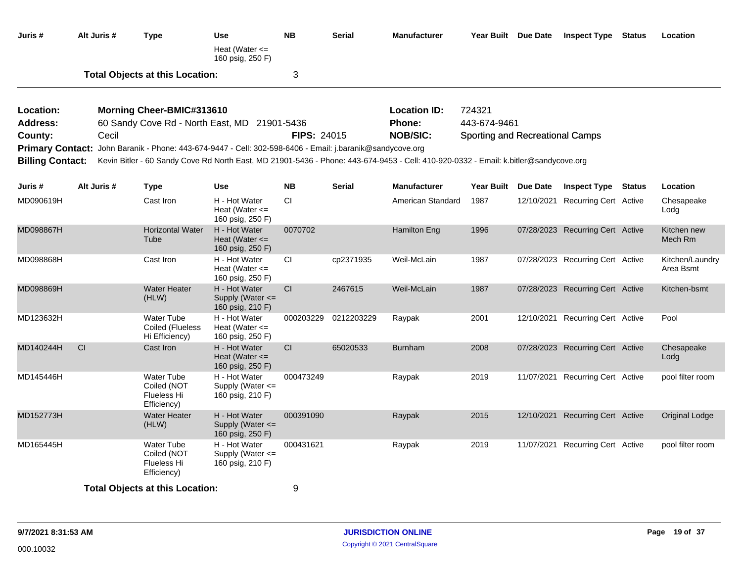| Juris #                 | Alt Juris # | <b>Type</b>                                                                                                                          | <b>Use</b><br>Heat (Water $\leq$<br>160 psig, 250 F)      | <b>NB</b>          | <b>Serial</b> | <b>Manufacturer</b> |                                 | Year Built Due Date | <b>Inspect Type Status</b>       |        | Location                     |
|-------------------------|-------------|--------------------------------------------------------------------------------------------------------------------------------------|-----------------------------------------------------------|--------------------|---------------|---------------------|---------------------------------|---------------------|----------------------------------|--------|------------------------------|
|                         |             | <b>Total Objects at this Location:</b>                                                                                               |                                                           | 3                  |               |                     |                                 |                     |                                  |        |                              |
| Location:               |             | Morning Cheer-BMIC#313610                                                                                                            |                                                           |                    |               | <b>Location ID:</b> | 724321                          |                     |                                  |        |                              |
| Address:                |             | 60 Sandy Cove Rd - North East, MD 21901-5436                                                                                         |                                                           |                    |               | Phone:              | 443-674-9461                    |                     |                                  |        |                              |
| County:                 | Cecil       |                                                                                                                                      |                                                           | <b>FIPS: 24015</b> |               | <b>NOB/SIC:</b>     | Sporting and Recreational Camps |                     |                                  |        |                              |
|                         |             | Primary Contact: John Baranik - Phone: 443-674-9447 - Cell: 302-598-6406 - Email: j.baranik@sandycove.org                            |                                                           |                    |               |                     |                                 |                     |                                  |        |                              |
| <b>Billing Contact:</b> |             | Kevin Bitler - 60 Sandy Cove Rd North East, MD 21901-5436 - Phone: 443-674-9453 - Cell: 410-920-0332 - Email: k.bitler@sandycove.org |                                                           |                    |               |                     |                                 |                     |                                  |        |                              |
| Juris #                 | Alt Juris # | <b>Type</b>                                                                                                                          | <b>Use</b>                                                | <b>NB</b>          | <b>Serial</b> | <b>Manufacturer</b> |                                 | Year Built Due Date | <b>Inspect Type</b>              | Status | Location                     |
| MD090619H               |             | Cast Iron                                                                                                                            | H - Hot Water<br>Heat (Water $\leq$<br>160 psig, 250 F)   | CI                 |               | American Standard   | 1987                            | 12/10/2021          | <b>Recurring Cert Active</b>     |        | Chesapeake<br>Lodg           |
| MD098867H               |             | <b>Horizontal Water</b><br>Tube                                                                                                      | H - Hot Water<br>Heat (Water $\leq$<br>160 psig, 250 F)   | 0070702            |               | <b>Hamilton Eng</b> | 1996                            |                     | 07/28/2023 Recurring Cert Active |        | Kitchen new<br>Mech Rm       |
| MD098868H               |             | Cast Iron                                                                                                                            | H - Hot Water<br>Heat (Water $\leq$<br>160 psig, 250 F)   | CI                 | cp2371935     | Weil-McLain         | 1987                            |                     | 07/28/2023 Recurring Cert Active |        | Kitchen/Laundry<br>Area Bsmt |
| MD098869H               |             | <b>Water Heater</b><br>(HLW)                                                                                                         | H - Hot Water<br>Supply (Water <=<br>160 psig, 210 F)     | CI.                | 2467615       | Weil-McLain         | 1987                            |                     | 07/28/2023 Recurring Cert Active |        | Kitchen-bsmt                 |
| MD123632H               |             | <b>Water Tube</b><br>Coiled (Flueless<br>Hi Efficiency)                                                                              | H - Hot Water<br>Heat (Water $\leq$<br>160 psig, 250 F)   | 000203229          | 0212203229    | Raypak              | 2001                            |                     | 12/10/2021 Recurring Cert Active |        | Pool                         |
| MD140244H               | <b>CI</b>   | Cast Iron                                                                                                                            | H - Hot Water<br>Heat (Water $\leq$<br>160 psig, 250 F)   | CI.                | 65020533      | <b>Burnham</b>      | 2008                            |                     | 07/28/2023 Recurring Cert Active |        | Chesapeake<br>Lodg           |
| MD145446H               |             | <b>Water Tube</b><br>Coiled (NOT<br><b>Flueless Hi</b><br>Efficiency)                                                                | H - Hot Water<br>Supply (Water <=<br>160 psig, 210 F)     | 000473249          |               | Raypak              | 2019                            |                     | 11/07/2021 Recurring Cert Active |        | pool filter room             |
| MD152773H               |             | <b>Water Heater</b><br>(HLW)                                                                                                         | H - Hot Water<br>Supply (Water $\leq$<br>160 psig, 250 F) | 000391090          |               | Raypak              | 2015                            | 12/10/2021          | <b>Recurring Cert Active</b>     |        | Original Lodge               |
| MD165445H               |             | <b>Water Tube</b><br>Coiled (NOT<br><b>Flueless Hi</b><br>Efficiency)                                                                | H - Hot Water<br>Supply (Water $\leq$<br>160 psig, 210 F) | 000431621          |               | Raypak              | 2019                            |                     | 11/07/2021 Recurring Cert Active |        | pool filter room             |
|                         |             | <b>Total Objects at this Location:</b>                                                                                               |                                                           | 9                  |               |                     |                                 |                     |                                  |        |                              |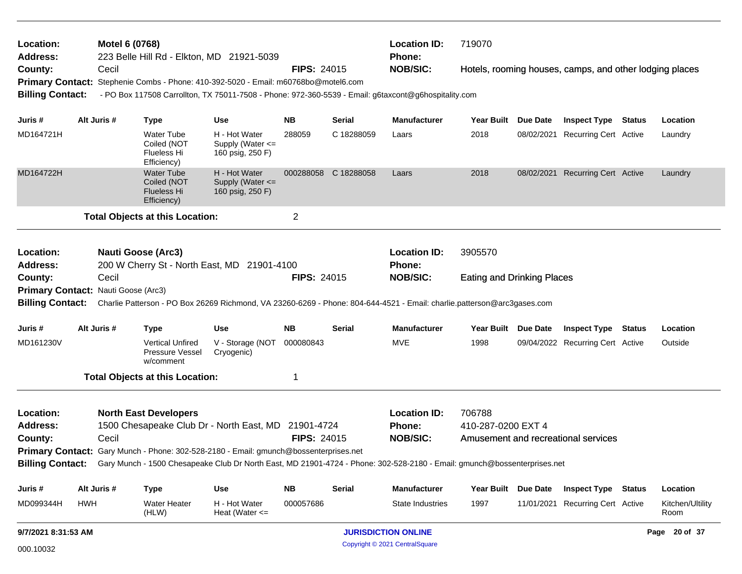| Location:<br><b>Address:</b>                                    |                     | Motel 6 (0768) |                                                                       | 223 Belle Hill Rd - Elkton, MD 21921-5039                                                                                                 |                    |               | <b>Location ID:</b>           | 719070<br>Phone:                  |                 |                                                         |               |                          |
|-----------------------------------------------------------------|---------------------|----------------|-----------------------------------------------------------------------|-------------------------------------------------------------------------------------------------------------------------------------------|--------------------|---------------|-------------------------------|-----------------------------------|-----------------|---------------------------------------------------------|---------------|--------------------------|
| County:                                                         |                     | Cecil          |                                                                       |                                                                                                                                           | <b>FIPS: 24015</b> |               | <b>NOB/SIC:</b>               |                                   |                 | Hotels, rooming houses, camps, and other lodging places |               |                          |
|                                                                 |                     |                |                                                                       | Primary Contact: Stephenie Combs - Phone: 410-392-5020 - Email: m60768bo@motel6.com                                                       |                    |               |                               |                                   |                 |                                                         |               |                          |
| <b>Billing Contact:</b>                                         |                     |                |                                                                       | - PO Box 117508 Carrollton, TX 75011-7508 - Phone: 972-360-5539 - Email: g6taxcont@g6hospitality.com                                      |                    |               |                               |                                   |                 |                                                         |               |                          |
| Juris #                                                         |                     | Alt Juris #    | <b>Type</b>                                                           | <b>Use</b>                                                                                                                                | <b>NB</b>          | <b>Serial</b> | <b>Manufacturer</b>           | <b>Year Built</b>                 | <b>Due Date</b> | <b>Inspect Type Status</b>                              |               | Location                 |
| MD164721H                                                       |                     |                | <b>Water Tube</b><br>Coiled (NOT<br>Flueless Hi<br>Efficiency)        | H - Hot Water<br>Supply (Water <=<br>160 psig, 250 F)                                                                                     | 288059             | C 18288059    | Laars                         | 2018                              |                 | 08/02/2021 Recurring Cert Active                        |               | Laundry                  |
| MD164722H                                                       |                     |                | <b>Water Tube</b><br>Coiled (NOT<br><b>Flueless Hi</b><br>Efficiency) | H - Hot Water<br>Supply (Water <=<br>160 psig, 250 F)                                                                                     | 000288058          | C 18288058    | Laars                         | 2018                              |                 | 08/02/2021 Recurring Cert Active                        |               | Laundry                  |
|                                                                 |                     |                | <b>Total Objects at this Location:</b>                                |                                                                                                                                           | $\overline{2}$     |               |                               |                                   |                 |                                                         |               |                          |
|                                                                 |                     |                |                                                                       |                                                                                                                                           |                    |               |                               |                                   |                 |                                                         |               |                          |
| Location:<br><b>Address:</b>                                    |                     |                | <b>Nauti Goose (Arc3)</b>                                             |                                                                                                                                           |                    |               | <b>Location ID:</b><br>Phone: | 3905570                           |                 |                                                         |               |                          |
| 200 W Cherry St - North East, MD 21901-4100<br>Cecil<br>County: |                     |                |                                                                       |                                                                                                                                           | <b>FIPS: 24015</b> |               | <b>NOB/SIC:</b>               | <b>Eating and Drinking Places</b> |                 |                                                         |               |                          |
| Primary Contact: Nauti Goose (Arc3)                             |                     |                |                                                                       |                                                                                                                                           |                    |               |                               |                                   |                 |                                                         |               |                          |
|                                                                 |                     |                |                                                                       | Billing Contact: Charlie Patterson - PO Box 26269 Richmond, VA 23260-6269 - Phone: 804-644-4521 - Email: charlie.patterson@arc3gases.com  |                    |               |                               |                                   |                 |                                                         |               |                          |
| Juris #                                                         |                     | Alt Juris #    | <b>Type</b>                                                           | <b>Use</b>                                                                                                                                | <b>NB</b>          | Serial        | <b>Manufacturer</b>           | <b>Year Built</b>                 | Due Date        | <b>Inspect Type</b>                                     | <b>Status</b> | Location                 |
| MD161230V                                                       |                     |                | <b>Vertical Unfired</b><br><b>Pressure Vessel</b><br>w/comment        | V - Storage (NOT<br>Cryogenic)                                                                                                            | 000080843          |               | MVE                           | 1998                              |                 | 09/04/2022 Recurring Cert Active                        |               | Outside                  |
|                                                                 |                     |                | <b>Total Objects at this Location:</b>                                |                                                                                                                                           | 1                  |               |                               |                                   |                 |                                                         |               |                          |
| Location:                                                       |                     |                | <b>North East Developers</b>                                          |                                                                                                                                           |                    |               | <b>Location ID:</b>           | 706788                            |                 |                                                         |               |                          |
| <b>Address:</b>                                                 |                     |                |                                                                       | 1500 Chesapeake Club Dr - North East, MD 21901-4724                                                                                       |                    |               | Phone:                        | 410-287-0200 EXT 4                |                 |                                                         |               |                          |
| County:                                                         |                     | Cecil          |                                                                       |                                                                                                                                           | <b>FIPS: 24015</b> |               | <b>NOB/SIC:</b>               |                                   |                 | Amusement and recreational services                     |               |                          |
|                                                                 |                     |                |                                                                       | Primary Contact: Gary Munch - Phone: 302-528-2180 - Email: gmunch@bossenterprises.net                                                     |                    |               |                               |                                   |                 |                                                         |               |                          |
|                                                                 |                     |                |                                                                       | Billing Contact: Gary Munch - 1500 Chesapeake Club Dr North East, MD 21901-4724 - Phone: 302-528-2180 - Email: gmunch@bossenterprises.net |                    |               |                               |                                   |                 |                                                         |               |                          |
| Juris #                                                         |                     | Alt Juris #    | Type                                                                  | Use                                                                                                                                       | ΝB                 | <b>Serial</b> | <b>Manufacturer</b>           | Year Built Due Date               |                 | <b>Inspect Type Status</b>                              |               | Location                 |
| MD099344H                                                       | <b>HWH</b>          |                | <b>Water Heater</b><br>(HLW)                                          | H - Hot Water<br>Heat (Water $\leq$                                                                                                       | 000057686          |               | <b>State Industries</b>       | 1997                              |                 | 11/01/2021 Recurring Cert Active                        |               | Kitchen/Ultility<br>Room |
|                                                                 | 9/7/2021 8:31:53 AM |                |                                                                       |                                                                                                                                           |                    |               | <b>JURISDICTION ONLINE</b>    | Page 20 of 37                     |                 |                                                         |               |                          |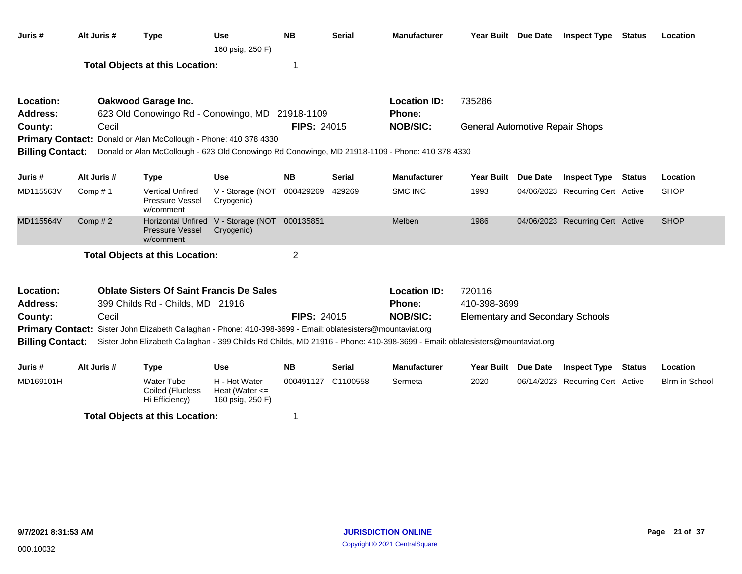| Juris #                                                                                                                                                                                                                                                                           | Alt Juris # | <b>Type</b>                                                                                     | Use<br>160 psig, 250 F)                             | <b>NB</b>          | <b>Serial</b> | <b>Manufacturer</b>                  | Year Built Due Date                     | <b>Inspect Type</b>              | Status        | Location       |
|-----------------------------------------------------------------------------------------------------------------------------------------------------------------------------------------------------------------------------------------------------------------------------------|-------------|-------------------------------------------------------------------------------------------------|-----------------------------------------------------|--------------------|---------------|--------------------------------------|-----------------------------------------|----------------------------------|---------------|----------------|
|                                                                                                                                                                                                                                                                                   |             | <b>Total Objects at this Location:</b>                                                          |                                                     | 1                  |               |                                      |                                         |                                  |               |                |
| Location:<br>Address:                                                                                                                                                                                                                                                             |             | Oakwood Garage Inc.<br>623 Old Conowingo Rd - Conowingo, MD 21918-1109                          |                                                     |                    |               | <b>Location ID:</b><br><b>Phone:</b> | 735286                                  |                                  |               |                |
| County:                                                                                                                                                                                                                                                                           | Cecil       |                                                                                                 |                                                     | <b>FIPS: 24015</b> |               | <b>NOB/SIC:</b>                      | <b>General Automotive Repair Shops</b>  |                                  |               |                |
|                                                                                                                                                                                                                                                                                   |             | Primary Contact: Donald or Alan McCollough - Phone: 410 378 4330                                |                                                     |                    |               |                                      |                                         |                                  |               |                |
| <b>Billing Contact:</b>                                                                                                                                                                                                                                                           |             | Donald or Alan McCollough - 623 Old Conowingo Rd Conowingo, MD 21918-1109 - Phone: 410 378 4330 |                                                     |                    |               |                                      |                                         |                                  |               |                |
| Juris #                                                                                                                                                                                                                                                                           | Alt Juris # | <b>Type</b>                                                                                     | <b>Use</b>                                          | <b>NB</b>          | <b>Serial</b> | <b>Manufacturer</b>                  | Year Built Due Date                     | <b>Inspect Type</b>              | Status        | Location       |
| MD115563V                                                                                                                                                                                                                                                                         | Comp $# 1$  | <b>Vertical Unfired</b><br>Pressure Vessel<br>w/comment                                         | V - Storage (NOT<br>Cryogenic)                      | 000429269          | 429269        | SMC INC                              | 1993                                    | 04/06/2023 Recurring Cert Active |               | <b>SHOP</b>    |
| MD115564V                                                                                                                                                                                                                                                                         | Comp $# 2$  | <b>Pressure Vessel</b><br>w/comment                                                             | Horizontal Unfired V - Storage (NOT<br>Cryogenic)   | 000135851          |               | Melben                               | 1986                                    | 04/06/2023 Recurring Cert Active |               | <b>SHOP</b>    |
|                                                                                                                                                                                                                                                                                   |             | <b>Total Objects at this Location:</b>                                                          |                                                     | $\overline{2}$     |               |                                      |                                         |                                  |               |                |
| Location:<br><b>Address:</b>                                                                                                                                                                                                                                                      |             | <b>Oblate Sisters Of Saint Francis De Sales</b><br>399 Childs Rd - Childs, MD 21916             |                                                     |                    |               | <b>Location ID:</b><br>Phone:        | 720116<br>410-398-3699                  |                                  |               |                |
| County:                                                                                                                                                                                                                                                                           | Cecil       |                                                                                                 |                                                     | <b>FIPS: 24015</b> |               | <b>NOB/SIC:</b>                      | <b>Elementary and Secondary Schools</b> |                                  |               |                |
| <b>Primary Contact:</b><br>Sister John Elizabeth Callaghan - Phone: 410-398-3699 - Email: oblatesisters@mountaviat.org<br><b>Billing Contact:</b><br>Sister John Elizabeth Callaghan - 399 Childs Rd Childs, MD 21916 - Phone: 410-398-3699 - Email: oblatesisters@mountaviat.org |             |                                                                                                 |                                                     |                    |               |                                      |                                         |                                  |               |                |
| Juris #                                                                                                                                                                                                                                                                           | Alt Juris # | <b>Type</b>                                                                                     | <b>Use</b>                                          | <b>NB</b>          | Serial        | <b>Manufacturer</b>                  | Year Built Due Date                     | <b>Inspect Type</b>              | <b>Status</b> | Location       |
| MD169101H                                                                                                                                                                                                                                                                         |             | <b>Water Tube</b><br>Coiled (Flueless<br>Hi Efficiency)                                         | H - Hot Water<br>Heat (Water <=<br>160 psig, 250 F) | 000491127          | C1100558      | Sermeta                              | 2020                                    | 06/14/2023 Recurring Cert Active |               | Blrm in School |
|                                                                                                                                                                                                                                                                                   |             | <b>Total Objects at this Location:</b>                                                          |                                                     | 1                  |               |                                      |                                         |                                  |               |                |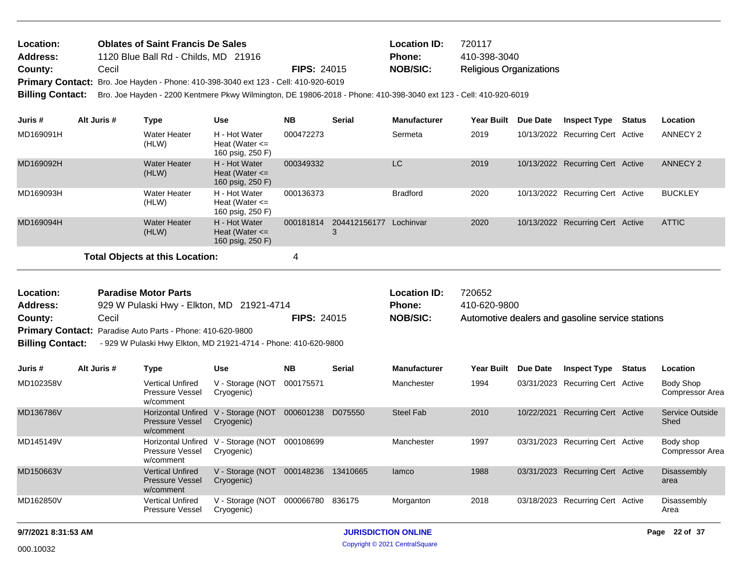| Location:       | <b>Oblates of Saint Francis De Sales</b>                                            |                    | <b>Location ID:</b> | 720117                         |
|-----------------|-------------------------------------------------------------------------------------|--------------------|---------------------|--------------------------------|
| <b>Address:</b> | 1120 Blue Ball Rd - Childs, MD 21916                                                |                    | Phone:              | 410-398-3040                   |
| County:         | Cecil                                                                               | <b>FIPS: 24015</b> | NOB/SIC:            | <b>Religious Organizations</b> |
|                 | Primary Contact: Bro. Joe Hayden - Phone: 410-398-3040 ext 123 - Cell: 410-920-6019 |                    |                     |                                |
|                 |                                                                                     |                    |                     |                                |

**Billing Contact:** Bro. Joe Hayden - 2200 Kentmere Pkwy Wilmington, DE 19806-2018 - Phone: 410-398-3040 ext 123 - Cell: 410-920-6019

| Juris #   | Alt Juris # | Type                                   | <b>Use</b>                                              | <b>NB</b> | <b>Serial</b> | <b>Manufacturer</b> | Year Built | <b>Due Date</b> | <b>Inspect Type</b>              | Status | <b>Location</b> |
|-----------|-------------|----------------------------------------|---------------------------------------------------------|-----------|---------------|---------------------|------------|-----------------|----------------------------------|--------|-----------------|
| MD169091H |             | Water Heater<br>(HLW)                  | H - Hot Water<br>Heat (Water $\leq$<br>160 psig, 250 F) | 000472273 |               | Sermeta             | 2019       |                 | 10/13/2022 Recurring Cert Active |        | ANNECY 2        |
| MD169092H |             | <b>Water Heater</b><br>(HLW)           | H - Hot Water<br>Heat (Water $\leq$<br>160 psig, 250 F) | 000349332 |               | <b>LC</b>           | 2019       |                 | 10/13/2022 Recurring Cert Active |        | <b>ANNECY 2</b> |
| MD169093H |             | <b>Water Heater</b><br>(HLW)           | H - Hot Water<br>Heat (Water $\leq$<br>160 psig, 250 F) | 000136373 |               | <b>Bradford</b>     | 2020       |                 | 10/13/2022 Recurring Cert Active |        | <b>BUCKLEY</b>  |
| MD169094H |             | <b>Water Heater</b><br>(HLW)           | H - Hot Water<br>Heat (Water $\leq$<br>160 psig, 250 F) | 000181814 | 204412156177  | Lochinvar           | 2020       |                 | 10/13/2022 Recurring Cert Active |        | <b>ATTIC</b>    |
|           |             | <b>Total Objects at this Location:</b> |                                                         | 4         |               |                     |            |                 |                                  |        |                 |

Automotive dealers and gasoline service stations 929 W Pulaski Hwy - Elkton, MD 21921-4714 **County:** Cecil **Cecil Cecil NOB/SIC: NOB/SIC:** Primary Contact: Paradise Auto Parts - Phone: 410-620-9800 **Billing Contact:** - 929 W Pulaski Hwy Elkton, MD 21921-4714 - Phone: 410-620-9800 **Paradise Motor Parts Location ID:** 720652 **Address: Location: Phone:** 410-620-9800

| Juris #   | Alt Juris # | Type                                                             | <b>Use</b>                     | <b>NB</b> | <b>Serial</b> | <b>Manufacturer</b> | <b>Year Built</b> | Due Date   | <b>Inspect Type</b>              | Status | Location                     |
|-----------|-------------|------------------------------------------------------------------|--------------------------------|-----------|---------------|---------------------|-------------------|------------|----------------------------------|--------|------------------------------|
| MD102358V |             | <b>Vertical Unfired</b><br><b>Pressure Vessel</b><br>w/comment   | V - Storage (NOT<br>Cryogenic) | 000175571 |               | Manchester          | 1994              |            | 03/31/2023 Recurring Cert Active |        | Body Shop<br>Compressor Area |
| MD136786V |             | <b>Horizontal Unfired</b><br><b>Pressure Vessel</b><br>w/comment | V - Storage (NOT<br>Cryogenic) | 000601238 | D075550       | Steel Fab           | 2010              | 10/22/2021 | <b>Recurring Cert Active</b>     |        | Service Outside<br>Shed      |
| MD145149V |             | <b>Horizontal Unfired</b><br>Pressure Vessel<br>w/comment        | V - Storage (NOT<br>Cryogenic) | 000108699 |               | Manchester          | 1997              | 03/31/2023 | Recurring Cert Active            |        | Body shop<br>Compressor Area |
| MD150663V |             | <b>Vertical Unfired</b><br><b>Pressure Vessel</b><br>w/comment   | V - Storage (NOT<br>Cryogenic) | 000148236 | 13410665      | lamco               | 1988              | 03/31/2023 | Recurring Cert Active            |        | Disassembly<br>area          |
| MD162850V |             | <b>Vertical Unfired</b><br><b>Pressure Vessel</b>                | V - Storage (NOT<br>Cryogenic) | 000066780 | 836175        | Morganton           | 2018              | 03/18/2023 | Recurring Cert Active            |        | Disassembly<br>Area          |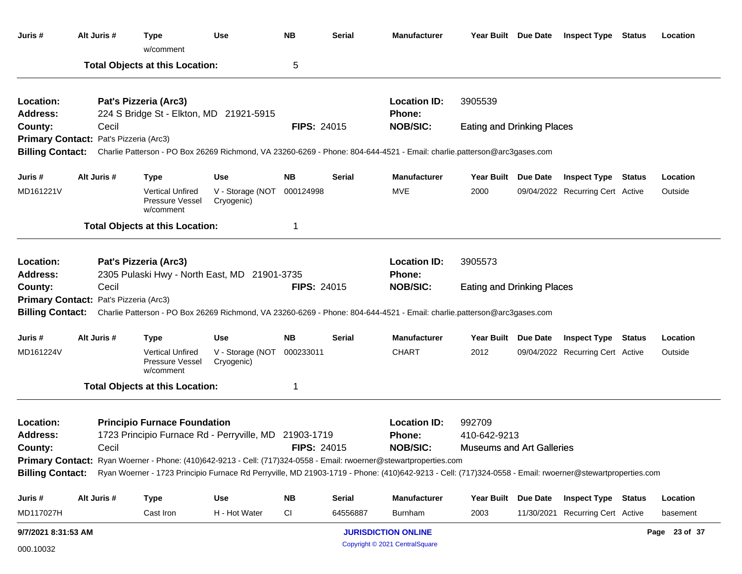| Juris #                 | Alt Juris #                            | <b>Type</b><br>w/comment                                                                                                                                                 | <b>Use</b>                     | <b>NB</b>          | <b>Serial</b> | <b>Manufacturer</b>                  |                                   | Year Built Due Date | <b>Inspect Type Status</b>       | Location      |
|-------------------------|----------------------------------------|--------------------------------------------------------------------------------------------------------------------------------------------------------------------------|--------------------------------|--------------------|---------------|--------------------------------------|-----------------------------------|---------------------|----------------------------------|---------------|
|                         |                                        | <b>Total Objects at this Location:</b>                                                                                                                                   |                                | 5                  |               |                                      |                                   |                     |                                  |               |
| Location:<br>Address:   |                                        | Pat's Pizzeria (Arc3)<br>224 S Bridge St - Elkton, MD 21921-5915                                                                                                         |                                |                    |               | <b>Location ID:</b><br><b>Phone:</b> | 3905539                           |                     |                                  |               |
| County:                 | Cecil                                  |                                                                                                                                                                          |                                | <b>FIPS: 24015</b> |               | <b>NOB/SIC:</b>                      | <b>Eating and Drinking Places</b> |                     |                                  |               |
|                         | Primary Contact: Pat's Pizzeria (Arc3) |                                                                                                                                                                          |                                |                    |               |                                      |                                   |                     |                                  |               |
| <b>Billing Contact:</b> |                                        | Charlie Patterson - PO Box 26269 Richmond, VA 23260-6269 - Phone: 804-644-4521 - Email: charlie.patterson@arc3gases.com                                                  |                                |                    |               |                                      |                                   |                     |                                  |               |
| Juris #                 | Alt Juris #                            | <b>Type</b>                                                                                                                                                              | <b>Use</b>                     | <b>NB</b>          | <b>Serial</b> | <b>Manufacturer</b>                  |                                   | Year Built Due Date | <b>Inspect Type Status</b>       | Location      |
| MD161221V               |                                        | <b>Vertical Unfired</b><br>Pressure Vessel<br>w/comment                                                                                                                  | V - Storage (NOT<br>Cryogenic) | 000124998          |               | MVE                                  | 2000                              |                     | 09/04/2022 Recurring Cert Active | Outside       |
|                         |                                        | <b>Total Objects at this Location:</b>                                                                                                                                   |                                | -1                 |               |                                      |                                   |                     |                                  |               |
| Location:               |                                        | Pat's Pizzeria (Arc3)                                                                                                                                                    |                                |                    |               | <b>Location ID:</b>                  | 3905573                           |                     |                                  |               |
| <b>Address:</b>         |                                        | 2305 Pulaski Hwy - North East, MD 21901-3735                                                                                                                             |                                |                    |               | <b>Phone:</b>                        |                                   |                     |                                  |               |
| County:                 | Cecil                                  |                                                                                                                                                                          |                                | <b>FIPS: 24015</b> |               | <b>NOB/SIC:</b>                      | <b>Eating and Drinking Places</b> |                     |                                  |               |
| <b>Billing Contact:</b> | Primary Contact: Pat's Pizzeria (Arc3) | Charlie Patterson - PO Box 26269 Richmond, VA 23260-6269 - Phone: 804-644-4521 - Email: charlie.patterson@arc3gases.com                                                  |                                |                    |               |                                      |                                   |                     |                                  |               |
| Juris #                 | Alt Juris #                            | <b>Type</b>                                                                                                                                                              | <b>Use</b>                     | <b>NB</b>          | <b>Serial</b> | <b>Manufacturer</b>                  |                                   | Year Built Due Date | <b>Inspect Type Status</b>       | Location      |
| MD161224V               |                                        | <b>Vertical Unfired</b><br>Pressure Vessel<br>w/comment                                                                                                                  | V - Storage (NOT<br>Cryogenic) | 000233011          |               | <b>CHART</b>                         | 2012                              |                     | 09/04/2022 Recurring Cert Active | Outside       |
|                         |                                        | <b>Total Objects at this Location:</b>                                                                                                                                   |                                | -1                 |               |                                      |                                   |                     |                                  |               |
| Location:               |                                        | <b>Principio Furnace Foundation</b>                                                                                                                                      |                                |                    |               | <b>Location ID:</b>                  | 992709                            |                     |                                  |               |
| Address:                | Cecil                                  | 1723 Principio Furnace Rd - Perryville, MD 21903-1719                                                                                                                    |                                | <b>FIPS: 24015</b> |               | <b>Phone:</b><br><b>NOB/SIC:</b>     | 410-642-9213                      |                     |                                  |               |
| County:                 |                                        | Primary Contact: Ryan Woerner - Phone: (410)642-9213 - Cell: (717)324-0558 - Email: rwoerner@stewartproperties.com                                                       |                                |                    |               |                                      | <b>Museums and Art Galleries</b>  |                     |                                  |               |
|                         |                                        | Billing Contact: Ryan Woerner - 1723 Principio Furnace Rd Perryville, MD 21903-1719 - Phone: (410)642-9213 - Cell: (717)324-0558 - Email: rwoerner@stewartproperties.com |                                |                    |               |                                      |                                   |                     |                                  |               |
| Juris #                 | Alt Juris #                            | <b>Type</b>                                                                                                                                                              | <b>Use</b>                     | <b>NB</b>          | <b>Serial</b> | <b>Manufacturer</b>                  |                                   | Year Built Due Date | <b>Inspect Type Status</b>       | Location      |
| MD117027H               |                                        | Cast Iron                                                                                                                                                                | H - Hot Water                  | <b>CI</b>          | 64556887      | <b>Burnham</b>                       | 2003                              |                     | 11/30/2021 Recurring Cert Active | basement      |
| 9/7/2021 8:31:53 AM     |                                        |                                                                                                                                                                          |                                |                    |               | <b>JURISDICTION ONLINE</b>           |                                   |                     |                                  | Page 23 of 37 |
| 000.10032               |                                        |                                                                                                                                                                          |                                |                    |               | Copyright © 2021 CentralSquare       |                                   |                     |                                  |               |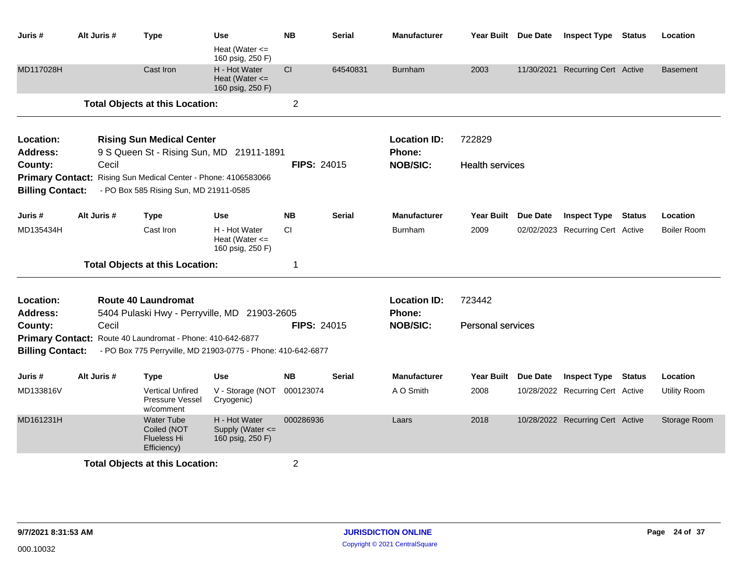| Juris #                 | Alt Juris # | <b>Type</b>                                                           | <b>Use</b>                                              | <b>NB</b>          | Serial        | <b>Manufacturer</b> | Year Built Due Date      | <b>Inspect Type</b>              | <b>Status</b> | Location            |
|-------------------------|-------------|-----------------------------------------------------------------------|---------------------------------------------------------|--------------------|---------------|---------------------|--------------------------|----------------------------------|---------------|---------------------|
|                         |             |                                                                       | Heat (Water $\leq$<br>160 psig, 250 F)                  |                    |               |                     |                          |                                  |               |                     |
| MD117028H               |             | Cast Iron                                                             | H - Hot Water<br>Heat (Water $\leq$<br>160 psig, 250 F) | CI                 | 64540831      | <b>Burnham</b>      | 2003                     | 11/30/2021 Recurring Cert Active |               | <b>Basement</b>     |
|                         |             | <b>Total Objects at this Location:</b>                                |                                                         | $\overline{2}$     |               |                     |                          |                                  |               |                     |
| Location:               |             | <b>Rising Sun Medical Center</b>                                      |                                                         |                    |               | <b>Location ID:</b> | 722829                   |                                  |               |                     |
| <b>Address:</b>         |             | 9 S Queen St - Rising Sun, MD 21911-1891                              |                                                         |                    |               | <b>Phone:</b>       |                          |                                  |               |                     |
| County:                 | Cecil       |                                                                       |                                                         | <b>FIPS: 24015</b> |               | <b>NOB/SIC:</b>     | <b>Health services</b>   |                                  |               |                     |
| <b>Primary Contact:</b> |             | Rising Sun Medical Center - Phone: 4106583066                         |                                                         |                    |               |                     |                          |                                  |               |                     |
| <b>Billing Contact:</b> |             | - PO Box 585 Rising Sun, MD 21911-0585                                |                                                         |                    |               |                     |                          |                                  |               |                     |
| Juris #                 | Alt Juris # | <b>Type</b>                                                           | Use                                                     | <b>NB</b>          | <b>Serial</b> | <b>Manufacturer</b> | Year Built Due Date      | <b>Inspect Type Status</b>       |               | Location            |
| MD135434H               |             | Cast Iron                                                             | H - Hot Water<br>Heat (Water $\leq$<br>160 psig, 250 F) | <b>CI</b>          |               | <b>Burnham</b>      | 2009                     | 02/02/2023 Recurring Cert Active |               | <b>Boiler Room</b>  |
|                         |             | <b>Total Objects at this Location:</b>                                |                                                         | 1                  |               |                     |                          |                                  |               |                     |
| Location:               |             | <b>Route 40 Laundromat</b>                                            |                                                         |                    |               | <b>Location ID:</b> | 723442                   |                                  |               |                     |
| <b>Address:</b>         |             | 5404 Pulaski Hwy - Perryville, MD 21903-2605                          |                                                         |                    |               | Phone:              |                          |                                  |               |                     |
| County:                 | Cecil       |                                                                       |                                                         | <b>FIPS: 24015</b> |               | <b>NOB/SIC:</b>     | <b>Personal services</b> |                                  |               |                     |
|                         |             | Primary Contact: Route 40 Laundromat - Phone: 410-642-6877            |                                                         |                    |               |                     |                          |                                  |               |                     |
| <b>Billing Contact:</b> |             | - PO Box 775 Perryville, MD 21903-0775 - Phone: 410-642-6877          |                                                         |                    |               |                     |                          |                                  |               |                     |
| Juris #                 | Alt Juris # | Type                                                                  | Use                                                     | <b>NB</b>          | <b>Serial</b> | <b>Manufacturer</b> | Year Built Due Date      | <b>Inspect Type Status</b>       |               | Location            |
| MD133816V               |             | <b>Vertical Unfired</b><br>Pressure Vessel<br>w/comment               | V - Storage (NOT<br>Cryogenic)                          | 000123074          |               | A O Smith           | 2008                     | 10/28/2022 Recurring Cert Active |               | <b>Utility Room</b> |
| MD161231H               |             | <b>Water Tube</b><br>Coiled (NOT<br><b>Flueless Hi</b><br>Efficiency) | H - Hot Water<br>Supply (Water <=<br>160 psig, 250 F)   | 000286936          |               | Laars               | 2018                     | 10/28/2022 Recurring Cert Active |               | Storage Room        |
|                         |             | <b>Total Objects at this Location:</b>                                |                                                         | $\overline{2}$     |               |                     |                          |                                  |               |                     |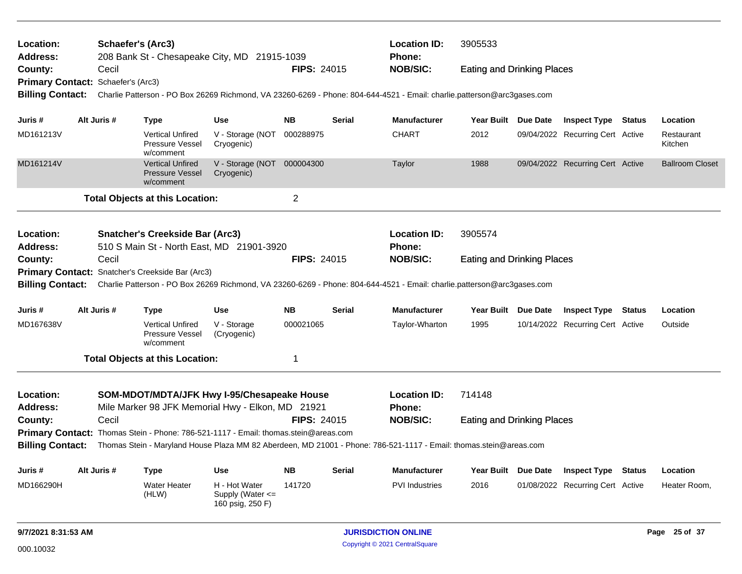| Location:<br><b>Address:</b>       |                                                                                                                                               | Schaefer's (Arc3) | 208 Bank St - Chesapeake City, MD 21915-1039                   |                                                           |                    |                 | <b>Location ID:</b><br><b>Phone:</b>                                                                                                     | 3905533                           |                                  |                        |
|------------------------------------|-----------------------------------------------------------------------------------------------------------------------------------------------|-------------------|----------------------------------------------------------------|-----------------------------------------------------------|--------------------|-----------------|------------------------------------------------------------------------------------------------------------------------------------------|-----------------------------------|----------------------------------|------------------------|
| County:                            |                                                                                                                                               | Cecil             |                                                                |                                                           | <b>FIPS: 24015</b> |                 | <b>NOB/SIC:</b>                                                                                                                          | <b>Eating and Drinking Places</b> |                                  |                        |
| Primary Contact: Schaefer's (Arc3) |                                                                                                                                               |                   |                                                                |                                                           |                    |                 |                                                                                                                                          |                                   |                                  |                        |
| <b>Billing Contact:</b>            |                                                                                                                                               |                   |                                                                |                                                           |                    |                 | Charlie Patterson - PO Box 26269 Richmond, VA 23260-6269 - Phone: 804-644-4521 - Email: charlie.patterson@arc3gases.com                  |                                   |                                  |                        |
| Juris #                            |                                                                                                                                               | Alt Juris #       | <b>Type</b>                                                    | <b>Use</b>                                                | <b>NB</b>          | <b>Serial</b>   | <b>Manufacturer</b>                                                                                                                      | Year Built Due Date               | <b>Inspect Type Status</b>       | Location               |
| MD161213V                          |                                                                                                                                               |                   | <b>Vertical Unfired</b><br>Pressure Vessel<br>w/comment        | V - Storage (NOT<br>Cryogenic)                            | 000288975          |                 | <b>CHART</b>                                                                                                                             | 2012                              | 09/04/2022 Recurring Cert Active | Restaurant<br>Kitchen  |
| MD161214V                          |                                                                                                                                               |                   | <b>Vertical Unfired</b><br><b>Pressure Vessel</b><br>w/comment | V - Storage (NOT 000004300<br>Cryogenic)                  |                    |                 | Taylor                                                                                                                                   | 1988                              | 09/04/2022 Recurring Cert Active | <b>Ballroom Closet</b> |
|                                    |                                                                                                                                               |                   | <b>Total Objects at this Location:</b>                         |                                                           | $\overline{c}$     |                 |                                                                                                                                          |                                   |                                  |                        |
| Location:                          |                                                                                                                                               |                   | <b>Snatcher's Creekside Bar (Arc3)</b>                         |                                                           |                    |                 | <b>Location ID:</b>                                                                                                                      | 3905574                           |                                  |                        |
| <b>Address:</b>                    |                                                                                                                                               |                   | 510 S Main St - North East, MD 21901-3920                      |                                                           |                    |                 | <b>Phone:</b>                                                                                                                            |                                   |                                  |                        |
| County:                            | FIPS: 24015<br>Cecil                                                                                                                          |                   |                                                                |                                                           |                    |                 | <b>NOB/SIC:</b>                                                                                                                          | <b>Eating and Drinking Places</b> |                                  |                        |
|                                    |                                                                                                                                               |                   | Primary Contact: Snatcher's Creekside Bar (Arc3)               |                                                           |                    |                 |                                                                                                                                          |                                   |                                  |                        |
|                                    |                                                                                                                                               |                   |                                                                |                                                           |                    |                 | Billing Contact: Charlie Patterson - PO Box 26269 Richmond, VA 23260-6269 - Phone: 804-644-4521 - Email: charlie.patterson@arc3gases.com |                                   |                                  |                        |
| Juris #                            |                                                                                                                                               | Alt Juris #       | <b>Type</b>                                                    | <b>Use</b>                                                | <b>NB</b>          | <b>Serial</b>   | <b>Manufacturer</b>                                                                                                                      | Year Built Due Date               | <b>Inspect Type Status</b>       | Location               |
| MD167638V                          |                                                                                                                                               |                   | <b>Vertical Unfired</b><br>Pressure Vessel<br>w/comment        | V - Storage<br>(Cryogenic)                                | 000021065          |                 | Taylor-Wharton                                                                                                                           | 1995                              | 10/14/2022 Recurring Cert Active | Outside                |
|                                    |                                                                                                                                               |                   | <b>Total Objects at this Location:</b>                         |                                                           | 1                  |                 |                                                                                                                                          |                                   |                                  |                        |
| <b>Location:</b>                   |                                                                                                                                               |                   | SOM-MDOT/MDTA/JFK Hwy I-95/Chesapeake House                    |                                                           |                    |                 | <b>Location ID:</b>                                                                                                                      | 714148                            |                                  |                        |
| <b>Address:</b>                    |                                                                                                                                               |                   | Mile Marker 98 JFK Memorial Hwy - Elkon, MD 21921              |                                                           |                    |                 | Phone:                                                                                                                                   |                                   |                                  |                        |
| County:                            | Cecil<br><b>FIPS: 24015</b>                                                                                                                   |                   |                                                                |                                                           |                    | <b>NOB/SIC:</b> | <b>Eating and Drinking Places</b>                                                                                                        |                                   |                                  |                        |
|                                    | Primary Contact: Thomas Stein - Phone: 786-521-1117 - Email: thomas.stein@areas.com                                                           |                   |                                                                |                                                           |                    |                 |                                                                                                                                          |                                   |                                  |                        |
|                                    | <b>Billing Contact:</b><br>Thomas Stein - Maryland House Plaza MM 82 Aberdeen, MD 21001 - Phone: 786-521-1117 - Email: thomas.stein@areas.com |                   |                                                                |                                                           |                    |                 |                                                                                                                                          |                                   |                                  |                        |
| Juris #                            |                                                                                                                                               | Alt Juris #       | Type                                                           | <b>Use</b>                                                | <b>NB</b>          | Serial          | Manufacturer                                                                                                                             | Year Built Due Date               | <b>Inspect Type Status</b>       | Location               |
| MD166290H                          |                                                                                                                                               |                   | <b>Water Heater</b><br>(HLW)                                   | H - Hot Water<br>Supply (Water $\leq$<br>160 psig, 250 F) | 141720             |                 | <b>PVI Industries</b>                                                                                                                    | 2016                              | 01/08/2022 Recurring Cert Active | Heater Room,           |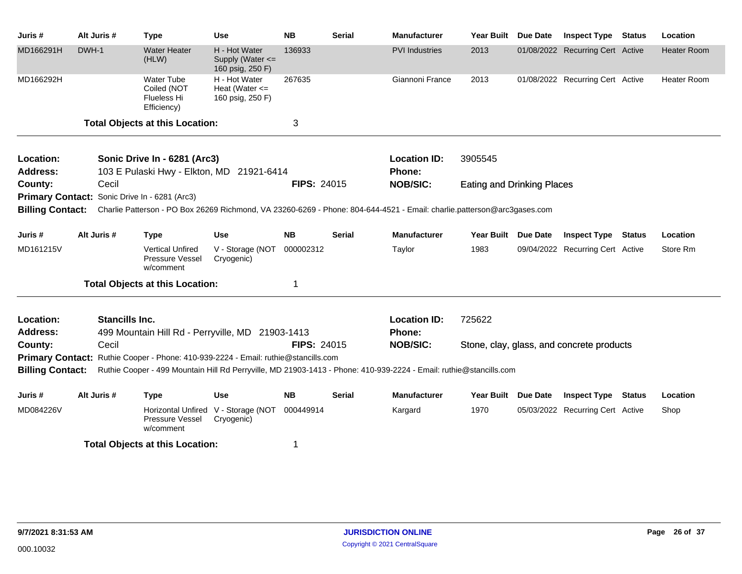| Juris #                 | Alt Juris #           | <b>Type</b>                                                       | <b>Use</b>                                              | <b>NB</b>          | <b>Serial</b> | <b>Manufacturer</b>                                                                                                     | <b>Year Built</b>                 | Due Date | <b>Inspect Type</b>                       | <b>Status</b> | Location           |
|-------------------------|-----------------------|-------------------------------------------------------------------|---------------------------------------------------------|--------------------|---------------|-------------------------------------------------------------------------------------------------------------------------|-----------------------------------|----------|-------------------------------------------|---------------|--------------------|
| MD166291H               | DWH-1                 | <b>Water Heater</b><br>(HLW)                                      | H - Hot Water<br>Supply (Water <=<br>160 psig, 250 F)   | 136933             |               | <b>PVI</b> Industries                                                                                                   | 2013                              |          | 01/08/2022 Recurring Cert Active          |               | <b>Heater Room</b> |
| MD166292H               |                       | <b>Water Tube</b><br>Coiled (NOT<br>Flueless Hi<br>Efficiency)    | H - Hot Water<br>Heat (Water $\leq$<br>160 psig, 250 F) | 267635             |               | Giannoni France                                                                                                         | 2013                              |          | 01/08/2022 Recurring Cert Active          |               | Heater Room        |
|                         |                       | <b>Total Objects at this Location:</b>                            |                                                         | 3                  |               |                                                                                                                         |                                   |          |                                           |               |                    |
| Location:               |                       | Sonic Drive In - 6281 (Arc3)                                      |                                                         |                    |               | <b>Location ID:</b>                                                                                                     | 3905545                           |          |                                           |               |                    |
| <b>Address:</b>         |                       | 103 E Pulaski Hwy - Elkton, MD 21921-6414                         |                                                         |                    |               | Phone:                                                                                                                  |                                   |          |                                           |               |                    |
| County:                 | Cecil                 |                                                                   |                                                         | <b>FIPS: 24015</b> |               | <b>NOB/SIC:</b>                                                                                                         | <b>Eating and Drinking Places</b> |          |                                           |               |                    |
|                         |                       | Primary Contact: Sonic Drive In - 6281 (Arc3)                     |                                                         |                    |               |                                                                                                                         |                                   |          |                                           |               |                    |
| <b>Billing Contact:</b> |                       |                                                                   |                                                         |                    |               | Charlie Patterson - PO Box 26269 Richmond, VA 23260-6269 - Phone: 804-644-4521 - Email: charlie.patterson@arc3gases.com |                                   |          |                                           |               |                    |
| Juris #                 | Alt Juris #           | <b>Type</b>                                                       | <b>Use</b>                                              | <b>NB</b>          | <b>Serial</b> | <b>Manufacturer</b>                                                                                                     | Year Built Due Date               |          | <b>Inspect Type</b>                       | Status        | Location           |
| MD161215V               |                       | <b>Vertical Unfired</b><br>Pressure Vessel<br>w/comment           | V - Storage (NOT<br>Cryogenic)                          | 000002312          |               | Taylor                                                                                                                  | 1983                              |          | 09/04/2022 Recurring Cert Active          |               | Store Rm           |
|                         |                       | <b>Total Objects at this Location:</b>                            |                                                         | 1                  |               |                                                                                                                         |                                   |          |                                           |               |                    |
| Location:               | <b>Stancills Inc.</b> |                                                                   |                                                         |                    |               | <b>Location ID:</b>                                                                                                     | 725622                            |          |                                           |               |                    |
| <b>Address:</b>         |                       | 499 Mountain Hill Rd - Perryville, MD 21903-1413                  |                                                         |                    |               | <b>Phone:</b>                                                                                                           |                                   |          |                                           |               |                    |
| County:                 | Cecil                 |                                                                   |                                                         | <b>FIPS: 24015</b> |               | <b>NOB/SIC:</b>                                                                                                         |                                   |          | Stone, clay, glass, and concrete products |               |                    |
| <b>Primary Contact:</b> |                       | Ruthie Cooper - Phone: 410-939-2224 - Email: ruthie@stancills.com |                                                         |                    |               |                                                                                                                         |                                   |          |                                           |               |                    |
| <b>Billing Contact:</b> |                       |                                                                   |                                                         |                    |               | Ruthie Cooper - 499 Mountain Hill Rd Perryville, MD 21903-1413 - Phone: 410-939-2224 - Email: ruthie@stancills.com      |                                   |          |                                           |               |                    |
| Juris #                 | Alt Juris #           | <b>Type</b>                                                       | <b>Use</b>                                              | <b>NB</b>          | <b>Serial</b> | <b>Manufacturer</b>                                                                                                     | Year Built Due Date               |          | <b>Inspect Type</b>                       | <b>Status</b> | Location           |
| MD084226V               |                       | Pressure Vessel<br>w/comment                                      | Horizontal Unfired V - Storage (NOT<br>Cryogenic)       | 000449914          |               | Kargard                                                                                                                 | 1970                              |          | 05/03/2022 Recurring Cert Active          |               | Shop               |
|                         |                       | <b>Total Objects at this Location:</b>                            |                                                         | 1                  |               |                                                                                                                         |                                   |          |                                           |               |                    |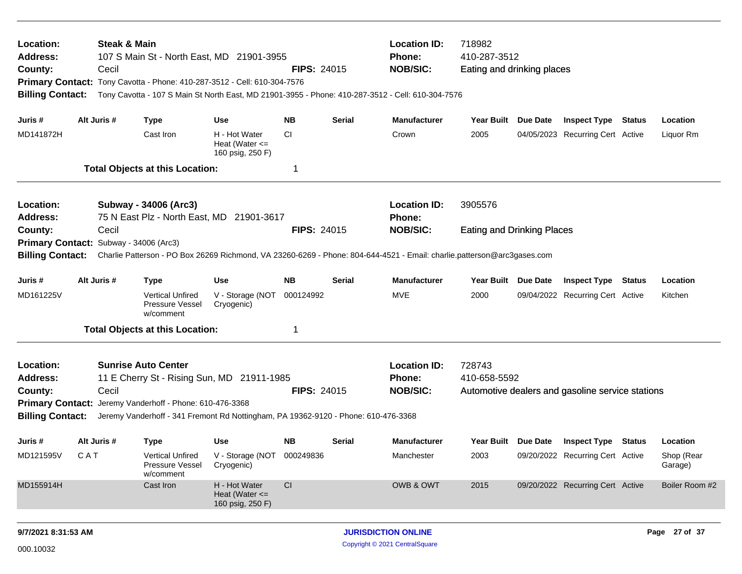| Location:<br><b>Address:</b><br>County:<br>Primary Contact: Tony Cavotta - Phone: 410-287-3512 - Cell: 610-304-7576<br><b>Billing Contact:</b>                                               |             | <b>Steak &amp; Main</b><br>Cecil | 107 S Main St - North East, MD 21901-3955                                                                                                                                                                                  |                                                         | <b>FIPS: 24015</b> |               | <b>Location ID:</b><br><b>Phone:</b><br><b>NOB/SIC:</b><br>Tony Cavotta - 107 S Main St North East, MD 21901-3955 - Phone: 410-287-3512 - Cell: 610-304-7576 | 718982<br>410-287-3512<br>Eating and drinking places |                 |                                                                |  |                       |
|----------------------------------------------------------------------------------------------------------------------------------------------------------------------------------------------|-------------|----------------------------------|----------------------------------------------------------------------------------------------------------------------------------------------------------------------------------------------------------------------------|---------------------------------------------------------|--------------------|---------------|--------------------------------------------------------------------------------------------------------------------------------------------------------------|------------------------------------------------------|-----------------|----------------------------------------------------------------|--|-----------------------|
| Juris #<br>MD141872H                                                                                                                                                                         | Alt Juris # |                                  | <b>Type</b><br>Cast Iron                                                                                                                                                                                                   | Use<br>H - Hot Water                                    | <b>NB</b><br>CI.   | <b>Serial</b> | <b>Manufacturer</b><br>Crown                                                                                                                                 | Year Built Due Date<br>2005                          |                 | <b>Inspect Type Status</b><br>04/05/2023 Recurring Cert Active |  | Location<br>Liquor Rm |
|                                                                                                                                                                                              |             |                                  |                                                                                                                                                                                                                            | Heat (Water $\leq$<br>160 psig, 250 F)                  |                    |               |                                                                                                                                                              |                                                      |                 |                                                                |  |                       |
|                                                                                                                                                                                              |             |                                  | <b>Total Objects at this Location:</b>                                                                                                                                                                                     |                                                         | 1                  |               |                                                                                                                                                              |                                                      |                 |                                                                |  |                       |
| Location:<br><b>Address:</b>                                                                                                                                                                 |             |                                  | Subway - 34006 (Arc3)<br>75 N East Plz - North East, MD 21901-3617                                                                                                                                                         |                                                         |                    |               | <b>Location ID:</b><br><b>Phone:</b>                                                                                                                         | 3905576                                              |                 |                                                                |  |                       |
| County:                                                                                                                                                                                      | Cecil       |                                  |                                                                                                                                                                                                                            |                                                         | <b>FIPS: 24015</b> |               | <b>NOB/SIC:</b>                                                                                                                                              | <b>Eating and Drinking Places</b>                    |                 |                                                                |  |                       |
| Primary Contact: Subway - 34006 (Arc3)<br><b>Billing Contact:</b><br>Charlie Patterson - PO Box 26269 Richmond, VA 23260-6269 - Phone: 804-644-4521 - Email: charlie.patterson@arc3gases.com |             |                                  |                                                                                                                                                                                                                            |                                                         |                    |               |                                                                                                                                                              |                                                      |                 |                                                                |  |                       |
| Juris #                                                                                                                                                                                      | Alt Juris # |                                  | <b>Type</b>                                                                                                                                                                                                                | <b>Use</b>                                              | <b>NB</b>          | Serial        | <b>Manufacturer</b>                                                                                                                                          | <b>Year Built</b>                                    | <b>Due Date</b> | <b>Inspect Type Status</b>                                     |  | Location              |
| MD161225V                                                                                                                                                                                    |             |                                  | <b>Vertical Unfired</b><br>Pressure Vessel<br>w/comment                                                                                                                                                                    | V - Storage (NOT 000124992<br>Cryogenic)                |                    |               | MVE                                                                                                                                                          | 2000                                                 |                 | 09/04/2022 Recurring Cert Active                               |  | Kitchen               |
|                                                                                                                                                                                              |             |                                  | <b>Total Objects at this Location:</b>                                                                                                                                                                                     |                                                         | 1                  |               |                                                                                                                                                              |                                                      |                 |                                                                |  |                       |
| Location:<br><b>Address:</b><br>County:<br><b>Billing Contact:</b>                                                                                                                           |             | Cecil                            | <b>Sunrise Auto Center</b><br>11 E Cherry St - Rising Sun, MD 21911-1985<br>Primary Contact: Jeremy Vanderhoff - Phone: 610-476-3368<br>Jeremy Vanderhoff - 341 Fremont Rd Nottingham, PA 19362-9120 - Phone: 610-476-3368 |                                                         | <b>FIPS: 24015</b> |               | <b>Location ID:</b><br><b>Phone:</b><br><b>NOB/SIC:</b>                                                                                                      | 728743<br>410-658-5592                               |                 | Automotive dealers and gasoline service stations               |  |                       |
| Juris #                                                                                                                                                                                      | Alt Juris # |                                  | <b>Type</b>                                                                                                                                                                                                                | Use                                                     | NB.                | Serial        | <b>Manufacturer</b>                                                                                                                                          | Year Built Due Date                                  |                 | <b>Inspect Type Status</b>                                     |  | Location              |
| MD121595V                                                                                                                                                                                    | CAT         |                                  | <b>Vertical Unfired</b><br>Pressure Vessel<br>w/comment                                                                                                                                                                    | V - Storage (NOT 000249836<br>Cryogenic)                |                    |               | Manchester                                                                                                                                                   | 2003                                                 |                 | 09/20/2022 Recurring Cert Active                               |  | Shop (Rear<br>Garage) |
| MD155914H                                                                                                                                                                                    |             |                                  | Cast Iron                                                                                                                                                                                                                  | H - Hot Water<br>Heat (Water $\leq$<br>160 psig, 250 F) | CI                 |               | OWB & OWT                                                                                                                                                    | 2015                                                 |                 | 09/20/2022 Recurring Cert Active                               |  | Boiler Room #2        |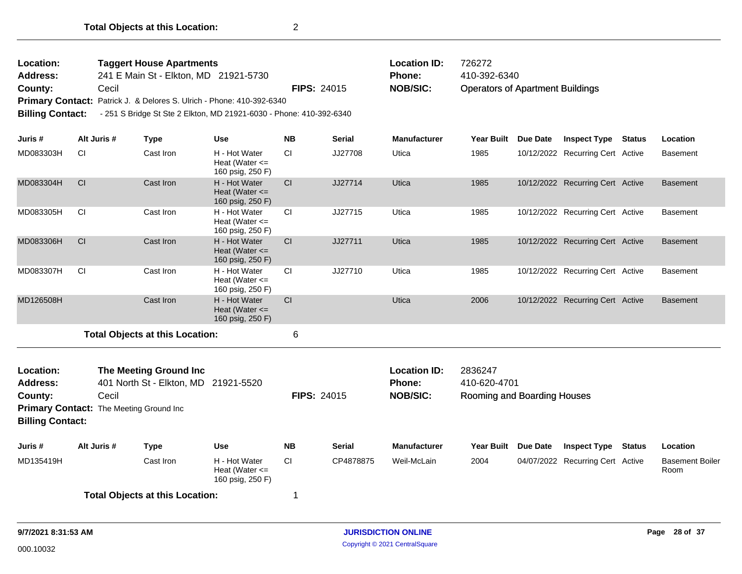| Location:<br><b>Taggert House Apartments</b><br>241 E Main St - Elkton, MD 21921-5730<br>Address:<br>Cecil<br>County:<br>Primary Contact: Patrick J. & Delores S. Ulrich - Phone: 410-392-6340<br><b>Billing Contact:</b><br>- 251 S Bridge St Ste 2 Elkton, MD 21921-6030 - Phone: 410-392-6340 |                                                  |                                                                |                                                         | <b>FIPS: 24015</b> |               | <b>Location ID:</b><br>Phone:<br><b>NOB/SIC:</b> | 726272<br>410-392-6340<br><b>Operators of Apartment Buildings</b> |                 |                                  |               |                                |
|--------------------------------------------------------------------------------------------------------------------------------------------------------------------------------------------------------------------------------------------------------------------------------------------------|--------------------------------------------------|----------------------------------------------------------------|---------------------------------------------------------|--------------------|---------------|--------------------------------------------------|-------------------------------------------------------------------|-----------------|----------------------------------|---------------|--------------------------------|
| Juris #                                                                                                                                                                                                                                                                                          | Alt Juris #                                      | <b>Type</b>                                                    | <b>Use</b>                                              | <b>NB</b>          | <b>Serial</b> | <b>Manufacturer</b>                              | <b>Year Built</b>                                                 | <b>Due Date</b> | <b>Inspect Type</b>              | <b>Status</b> | Location                       |
| MD083303H                                                                                                                                                                                                                                                                                        | СI                                               | Cast Iron                                                      | H - Hot Water<br>Heat (Water $\leq$<br>160 psig, 250 F) | CI.                | JJ27708       | Utica                                            | 1985                                                              |                 | 10/12/2022 Recurring Cert Active |               | <b>Basement</b>                |
| MD083304H                                                                                                                                                                                                                                                                                        | <b>CI</b>                                        | Cast Iron                                                      | H - Hot Water<br>Heat (Water $\leq$<br>160 psig, 250 F) | CI                 | JJ27714       | Utica                                            | 1985                                                              |                 | 10/12/2022 Recurring Cert Active |               | <b>Basement</b>                |
| MD083305H                                                                                                                                                                                                                                                                                        | CI                                               | Cast Iron                                                      | H - Hot Water<br>Heat (Water $\leq$<br>160 psig, 250 F) | <b>CI</b>          | JJ27715       | Utica                                            | 1985                                                              |                 | 10/12/2022 Recurring Cert Active |               | <b>Basement</b>                |
| MD083306H                                                                                                                                                                                                                                                                                        | CI                                               | Cast Iron                                                      | H - Hot Water<br>Heat (Water $\leq$<br>160 psig, 250 F) | CI                 | JJ27711       | <b>Utica</b>                                     | 1985                                                              |                 | 10/12/2022 Recurring Cert Active |               | <b>Basement</b>                |
| MD083307H                                                                                                                                                                                                                                                                                        | <b>CI</b>                                        | Cast Iron                                                      | H - Hot Water<br>Heat (Water $\leq$<br>160 psig, 250 F) | <b>CI</b>          | JJ27710       | Utica                                            | 1985                                                              |                 | 10/12/2022 Recurring Cert Active |               | <b>Basement</b>                |
| MD126508H                                                                                                                                                                                                                                                                                        |                                                  | Cast Iron                                                      | H - Hot Water<br>Heat (Water $\leq$<br>160 psig, 250 F) | CI                 |               | <b>Utica</b>                                     | 2006                                                              |                 | 10/12/2022 Recurring Cert Active |               | <b>Basement</b>                |
|                                                                                                                                                                                                                                                                                                  |                                                  | <b>Total Objects at this Location:</b>                         |                                                         | 6                  |               |                                                  |                                                                   |                 |                                  |               |                                |
| Location:<br><b>Address:</b><br>County:<br><b>Billing Contact:</b>                                                                                                                                                                                                                               | Cecil<br>Primary Contact: The Meeting Ground Inc | The Meeting Ground Inc<br>401 North St - Elkton, MD 21921-5520 |                                                         | <b>FIPS: 24015</b> |               | <b>Location ID:</b><br>Phone:<br><b>NOB/SIC:</b> | 2836247<br>410-620-4701<br>Rooming and Boarding Houses            |                 |                                  |               |                                |
| Juris #                                                                                                                                                                                                                                                                                          | Alt Juris #                                      | <b>Type</b>                                                    | <b>Use</b>                                              | <b>NB</b>          | <b>Serial</b> | <b>Manufacturer</b>                              | Year Built                                                        | <b>Due Date</b> | <b>Inspect Type</b>              | <b>Status</b> | Location                       |
| MD135419H                                                                                                                                                                                                                                                                                        |                                                  | Cast Iron                                                      | H - Hot Water<br>Heat (Water $\leq$<br>160 psig, 250 F) | CI.                | CP4878875     | Weil-McLain                                      | 2004                                                              |                 | 04/07/2022 Recurring Cert Active |               | <b>Basement Boiler</b><br>Room |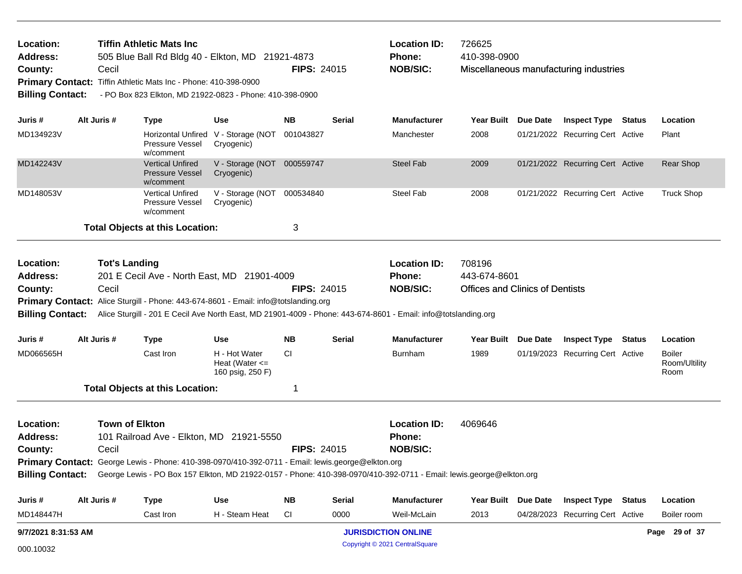| Location:<br>Address:<br>County:<br><b>Billing Contact:</b><br>Juris #<br>MD148447H | <b>Town of Elkton</b><br>Cecil<br>Alt Juris #                                                                 | 101 Railroad Ave - Elkton, MD 21921-5550<br>Primary Contact: George Lewis - Phone: 410-398-0970/410-392-0711 - Email: lewis.george@elkton.org<br><b>Type</b><br>Cast Iron | Use<br>H - Steam Heat                                   | <b>FIPS: 24015</b><br><b>NB</b><br><b>CI</b> | <b>Serial</b><br>0000 | <b>Location ID:</b><br>Phone:<br><b>NOB/SIC:</b><br>George Lewis - PO Box 157 Elkton, MD 21922-0157 - Phone: 410-398-0970/410-392-0711 - Email: lewis.george@elkton.org<br>Manufacturer<br>Weil-McLain | 4069646<br>Year Built Due Date<br>2013 |                 | <b>Inspect Type Status</b><br>04/28/2023 Recurring Cert Active |               | Location<br>Boiler room                |
|-------------------------------------------------------------------------------------|---------------------------------------------------------------------------------------------------------------|---------------------------------------------------------------------------------------------------------------------------------------------------------------------------|---------------------------------------------------------|----------------------------------------------|-----------------------|--------------------------------------------------------------------------------------------------------------------------------------------------------------------------------------------------------|----------------------------------------|-----------------|----------------------------------------------------------------|---------------|----------------------------------------|
|                                                                                     |                                                                                                               |                                                                                                                                                                           |                                                         |                                              |                       |                                                                                                                                                                                                        |                                        |                 |                                                                |               |                                        |
|                                                                                     |                                                                                                               |                                                                                                                                                                           |                                                         |                                              |                       |                                                                                                                                                                                                        |                                        |                 |                                                                |               |                                        |
|                                                                                     |                                                                                                               |                                                                                                                                                                           |                                                         |                                              |                       |                                                                                                                                                                                                        |                                        |                 |                                                                |               |                                        |
|                                                                                     |                                                                                                               |                                                                                                                                                                           |                                                         |                                              |                       |                                                                                                                                                                                                        |                                        |                 |                                                                |               |                                        |
|                                                                                     |                                                                                                               |                                                                                                                                                                           |                                                         |                                              |                       |                                                                                                                                                                                                        |                                        |                 |                                                                |               |                                        |
|                                                                                     |                                                                                                               |                                                                                                                                                                           |                                                         |                                              |                       |                                                                                                                                                                                                        |                                        |                 |                                                                |               |                                        |
|                                                                                     |                                                                                                               |                                                                                                                                                                           |                                                         |                                              |                       |                                                                                                                                                                                                        |                                        |                 |                                                                |               |                                        |
|                                                                                     |                                                                                                               | <b>Total Objects at this Location:</b>                                                                                                                                    |                                                         | 1                                            |                       |                                                                                                                                                                                                        |                                        |                 |                                                                |               |                                        |
| MD066565H                                                                           |                                                                                                               | Cast Iron                                                                                                                                                                 | H - Hot Water<br>Heat (Water $\leq$<br>160 psig, 250 F) | <b>CI</b>                                    |                       | Burnham                                                                                                                                                                                                | 1989                                   |                 | 01/19/2023 Recurring Cert Active                               |               | <b>Boiler</b><br>Room/Ultility<br>Room |
| Juris #                                                                             | Alt Juris #                                                                                                   | <b>Type</b>                                                                                                                                                               | <b>Use</b>                                              | <b>NB</b>                                    | <b>Serial</b>         | <b>Manufacturer</b>                                                                                                                                                                                    | <b>Year Built</b>                      | <b>Due Date</b> | <b>Inspect Type</b>                                            | <b>Status</b> | Location                               |
|                                                                                     |                                                                                                               | Primary Contact: Alice Sturgill - Phone: 443-674-8601 - Email: info@totslanding.org                                                                                       |                                                         |                                              |                       | Billing Contact: Alice Sturgill - 201 E Cecil Ave North East, MD 21901-4009 - Phone: 443-674-8601 - Email: info@totslanding.org                                                                        |                                        |                 |                                                                |               |                                        |
| County:                                                                             | Cecil                                                                                                         |                                                                                                                                                                           |                                                         | <b>FIPS: 24015</b>                           |                       | <b>NOB/SIC:</b>                                                                                                                                                                                        | <b>Offices and Clinics of Dentists</b> |                 |                                                                |               |                                        |
| Address:                                                                            |                                                                                                               | 201 E Cecil Ave - North East, MD 21901-4009                                                                                                                               |                                                         |                                              |                       | <b>Phone:</b>                                                                                                                                                                                          | 443-674-8601                           |                 |                                                                |               |                                        |
| Location:                                                                           | <b>Tot's Landing</b>                                                                                          |                                                                                                                                                                           |                                                         |                                              |                       | <b>Location ID:</b>                                                                                                                                                                                    | 708196                                 |                 |                                                                |               |                                        |
|                                                                                     |                                                                                                               | <b>Total Objects at this Location:</b>                                                                                                                                    |                                                         | 3                                            |                       |                                                                                                                                                                                                        |                                        |                 |                                                                |               |                                        |
| MD148053V                                                                           |                                                                                                               | <b>Vertical Unfired</b><br>Pressure Vessel<br>w/comment                                                                                                                   | V - Storage (NOT<br>Cryogenic)                          | 000534840                                    |                       | <b>Steel Fab</b>                                                                                                                                                                                       | 2008                                   |                 | 01/21/2022 Recurring Cert Active                               |               | <b>Truck Shop</b>                      |
| MD142243V                                                                           |                                                                                                               | <b>Vertical Unfired</b><br><b>Pressure Vessel</b><br>w/comment                                                                                                            | V - Storage (NOT 000559747<br>Cryogenic)                |                                              |                       | <b>Steel Fab</b>                                                                                                                                                                                       | 2009                                   |                 | 01/21/2022 Recurring Cert Active                               |               | Rear Shop                              |
| MD134923V                                                                           |                                                                                                               | Pressure Vessel<br>w/comment                                                                                                                                              | Horizontal Unfired V - Storage (NOT<br>Cryogenic)       | 001043827                                    |                       | Manchester                                                                                                                                                                                             | 2008                                   |                 | 01/21/2022 Recurring Cert Active                               |               | Plant                                  |
| Juris #                                                                             | Alt Juris #                                                                                                   | <b>Type</b>                                                                                                                                                               | <b>Use</b>                                              | <b>NB</b>                                    | Serial                | <b>Manufacturer</b>                                                                                                                                                                                    | Year Built Due Date                    |                 | <b>Inspect Type Status</b>                                     |               | Location                               |
| <b>Primary Contact:</b><br><b>Billing Contact:</b>                                  | Cecil                                                                                                         | Tiffin Athletic Mats Inc - Phone: 410-398-0900<br>- PO Box 823 Elkton, MD 21922-0823 - Phone: 410-398-0900                                                                |                                                         | <b>FIPS: 24015</b>                           |                       | <b>NOB/SIC:</b>                                                                                                                                                                                        |                                        |                 | Miscellaneous manufacturing industries                         |               |                                        |
| County:                                                                             | <b>Tiffin Athletic Mats Inc.</b><br>Location:<br>505 Blue Ball Rd Bldg 40 - Elkton, MD 21921-4873<br>Address: |                                                                                                                                                                           |                                                         |                                              |                       | <b>Location ID:</b><br><b>Phone:</b>                                                                                                                                                                   | 726625<br>410-398-0900                 |                 |                                                                |               |                                        |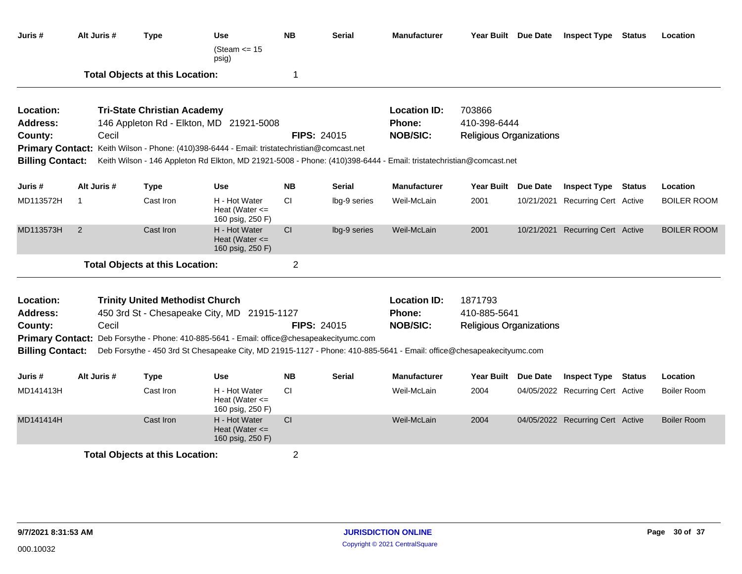| Juris #                                            | Alt Juris # | <b>Type</b>                            | <b>Use</b><br>(Steam $\leq$ 15<br>psig)                                                                                                                                                          | <b>NB</b>      | <b>Serial</b>      | <b>Manufacturer</b>       | Year Built Due Date                            | <b>Inspect Type Status</b>       | Location           |
|----------------------------------------------------|-------------|----------------------------------------|--------------------------------------------------------------------------------------------------------------------------------------------------------------------------------------------------|----------------|--------------------|---------------------------|------------------------------------------------|----------------------------------|--------------------|
|                                                    |             | <b>Total Objects at this Location:</b> |                                                                                                                                                                                                  | -1             |                    |                           |                                                |                                  |                    |
| Location:                                          |             | <b>Tri-State Christian Academy</b>     |                                                                                                                                                                                                  |                |                    | <b>Location ID:</b>       | 703866                                         |                                  |                    |
| <b>Address:</b><br>County:                         | Cecil       |                                        | 146 Appleton Rd - Elkton, MD 21921-5008                                                                                                                                                          |                | <b>FIPS: 24015</b> | Phone:<br><b>NOB/SIC:</b> | 410-398-6444<br><b>Religious Organizations</b> |                                  |                    |
|                                                    |             |                                        | Primary Contact: Keith Wilson - Phone: (410)398-6444 - Email: tristatechristian@comcast.net                                                                                                      |                |                    |                           |                                                |                                  |                    |
| <b>Billing Contact:</b>                            |             |                                        | Keith Wilson - 146 Appleton Rd Elkton, MD 21921-5008 - Phone: (410)398-6444 - Email: tristatechristian@comcast.net                                                                               |                |                    |                           |                                                |                                  |                    |
|                                                    |             |                                        |                                                                                                                                                                                                  |                |                    |                           |                                                |                                  |                    |
| Juris #                                            | Alt Juris # | <b>Type</b>                            | <b>Use</b>                                                                                                                                                                                       | <b>NB</b>      | <b>Serial</b>      | <b>Manufacturer</b>       | Year Built Due Date                            | <b>Inspect Type Status</b>       | Location           |
| MD113572H                                          | 1           | Cast Iron                              | H - Hot Water<br>Heat (Water $\leq$<br>160 psig, 250 F)                                                                                                                                          | <b>CI</b>      | lbg-9 series       | Weil-McLain               | 2001                                           | 10/21/2021 Recurring Cert Active | <b>BOILER ROOM</b> |
| MD113573H                                          | 2           | Cast Iron                              | H - Hot Water<br>Heat (Water $\leq$<br>160 psig, 250 F)                                                                                                                                          | CI             | lbg-9 series       | Weil-McLain               | 2001                                           | 10/21/2021 Recurring Cert Active | <b>BOILER ROOM</b> |
|                                                    |             | <b>Total Objects at this Location:</b> |                                                                                                                                                                                                  | 2              |                    |                           |                                                |                                  |                    |
| Location:                                          |             | <b>Trinity United Methodist Church</b> |                                                                                                                                                                                                  |                |                    | <b>Location ID:</b>       | 1871793                                        |                                  |                    |
| <b>Address:</b>                                    |             |                                        | 450 3rd St - Chesapeake City, MD 21915-1127                                                                                                                                                      |                |                    | Phone:                    | 410-885-5641                                   |                                  |                    |
| County:                                            | Cecil       |                                        |                                                                                                                                                                                                  |                | <b>FIPS: 24015</b> | <b>NOB/SIC:</b>           | <b>Religious Organizations</b>                 |                                  |                    |
| <b>Primary Contact:</b><br><b>Billing Contact:</b> |             |                                        | Deb Forsythe - Phone: 410-885-5641 - Email: office@chesapeakecityumc.com<br>Deb Forsythe - 450 3rd St Chesapeake City, MD 21915-1127 - Phone: 410-885-5641 - Email: office@chesapeakecityumc.com |                |                    |                           |                                                |                                  |                    |
| Juris #                                            | Alt Juris # | <b>Type</b>                            | <b>Use</b>                                                                                                                                                                                       | <b>NB</b>      | <b>Serial</b>      | <b>Manufacturer</b>       | Year Built Due Date                            | <b>Inspect Type Status</b>       | Location           |
| MD141413H                                          |             | Cast Iron                              | H - Hot Water<br>Heat (Water $\leq$<br>160 psig, 250 F)                                                                                                                                          | <b>CI</b>      |                    | Weil-McLain               | 2004                                           | 04/05/2022 Recurring Cert Active | <b>Boiler Room</b> |
| MD141414H                                          |             | Cast Iron                              | H - Hot Water<br>Heat (Water $\leq$<br>160 psig, 250 F)                                                                                                                                          | CI             |                    | Weil-McLain               | 2004                                           | 04/05/2022 Recurring Cert Active | <b>Boiler Room</b> |
|                                                    |             | <b>Total Objects at this Location:</b> |                                                                                                                                                                                                  | $\overline{2}$ |                    |                           |                                                |                                  |                    |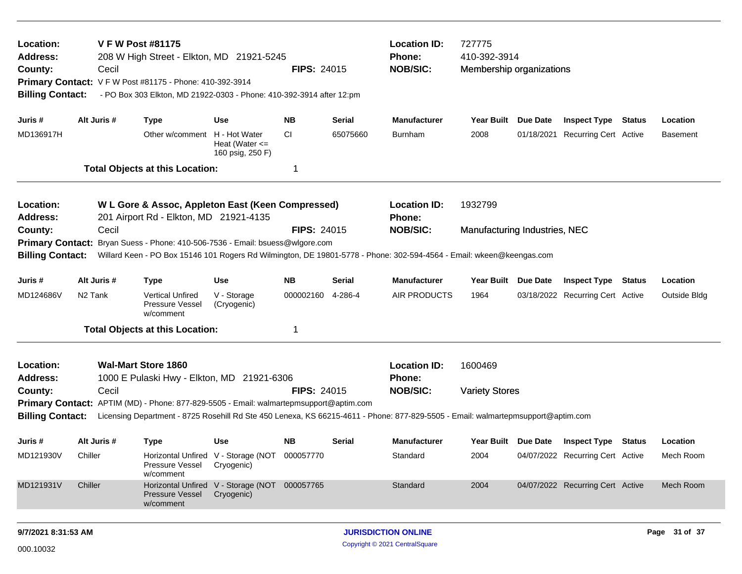| Location:<br><b>Address:</b><br>County:<br><b>Billing Contact:</b>                                                                                                                                                                                                                                                                          | <b>Location ID:</b><br>727775<br><b>V F W Post #81175</b><br>410-392-3914<br>208 W High Street - Elkton, MD 21921-5245<br><b>Phone:</b><br><b>NOB/SIC:</b><br><b>FIPS: 24015</b><br>Cecil<br>Membership organizations<br>Primary Contact: V F W Post #81175 - Phone: 410-392-3914<br>- PO Box 303 Elkton, MD 21922-0303 - Phone: 410-392-3914 after 12:pm |                                                                                             |                                                             |                    |               |                                                                                                                      |                               |                                  |  |                 |
|---------------------------------------------------------------------------------------------------------------------------------------------------------------------------------------------------------------------------------------------------------------------------------------------------------------------------------------------|-----------------------------------------------------------------------------------------------------------------------------------------------------------------------------------------------------------------------------------------------------------------------------------------------------------------------------------------------------------|---------------------------------------------------------------------------------------------|-------------------------------------------------------------|--------------------|---------------|----------------------------------------------------------------------------------------------------------------------|-------------------------------|----------------------------------|--|-----------------|
| Juris #                                                                                                                                                                                                                                                                                                                                     | Alt Juris #                                                                                                                                                                                                                                                                                                                                               | <b>Type</b>                                                                                 | Use                                                         | <b>NB</b>          | <b>Serial</b> | <b>Manufacturer</b>                                                                                                  | Year Built Due Date           | <b>Inspect Type Status</b>       |  | Location        |
| MD136917H                                                                                                                                                                                                                                                                                                                                   |                                                                                                                                                                                                                                                                                                                                                           | Other w/comment H - Hot Water                                                               | Heat (Water $\leq$<br>160 psig, 250 F)                      | CI.                | 65075660      | Burnham                                                                                                              | 2008                          | 01/18/2021 Recurring Cert Active |  | <b>Basement</b> |
|                                                                                                                                                                                                                                                                                                                                             |                                                                                                                                                                                                                                                                                                                                                           | <b>Total Objects at this Location:</b>                                                      |                                                             | 1                  |               |                                                                                                                      |                               |                                  |  |                 |
| Location:<br><b>Address:</b>                                                                                                                                                                                                                                                                                                                |                                                                                                                                                                                                                                                                                                                                                           | W L Gore & Assoc, Appleton East (Keen Compressed)<br>201 Airport Rd - Elkton, MD 21921-4135 |                                                             |                    |               | <b>Location ID:</b><br><b>Phone:</b>                                                                                 | 1932799                       |                                  |  |                 |
| County:                                                                                                                                                                                                                                                                                                                                     | Cecil                                                                                                                                                                                                                                                                                                                                                     |                                                                                             |                                                             | <b>FIPS: 24015</b> |               | <b>NOB/SIC:</b>                                                                                                      | Manufacturing Industries, NEC |                                  |  |                 |
| <b>Billing Contact:</b>                                                                                                                                                                                                                                                                                                                     |                                                                                                                                                                                                                                                                                                                                                           | Primary Contact: Bryan Suess - Phone: 410-506-7536 - Email: bsuess@wlgore.com               |                                                             |                    |               | Willard Keen - PO Box 15146 101 Rogers Rd Wilmington, DE 19801-5778 - Phone: 302-594-4564 - Email: wkeen@keengas.com |                               |                                  |  |                 |
| Juris #                                                                                                                                                                                                                                                                                                                                     | Alt Juris #                                                                                                                                                                                                                                                                                                                                               | <b>Type</b>                                                                                 | <b>Use</b>                                                  | <b>NB</b>          | Serial        | Manufacturer                                                                                                         | Year Built Due Date           | <b>Inspect Type Status</b>       |  | Location        |
| MD124686V                                                                                                                                                                                                                                                                                                                                   | N <sub>2</sub> Tank                                                                                                                                                                                                                                                                                                                                       | <b>Vertical Unfired</b><br>Pressure Vessel<br>w/comment                                     | V - Storage<br>(Cryogenic)                                  | 000002160          | 4-286-4       | <b>AIR PRODUCTS</b>                                                                                                  | 1964                          | 03/18/2022 Recurring Cert Active |  | Outside Bldg    |
|                                                                                                                                                                                                                                                                                                                                             |                                                                                                                                                                                                                                                                                                                                                           | <b>Total Objects at this Location:</b>                                                      |                                                             | 1                  |               |                                                                                                                      |                               |                                  |  |                 |
| Location:<br><b>Address:</b>                                                                                                                                                                                                                                                                                                                |                                                                                                                                                                                                                                                                                                                                                           | <b>Wal-Mart Store 1860</b><br>1000 E Pulaski Hwy - Elkton, MD 21921-6306                    |                                                             |                    |               | <b>Location ID:</b><br><b>Phone:</b>                                                                                 | 1600469                       |                                  |  |                 |
| <b>NOB/SIC:</b><br>FIPS: 24015<br>Cecil<br><b>Variety Stores</b><br>County:<br><b>Primary Contact:</b> APTIM (MD) - Phone: 877-829-5505 - Email: walmartepmsupport@aptim.com<br><b>Billing Contact:</b><br>Licensing Department - 8725 Rosehill Rd Ste 450 Lenexa, KS 66215-4611 - Phone: 877-829-5505 - Email: walmartepmsupport@aptim.com |                                                                                                                                                                                                                                                                                                                                                           |                                                                                             |                                                             |                    |               |                                                                                                                      |                               |                                  |  |                 |
| Juris #                                                                                                                                                                                                                                                                                                                                     | Alt Juris #                                                                                                                                                                                                                                                                                                                                               | <b>Type</b>                                                                                 | <b>Use</b>                                                  | <b>NB</b>          | <b>Serial</b> | <b>Manufacturer</b>                                                                                                  | Year Built Due Date           | <b>Inspect Type Status</b>       |  | Location        |
| MD121930V                                                                                                                                                                                                                                                                                                                                   | Chiller                                                                                                                                                                                                                                                                                                                                                   | Pressure Vessel<br>w/comment                                                                | Horizontal Unfired V - Storage (NOT<br>Cryogenic)           | 000057770          |               | Standard                                                                                                             | 2004                          | 04/07/2022 Recurring Cert Active |  | Mech Room       |
| MD121931V                                                                                                                                                                                                                                                                                                                                   | Chiller                                                                                                                                                                                                                                                                                                                                                   | <b>Pressure Vessel</b><br>w/comment                                                         | Horizontal Unfired V - Storage (NOT 000057765<br>Cryogenic) |                    |               | Standard                                                                                                             | 2004                          | 04/07/2022 Recurring Cert Active |  | Mech Room       |
|                                                                                                                                                                                                                                                                                                                                             |                                                                                                                                                                                                                                                                                                                                                           |                                                                                             |                                                             |                    |               |                                                                                                                      |                               |                                  |  |                 |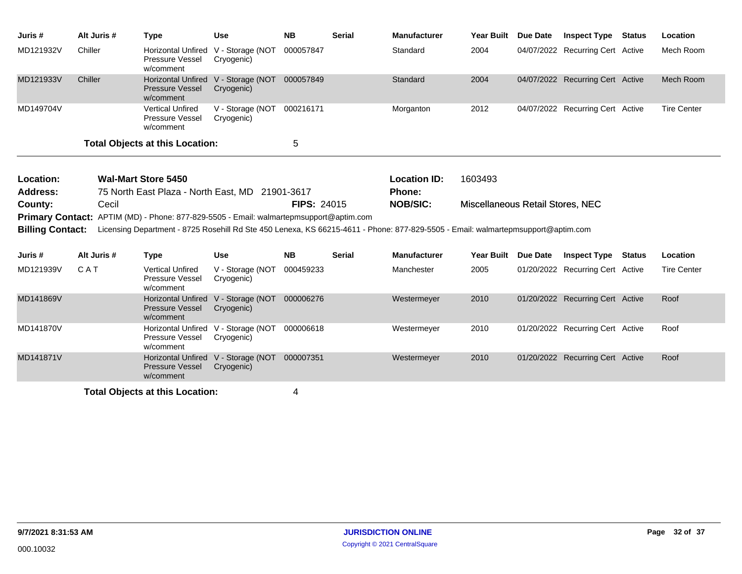| Juris #   | Alt Juris # | Type                                                    | Use                                                         | <b>NB</b> | <b>Serial</b> | <b>Manufacturer</b> | Year Built | <b>Due Date</b> | <b>Inspect Type Status</b>       | Location           |
|-----------|-------------|---------------------------------------------------------|-------------------------------------------------------------|-----------|---------------|---------------------|------------|-----------------|----------------------------------|--------------------|
| MD121932V | Chiller     | Pressure Vessel<br>w/comment                            | Horizontal Unfired V - Storage (NOT 000057847<br>Cryogenic) |           |               | Standard            | 2004       |                 | 04/07/2022 Recurring Cert Active | Mech Room          |
| MD121933V | Chiller     | <b>Pressure Vessel</b><br>w/comment                     | Horizontal Unfired V - Storage (NOT 000057849<br>Cryogenic) |           |               | Standard            | 2004       |                 | 04/07/2022 Recurring Cert Active | Mech Room          |
| MD149704V |             | <b>Vertical Unfired</b><br>Pressure Vessel<br>w/comment | V - Storage (NOT 000216171<br>Cryogenic)                    |           |               | Morganton           | 2012       |                 | 04/07/2022 Recurring Cert Active | <b>Tire Center</b> |
|           |             | <b>Total Objects at this Location:</b>                  |                                                             | 5         |               |                     |            |                 |                                  |                    |

| Location:               | Wal-Mart Store 5450                                                                                                              |                    | <b>Location ID:</b> | 1603493                          |  |  |  |  |
|-------------------------|----------------------------------------------------------------------------------------------------------------------------------|--------------------|---------------------|----------------------------------|--|--|--|--|
| <b>Address:</b>         | 75 North East Plaza - North East, MD 21901-3617                                                                                  |                    | <b>Phone:</b>       |                                  |  |  |  |  |
| County:                 | Cecil                                                                                                                            | <b>FIPS: 24015</b> | NOB/SIC:            | Miscellaneous Retail Stores, NEC |  |  |  |  |
|                         | <b>Primary Contact:</b> APTIM (MD) - Phone: 877-829-5505 - Email: walmartepmsupport@aptim.com                                    |                    |                     |                                  |  |  |  |  |
| <b>Billing Contact:</b> | Licensing Department - 8725 Rosehill Rd Ste 450 Lenexa, KS 66215-4611 - Phone: 877-829-5505 - Email: walmartepmsupport@aptim.com |                    |                     |                                  |  |  |  |  |

| Juris #   | Alt Juris # | Type                                                                       | Use                            | <b>NB</b> | <b>Serial</b> | <b>Manufacturer</b> | <b>Year Built</b> | Due Date | <b>Inspect Type</b>              | <b>Status</b> | Location           |
|-----------|-------------|----------------------------------------------------------------------------|--------------------------------|-----------|---------------|---------------------|-------------------|----------|----------------------------------|---------------|--------------------|
| MD121939V | CAT         | <b>Vertical Unfired</b><br><b>Pressure Vessel</b><br>w/comment             | V - Storage (NOT<br>Cryogenic) | 000459233 |               | Manchester          | 2005              |          | 01/20/2022 Recurring Cert Active |               | <b>Tire Center</b> |
| MD141869V |             | Horizontal Unfired V - Storage (NOT<br><b>Pressure Vessel</b><br>w/comment | Cryogenic)                     | 000006276 |               | Westermeyer         | 2010              |          | 01/20/2022 Recurring Cert Active |               | Roof               |
| MD141870V |             | <b>Horizontal Unfired</b><br><b>Pressure Vessel</b><br>w/comment           | V - Storage (NOT<br>Cryogenic) | 000006618 |               | Westermeyer         | 2010              |          | 01/20/2022 Recurring Cert Active |               | Roof               |
| MD141871V |             | <b>Horizontal Unfired</b><br><b>Pressure Vessel</b><br>w/comment           | V - Storage (NOT<br>Cryogenic) | 000007351 |               | Westermeyer         | 2010              |          | 01/20/2022 Recurring Cert Active |               | Roof               |
|           |             |                                                                            |                                |           |               |                     |                   |          |                                  |               |                    |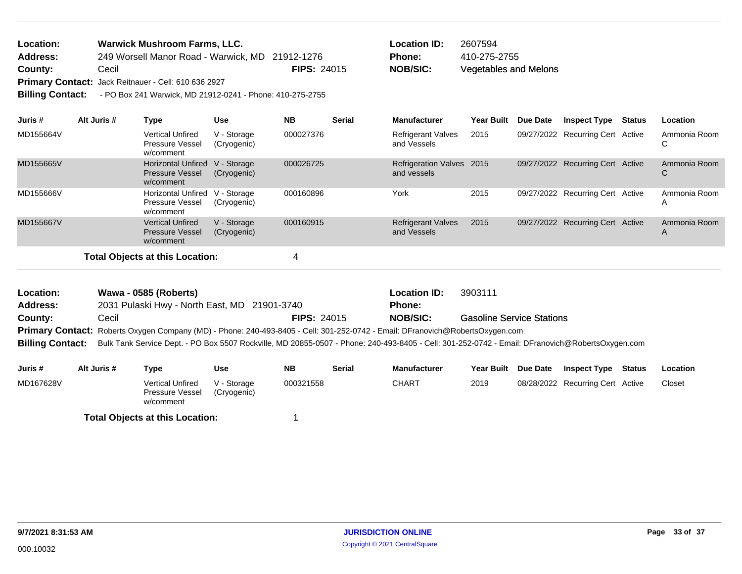| <b>Location:</b>        | <b>Warwick Mushroom Farms, LLC.</b>                       |                    | <b>Location ID:</b> | 2607594       |
|-------------------------|-----------------------------------------------------------|--------------------|---------------------|---------------|
| Address:                | 249 Worsell Manor Road - Warwick, MD 21912-1276           |                    | <b>Phone:</b>       | 410-275-2755  |
| County:                 | Cecil                                                     | <b>FIPS: 24015</b> | NOB/SIC:            | Vegetables an |
|                         | Primary Contact: Jack Reitnauer - Cell: 610 636 2927      |                    |                     |               |
| <b>Billing Contact:</b> | - PO Box 241 Warwick, MD 21912-0241 - Phone: 410-275-2755 |                    |                     |               |

| Juris #   | Alt Juris # | Type                                                             | <b>Use</b>                 | <b>NB</b> | <b>Serial</b> | <b>Manufacturer</b>                      | <b>Year Built</b> | Due Date | <b>Inspect Type</b>              | Status | Location                     |
|-----------|-------------|------------------------------------------------------------------|----------------------------|-----------|---------------|------------------------------------------|-------------------|----------|----------------------------------|--------|------------------------------|
| MD155664V |             | <b>Vertical Unfired</b><br>Pressure Vessel<br>w/comment          | V - Storage<br>(Cryogenic) | 000027376 |               | <b>Refrigerant Valves</b><br>and Vessels | 2015              |          | 09/27/2022 Recurring Cert Active |        | Ammonia Room                 |
| MD155665V |             | <b>Horizontal Unfired</b><br><b>Pressure Vessel</b><br>w/comment | V - Storage<br>(Cryogenic) | 000026725 |               | Refrigeration Valves 2015<br>and vessels |                   |          | 09/27/2022 Recurring Cert Active |        | Ammonia Room<br>U            |
| MD155666V |             | <b>Horizontal Unfired</b><br>Pressure Vessel<br>w/comment        | V - Storage<br>(Cryogenic) | 000160896 |               | York                                     | 2015              |          | 09/27/2022 Recurring Cert Active |        | Ammonia Room<br>$\mathsf{A}$ |
| MD155667V |             | <b>Vertical Unfired</b><br><b>Pressure Vessel</b><br>w/comment   | V - Storage<br>(Cryogenic) | 000160915 |               | <b>Refrigerant Valves</b><br>and Vessels | 2015              |          | 09/27/2022 Recurring Cert Active |        | Ammonia Room<br>A            |
|           |             | <b>Total Objects at this Location:</b>                           |                            | 4         |               |                                          |                   |          |                                  |        |                              |

Vegetables and Melons

| Location:               | Wawa - 0585 (Roberts)                                                                                                         |                    | Location ID:    | 3903111                                                                                                                                         |
|-------------------------|-------------------------------------------------------------------------------------------------------------------------------|--------------------|-----------------|-------------------------------------------------------------------------------------------------------------------------------------------------|
| Address:                | 2031 Pulaski Hwy - North East, MD 21901-3740                                                                                  |                    | Phone:          |                                                                                                                                                 |
| County:                 | Cecil                                                                                                                         | <b>FIPS: 24015</b> | <b>NOB/SIC:</b> | <b>Gasoline Service Stations</b>                                                                                                                |
|                         | Primary Contact: Roberts Oxygen Company (MD) - Phone: 240-493-8405 - Cell: 301-252-0742 - Email: DFranovich@RobertsOxygen.com |                    |                 |                                                                                                                                                 |
| <b>Billing Contact:</b> |                                                                                                                               |                    |                 | Bulk Tank Service Dept. - PO Box 5507 Rockville, MD 20855-0507 - Phone: 240-493-8405 - Cell: 301-252-0742 - Email: DFranovich@RobertsOxygen.com |

| Juris #   | Alt Juris # | Type                                                    | Use                        | <b>NB</b> | <b>Serial</b> | <b>Manufacturer</b> | <b>Year Built</b> | <b>Due Date</b> | <b>Inspect Type</b>              | Status | Location |
|-----------|-------------|---------------------------------------------------------|----------------------------|-----------|---------------|---------------------|-------------------|-----------------|----------------------------------|--------|----------|
| MD167628V |             | <b>Vertical Unfired</b><br>Pressure Vessel<br>w/comment | V - Storage<br>(Cryogenic) | 000321558 |               | CHART               | 2019              |                 | 08/28/2022 Recurring Cert Active |        | Closet   |
|           |             | <b>Total Objects at this Location:</b>                  |                            |           |               |                     |                   |                 |                                  |        |          |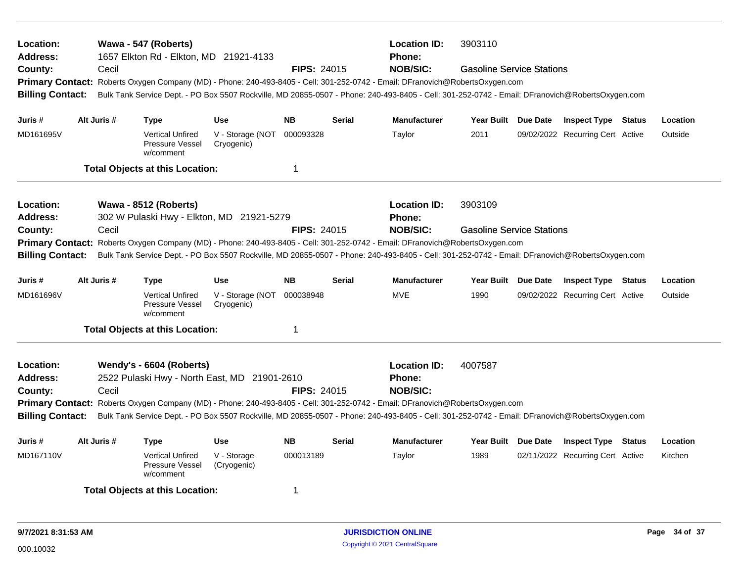| Location:<br>Address:<br>County:<br><b>Billing Contact:</b> | Cecil       | Wawa - 547 (Roberts)<br>1657 Elkton Rd - Elkton, MD 21921-4133           |                                | <b>FIPS: 24015</b> |               | <b>Location ID:</b><br>Phone:<br><b>NOB/SIC:</b>                                                                                                                                         | 3903110<br><b>Gasoline Service Stations</b><br>Primary Contact: Roberts Oxygen Company (MD) - Phone: 240-493-8405 - Cell: 301-252-0742 - Email: DFranovich@RobertsOxygen.com<br>Bulk Tank Service Dept. - PO Box 5507 Rockville, MD 20855-0507 - Phone: 240-493-8405 - Cell: 301-252-0742 - Email: DFranovich@RobertsOxygen.com |  |                                  |  |          |
|-------------------------------------------------------------|-------------|--------------------------------------------------------------------------|--------------------------------|--------------------|---------------|------------------------------------------------------------------------------------------------------------------------------------------------------------------------------------------|---------------------------------------------------------------------------------------------------------------------------------------------------------------------------------------------------------------------------------------------------------------------------------------------------------------------------------|--|----------------------------------|--|----------|
| Juris #                                                     | Alt Juris # | <b>Type</b>                                                              | <b>Use</b>                     | <b>NB</b>          | <b>Serial</b> | <b>Manufacturer</b>                                                                                                                                                                      | Year Built Due Date                                                                                                                                                                                                                                                                                                             |  | <b>Inspect Type Status</b>       |  | Location |
| MD161695V                                                   |             | <b>Vertical Unfired</b><br>Pressure Vessel<br>w/comment                  | V - Storage (NOT<br>Cryogenic) | 000093328          |               | Taylor                                                                                                                                                                                   | 2011                                                                                                                                                                                                                                                                                                                            |  | 09/02/2022 Recurring Cert Active |  | Outside  |
|                                                             |             | <b>Total Objects at this Location:</b>                                   |                                | $\mathbf 1$        |               |                                                                                                                                                                                          |                                                                                                                                                                                                                                                                                                                                 |  |                                  |  |          |
| Location:<br>Address:                                       |             | Wawa - 8512 (Roberts)<br>302 W Pulaski Hwy - Elkton, MD 21921-5279       |                                |                    |               | <b>Location ID:</b><br><b>Phone:</b>                                                                                                                                                     | 3903109                                                                                                                                                                                                                                                                                                                         |  |                                  |  |          |
| County:<br><b>Primary Contact:</b>                          | Cecil       |                                                                          |                                | <b>FIPS: 24015</b> |               | <b>NOB/SIC:</b>                                                                                                                                                                          | <b>Gasoline Service Stations</b><br>Roberts Oxygen Company (MD) - Phone: 240-493-8405 - Cell: 301-252-0742 - Email: DFranovich@RobertsOxygen.com                                                                                                                                                                                |  |                                  |  |          |
| <b>Billing Contact:</b>                                     |             |                                                                          |                                |                    |               | Bulk Tank Service Dept. - PO Box 5507 Rockville, MD 20855-0507 - Phone: 240-493-8405 - Cell: 301-252-0742 - Email: DFranovich@RobertsOxygen.com                                          |                                                                                                                                                                                                                                                                                                                                 |  |                                  |  |          |
| Juris #                                                     | Alt Juris # | <b>Type</b>                                                              | <b>Use</b>                     | <b>NB</b>          | <b>Serial</b> | <b>Manufacturer</b>                                                                                                                                                                      | Year Built Due Date                                                                                                                                                                                                                                                                                                             |  | <b>Inspect Type Status</b>       |  | Location |
| MD161696V                                                   |             | <b>Vertical Unfired</b><br>Pressure Vessel<br>w/comment                  | V - Storage (NOT<br>Cryogenic) | 000038948          |               | <b>MVE</b>                                                                                                                                                                               | 1990                                                                                                                                                                                                                                                                                                                            |  | 09/02/2022 Recurring Cert Active |  | Outside  |
|                                                             |             | <b>Total Objects at this Location:</b>                                   |                                | $\mathbf 1$        |               |                                                                                                                                                                                          |                                                                                                                                                                                                                                                                                                                                 |  |                                  |  |          |
| Location:<br>Address:<br>County:                            | Cecil       | Wendy's - 6604 (Roberts)<br>2522 Pulaski Hwy - North East, MD 21901-2610 |                                | <b>FIPS: 24015</b> |               | <b>Location ID:</b><br><b>Phone:</b><br><b>NOB/SIC:</b><br>Primary Contact: Roberts Oxygen Company (MD) - Phone: 240-493-8405 - Cell: 301-252-0742 - Email: DFranovich@RobertsOxygen.com | 4007587                                                                                                                                                                                                                                                                                                                         |  |                                  |  |          |
| <b>Billing Contact:</b>                                     |             |                                                                          |                                |                    |               | Bulk Tank Service Dept. - PO Box 5507 Rockville, MD 20855-0507 - Phone: 240-493-8405 - Cell: 301-252-0742 - Email: DFranovich@RobertsOxygen.com                                          |                                                                                                                                                                                                                                                                                                                                 |  |                                  |  |          |
| Juris #                                                     | Alt Juris # | <b>Type</b>                                                              | <b>Use</b>                     | <b>NB</b>          | <b>Serial</b> | <b>Manufacturer</b>                                                                                                                                                                      | Year Built Due Date                                                                                                                                                                                                                                                                                                             |  | <b>Inspect Type Status</b>       |  | Location |
| MD167110V                                                   |             | <b>Vertical Unfired</b><br>Pressure Vessel<br>w/comment                  | V - Storage<br>(Cryogenic)     | 000013189          |               | Taylor                                                                                                                                                                                   | 1989                                                                                                                                                                                                                                                                                                                            |  | 02/11/2022 Recurring Cert Active |  | Kitchen  |
|                                                             |             | <b>Total Objects at this Location:</b>                                   |                                | -1                 |               |                                                                                                                                                                                          |                                                                                                                                                                                                                                                                                                                                 |  |                                  |  |          |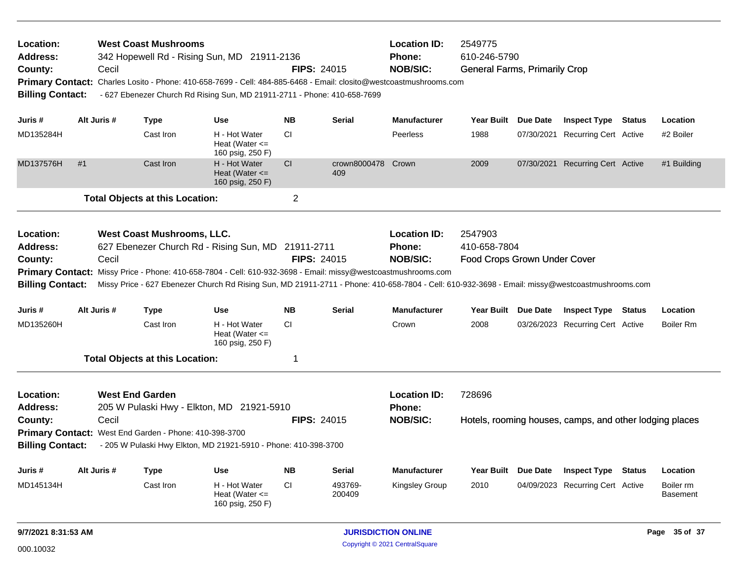| Location:<br>Address:<br>County:<br><b>Billing Contact:</b>        |             | Cecil | <b>West Coast Mushrooms</b><br>342 Hopewell Rd - Rising Sun, MD 21911-2136<br>Primary Contact: Charles Losito - Phone: 410-658-7699 - Cell: 484-885-6468 - Email: closito@westcoastmushrooms.com<br>- 627 Ebenezer Church Rd Rising Sun, MD 21911-2711 - Phone: 410-658-7699                                                                         |                                                         | <b>FIPS: 24015</b> |                           | <b>Location ID:</b><br><b>Phone:</b><br><b>NOB/SIC:</b> | 2549775<br>610-246-5790<br><b>General Farms, Primarily Crop</b> |  |                                                         |               |                              |
|--------------------------------------------------------------------|-------------|-------|------------------------------------------------------------------------------------------------------------------------------------------------------------------------------------------------------------------------------------------------------------------------------------------------------------------------------------------------------|---------------------------------------------------------|--------------------|---------------------------|---------------------------------------------------------|-----------------------------------------------------------------|--|---------------------------------------------------------|---------------|------------------------------|
| Juris #                                                            | Alt Juris # |       | <b>Type</b>                                                                                                                                                                                                                                                                                                                                          | <b>Use</b>                                              | <b>NB</b>          | Serial                    | <b>Manufacturer</b>                                     | Year Built Due Date                                             |  | <b>Inspect Type Status</b>                              |               | Location                     |
| MD135284H                                                          |             |       | Cast Iron                                                                                                                                                                                                                                                                                                                                            | H - Hot Water<br>Heat (Water $\leq$<br>160 psig, 250 F) | <b>CI</b>          |                           | Peerless                                                | 1988                                                            |  | 07/30/2021 Recurring Cert Active                        |               | #2 Boiler                    |
| MD137576H                                                          | #1          |       | Cast Iron                                                                                                                                                                                                                                                                                                                                            | H - Hot Water<br>Heat (Water $\leq$<br>160 psig, 250 F) | CI                 | crown8000478 Crown<br>409 |                                                         | 2009                                                            |  | 07/30/2021 Recurring Cert Active                        |               | #1 Building                  |
|                                                                    |             |       | <b>Total Objects at this Location:</b>                                                                                                                                                                                                                                                                                                               |                                                         | $\overline{2}$     |                           |                                                         |                                                                 |  |                                                         |               |                              |
| Location:<br>Address:<br>County:<br><b>Billing Contact:</b>        |             | Cecil | West Coast Mushrooms, LLC.<br>627 Ebenezer Church Rd - Rising Sun, MD 21911-2711<br>Primary Contact: Missy Price - Phone: 410-658-7804 - Cell: 610-932-3698 - Email: missy@westcoastmushrooms.com<br>Missy Price - 627 Ebenezer Church Rd Rising Sun, MD 21911-2711 - Phone: 410-658-7804 - Cell: 610-932-3698 - Email: missy@westcoastmushrooms.com |                                                         | FIPS: 24015        |                           | <b>Location ID:</b><br><b>Phone:</b><br><b>NOB/SIC:</b> | 2547903<br>410-658-7804<br>Food Crops Grown Under Cover         |  |                                                         |               |                              |
| Juris #                                                            | Alt Juris # |       | <b>Type</b>                                                                                                                                                                                                                                                                                                                                          | <b>Use</b>                                              | <b>NB</b>          | Serial                    | <b>Manufacturer</b>                                     | Year Built Due Date                                             |  | <b>Inspect Type</b>                                     | Status        | Location                     |
| MD135260H                                                          |             |       | Cast Iron                                                                                                                                                                                                                                                                                                                                            | H - Hot Water<br>Heat (Water $<=$<br>160 psig, 250 F)   | <b>CI</b>          |                           | Crown                                                   | 2008                                                            |  | 03/26/2023 Recurring Cert Active                        |               | Boiler Rm                    |
|                                                                    |             |       | <b>Total Objects at this Location:</b>                                                                                                                                                                                                                                                                                                               |                                                         | 1                  |                           |                                                         |                                                                 |  |                                                         |               |                              |
| Location:<br><b>Address:</b><br>County:<br><b>Billing Contact:</b> |             | Cecil | <b>West End Garden</b><br>205 W Pulaski Hwy - Elkton, MD 21921-5910<br>Primary Contact: West End Garden - Phone: 410-398-3700<br>- 205 W Pulaski Hwy Elkton, MD 21921-5910 - Phone: 410-398-3700                                                                                                                                                     |                                                         | FIPS: 24015        |                           | <b>Location ID:</b><br><b>Phone:</b><br><b>NOB/SIC:</b> | 728696                                                          |  | Hotels, rooming houses, camps, and other lodging places |               |                              |
| Juris #                                                            | Alt Juris # |       | <b>Type</b>                                                                                                                                                                                                                                                                                                                                          | <b>Use</b>                                              | <b>NB</b>          | Serial                    | <b>Manufacturer</b>                                     | Year Built Due Date                                             |  | <b>Inspect Type</b>                                     | <b>Status</b> | Location                     |
| MD145134H                                                          |             |       | Cast Iron                                                                                                                                                                                                                                                                                                                                            | H - Hot Water<br>Heat (Water $\leq$<br>160 psig, 250 F) | <b>CI</b>          | 493769-<br>200409         | <b>Kingsley Group</b>                                   | 2010                                                            |  | 04/09/2023 Recurring Cert Active                        |               | Boiler rm<br><b>Basement</b> |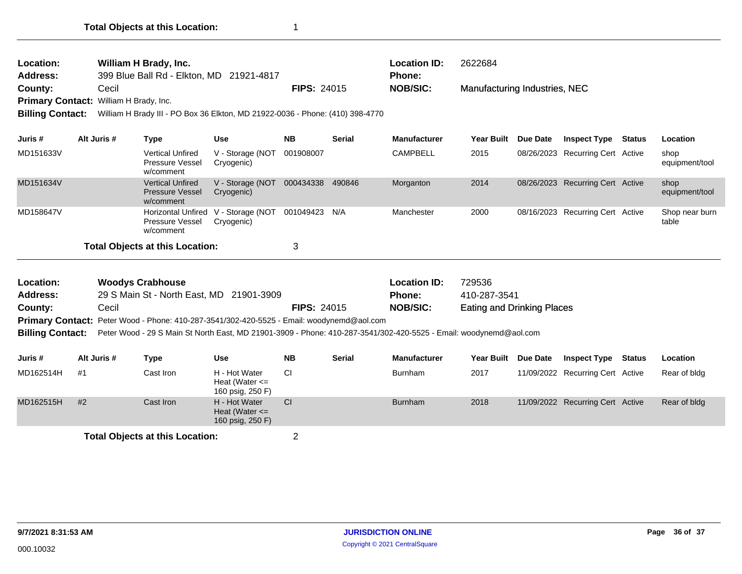| William H Brady, Inc.<br>Location:<br><b>Address:</b><br>399 Blue Ball Rd - Elkton, MD 21921-4817 |                       |                                                                                                                   |                                           |                    |               | <b>Location ID:</b><br><b>Phone:</b> | 2622684                           |                 |                                  |        |                         |
|---------------------------------------------------------------------------------------------------|-----------------------|-------------------------------------------------------------------------------------------------------------------|-------------------------------------------|--------------------|---------------|--------------------------------------|-----------------------------------|-----------------|----------------------------------|--------|-------------------------|
| County:                                                                                           | Cecil                 |                                                                                                                   |                                           | <b>FIPS: 24015</b> |               | <b>NOB/SIC:</b>                      | Manufacturing Industries, NEC     |                 |                                  |        |                         |
| <b>Primary Contact:</b>                                                                           | William H Brady, Inc. |                                                                                                                   |                                           |                    |               |                                      |                                   |                 |                                  |        |                         |
| <b>Billing Contact:</b>                                                                           |                       | William H Brady III - PO Box 36 Elkton, MD 21922-0036 - Phone: (410) 398-4770                                     |                                           |                    |               |                                      |                                   |                 |                                  |        |                         |
| Juris #                                                                                           | Alt Juris #           | <b>Type</b>                                                                                                       | <b>Use</b>                                | <b>NB</b>          | <b>Serial</b> | <b>Manufacturer</b>                  | <b>Year Built</b>                 | Due Date        | <b>Inspect Type</b>              | Status | Location                |
| MD151633V                                                                                         |                       | <b>Vertical Unfired</b><br>Pressure Vessel<br>w/comment                                                           | V - Storage (NOT<br>Cryogenic)            | 001908007          |               | <b>CAMPBELL</b>                      | 2015                              |                 | 08/26/2023 Recurring Cert Active |        | shop<br>equipment/tool  |
| MD151634V                                                                                         |                       | <b>Vertical Unfired</b><br><b>Pressure Vessel</b><br>w/comment                                                    | V - Storage (NOT<br>Cryogenic)            | 000434338 490846   |               | Morganton                            | 2014                              |                 | 08/26/2023 Recurring Cert Active |        | shop<br>equipment/tool  |
| MD158647V                                                                                         |                       | <b>Horizontal Unfired</b><br>Pressure Vessel<br>w/comment                                                         | V - Storage (NOT<br>Cryogenic)            | 001049423          | N/A           | Manchester                           | 2000                              |                 | 08/16/2023 Recurring Cert Active |        | Shop near burn<br>table |
|                                                                                                   |                       | <b>Total Objects at this Location:</b>                                                                            |                                           | 3                  |               |                                      |                                   |                 |                                  |        |                         |
| Location:                                                                                         |                       | <b>Woodys Crabhouse</b>                                                                                           |                                           |                    |               | <b>Location ID:</b>                  | 729536                            |                 |                                  |        |                         |
| <b>Address:</b>                                                                                   |                       | 29 S Main St - North East, MD 21901-3909                                                                          |                                           |                    |               | Phone:                               | 410-287-3541                      |                 |                                  |        |                         |
| County:                                                                                           | Cecil                 |                                                                                                                   |                                           | <b>FIPS: 24015</b> |               | <b>NOB/SIC:</b>                      | <b>Eating and Drinking Places</b> |                 |                                  |        |                         |
|                                                                                                   |                       | Primary Contact: Peter Wood - Phone: 410-287-3541/302-420-5525 - Email: woodynemd@aol.com                         |                                           |                    |               |                                      |                                   |                 |                                  |        |                         |
| <b>Billing Contact:</b>                                                                           |                       | Peter Wood - 29 S Main St North East, MD 21901-3909 - Phone: 410-287-3541/302-420-5525 - Email: woodynemd@aol.com |                                           |                    |               |                                      |                                   |                 |                                  |        |                         |
| Juris #                                                                                           | Alt Juris #           | <b>Type</b>                                                                                                       | <b>Use</b>                                | <b>NB</b>          | <b>Serial</b> | <b>Manufacturer</b>                  | <b>Year Built</b>                 | <b>Due Date</b> | <b>Inspect Type</b>              | Status | Location                |
| MD162514H                                                                                         | #1                    | Cast Iron                                                                                                         | H - Hot Water<br>Heat (Water $\epsilon$ = | <b>CI</b>          |               | <b>Burnham</b>                       | 2017                              |                 | 11/09/2022 Recurring Cert Active |        | Rear of bldg            |

|           |    |                                        | Heat (Water $\leq$<br>160 psig, 250 F)                  |                |      |                                                  |
|-----------|----|----------------------------------------|---------------------------------------------------------|----------------|------|--------------------------------------------------|
| MD162515H | #2 | Cast Iron                              | H - Hot Water<br>Heat (Water $\leq$<br>160 psig, 250 F) | <b>Burnham</b> | 2018 | 11/09/2022 Recurring Cert Active<br>Rear of bldg |
|           |    | <b>Total Objects at this Location:</b> |                                                         |                |      |                                                  |